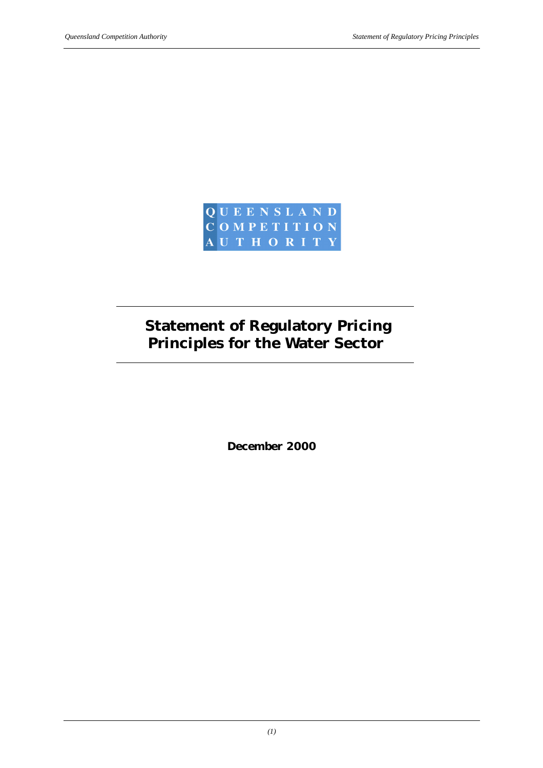

# **Statement of Regulatory Pricing Principles for the Water Sector**

*December 2000*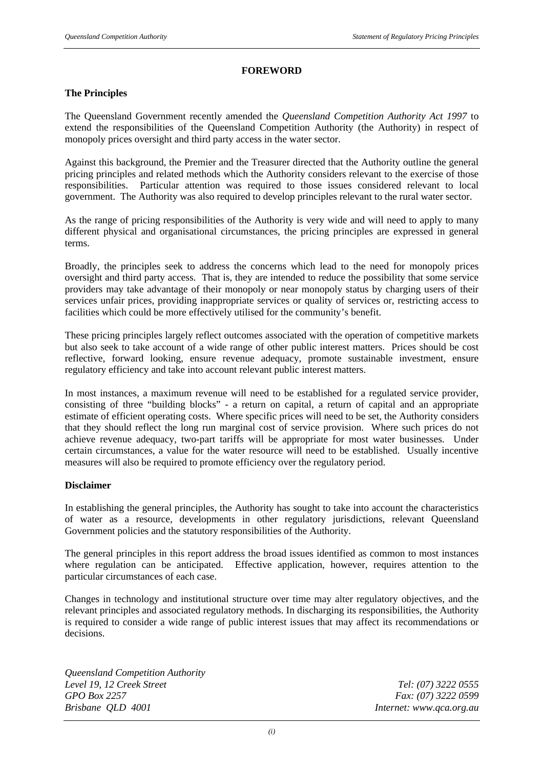#### **FOREWORD**

#### **The Principles**

The Queensland Government recently amended the *Queensland Competition Authority Act 1997* to extend the responsibilities of the Queensland Competition Authority (the Authority) in respect of monopoly prices oversight and third party access in the water sector.

Against this background, the Premier and the Treasurer directed that the Authority outline the general pricing principles and related methods which the Authority considers relevant to the exercise of those responsibilities. Particular attention was required to those issues considered relevant to local government. The Authority was also required to develop principles relevant to the rural water sector.

As the range of pricing responsibilities of the Authority is very wide and will need to apply to many different physical and organisational circumstances, the pricing principles are expressed in general terms.

Broadly, the principles seek to address the concerns which lead to the need for monopoly prices oversight and third party access. That is, they are intended to reduce the possibility that some service providers may take advantage of their monopoly or near monopoly status by charging users of their services unfair prices, providing inappropriate services or quality of services or, restricting access to facilities which could be more effectively utilised for the community's benefit.

These pricing principles largely reflect outcomes associated with the operation of competitive markets but also seek to take account of a wide range of other public interest matters. Prices should be cost reflective, forward looking, ensure revenue adequacy, promote sustainable investment, ensure regulatory efficiency and take into account relevant public interest matters.

In most instances, a maximum revenue will need to be established for a regulated service provider, consisting of three "building blocks" - a return on capital, a return of capital and an appropriate estimate of efficient operating costs. Where specific prices will need to be set, the Authority considers that they should reflect the long run marginal cost of service provision. Where such prices do not achieve revenue adequacy, two-part tariffs will be appropriate for most water businesses. Under certain circumstances, a value for the water resource will need to be established. Usually incentive measures will also be required to promote efficiency over the regulatory period.

#### **Disclaimer**

In establishing the general principles, the Authority has sought to take into account the characteristics of water as a resource, developments in other regulatory jurisdictions, relevant Queensland Government policies and the statutory responsibilities of the Authority.

The general principles in this report address the broad issues identified as common to most instances where regulation can be anticipated. Effective application, however, requires attention to the particular circumstances of each case.

Changes in technology and institutional structure over time may alter regulatory objectives, and the relevant principles and associated regulatory methods. In discharging its responsibilities, the Authority is required to consider a wide range of public interest issues that may affect its recommendations or decisions.

*Queensland Competition Authority Level 19, 12 Creek Street Tel: (07) 3222 0555 GPO Box 2257 Fax: (07) 3222 0599 Brisbane QLD 4001 Internet: www.qca.org.au*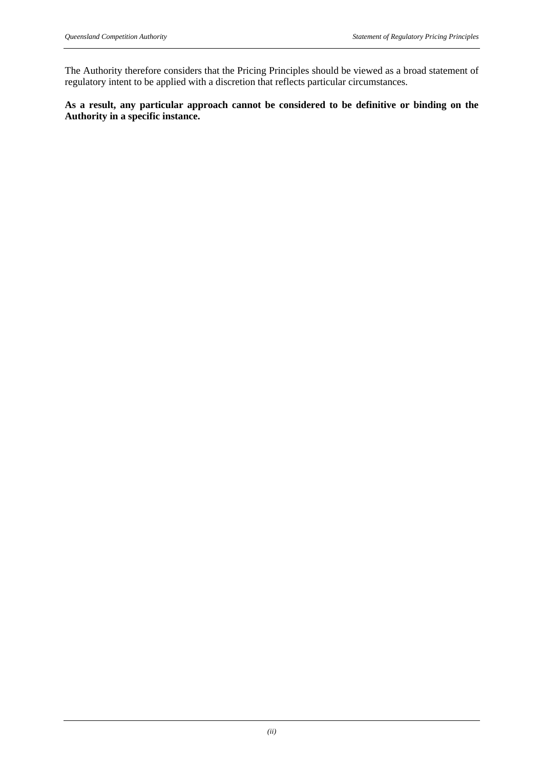The Authority therefore considers that the Pricing Principles should be viewed as a broad statement of regulatory intent to be applied with a discretion that reflects particular circumstances.

## **As a result, any particular approach cannot be considered to be definitive or binding on the Authority in a specific instance.**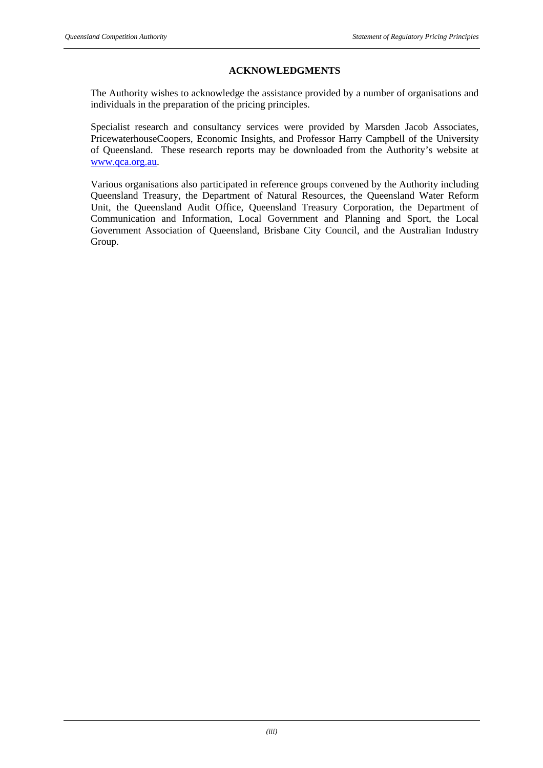#### **ACKNOWLEDGMENTS**

The Authority wishes to acknowledge the assistance provided by a number of organisations and individuals in the preparation of the pricing principles.

Specialist research and consultancy services were provided by Marsden Jacob Associates, PricewaterhouseCoopers, Economic Insights, and Professor Harry Campbell of the University of Queensland. These research reports may be downloaded from the Authority's website at www.qca.org.au.

Various organisations also participated in reference groups convened by the Authority including Queensland Treasury, the Department of Natural Resources, the Queensland Water Reform Unit, the Queensland Audit Office, Queensland Treasury Corporation, the Department of Communication and Information, Local Government and Planning and Sport, the Local Government Association of Queensland, Brisbane City Council, and the Australian Industry Group.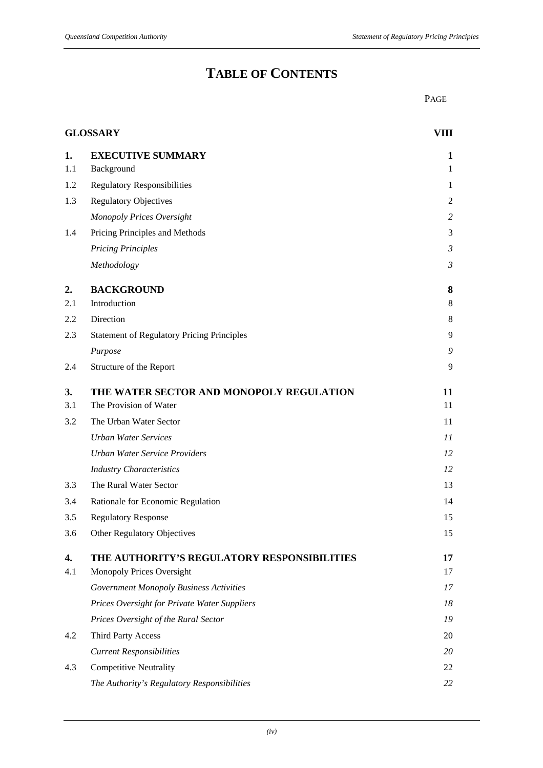## **TABLE OF CONTENTS**

PAGE

| <b>GLOSSARY</b> |                                                   | VIII           |
|-----------------|---------------------------------------------------|----------------|
| 1.              | <b>EXECUTIVE SUMMARY</b>                          | 1              |
| 1.1             | Background                                        | $\mathbf{1}$   |
| 1.2             | <b>Regulatory Responsibilities</b>                | 1              |
| 1.3             | <b>Regulatory Objectives</b>                      | $\overline{2}$ |
|                 | Monopoly Prices Oversight                         | $\overline{c}$ |
| 1.4             | Pricing Principles and Methods                    | 3              |
|                 | <b>Pricing Principles</b>                         | $\mathfrak{Z}$ |
|                 | Methodology                                       | $\mathfrak{Z}$ |
| 2.              | <b>BACKGROUND</b>                                 | 8              |
| 2.1             | Introduction                                      | 8              |
| 2.2             | Direction                                         | 8              |
| 2.3             | <b>Statement of Regulatory Pricing Principles</b> | 9              |
|                 | Purpose                                           | 9              |
| 2.4             | Structure of the Report                           | 9              |
| 3.              | THE WATER SECTOR AND MONOPOLY REGULATION          | 11             |
| 3.1             | The Provision of Water                            | 11             |
| 3.2             | The Urban Water Sector                            | 11             |
|                 | <b>Urban Water Services</b>                       | 11             |
|                 | <b>Urban Water Service Providers</b>              | 12             |
|                 | <b>Industry Characteristics</b>                   | 12             |
| 3.3             | The Rural Water Sector                            | 13             |
| 3.4             | Rationale for Economic Regulation                 | 14             |
| 3.5             | <b>Regulatory Response</b>                        | 15             |
| 3.6             | Other Regulatory Objectives                       | 15             |
| 4.              | THE AUTHORITY'S REGULATORY RESPONSIBILITIES       | 17             |
| 4.1             | Monopoly Prices Oversight                         | 17             |
|                 | <b>Government Monopoly Business Activities</b>    | 17             |
|                 | Prices Oversight for Private Water Suppliers      | 18             |
|                 | Prices Oversight of the Rural Sector              | 19             |
| 4.2             | Third Party Access                                | 20             |
|                 | <b>Current Responsibilities</b>                   | 20             |
| 4.3             | <b>Competitive Neutrality</b>                     | 22             |
|                 | The Authority's Regulatory Responsibilities       | 22             |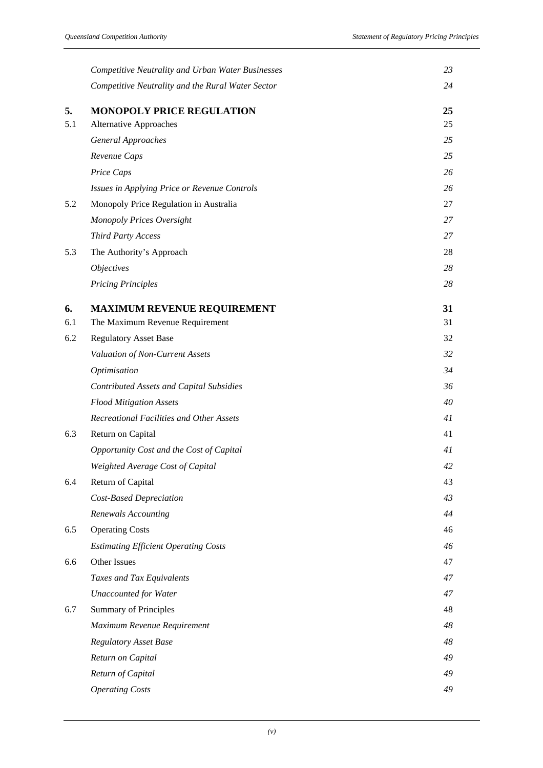|     | Competitive Neutrality and Urban Water Businesses | 23 |
|-----|---------------------------------------------------|----|
|     | Competitive Neutrality and the Rural Water Sector | 24 |
| 5.  | <b>MONOPOLY PRICE REGULATION</b>                  | 25 |
| 5.1 | <b>Alternative Approaches</b>                     | 25 |
|     | <b>General Approaches</b>                         | 25 |
|     | Revenue Caps                                      | 25 |
|     | Price Caps                                        | 26 |
|     | Issues in Applying Price or Revenue Controls      | 26 |
| 5.2 | Monopoly Price Regulation in Australia            | 27 |
|     | Monopoly Prices Oversight                         | 27 |
|     | <b>Third Party Access</b>                         | 27 |
| 5.3 | The Authority's Approach                          | 28 |
|     | <i><b>Objectives</b></i>                          | 28 |
|     | <b>Pricing Principles</b>                         | 28 |
| 6.  | <b>MAXIMUM REVENUE REQUIREMENT</b>                | 31 |
| 6.1 | The Maximum Revenue Requirement                   | 31 |
| 6.2 | <b>Regulatory Asset Base</b>                      | 32 |
|     | Valuation of Non-Current Assets                   | 32 |
|     | Optimisation                                      | 34 |
|     | <b>Contributed Assets and Capital Subsidies</b>   | 36 |
|     | <b>Flood Mitigation Assets</b>                    | 40 |
|     | Recreational Facilities and Other Assets          | 41 |
| 6.3 | Return on Capital                                 | 41 |
|     | Opportunity Cost and the Cost of Capital          | 41 |
|     | Weighted Average Cost of Capital                  | 42 |
| 6.4 | Return of Capital                                 | 43 |
|     | <b>Cost-Based Depreciation</b>                    | 43 |
|     | <b>Renewals Accounting</b>                        | 44 |
| 6.5 | <b>Operating Costs</b>                            | 46 |
|     | <b>Estimating Efficient Operating Costs</b>       | 46 |
| 6.6 | Other Issues                                      | 47 |
|     | Taxes and Tax Equivalents                         | 47 |
|     | <b>Unaccounted for Water</b>                      | 47 |
| 6.7 | <b>Summary of Principles</b>                      | 48 |
|     | Maximum Revenue Requirement                       | 48 |
|     | Regulatory Asset Base                             | 48 |
|     | Return on Capital                                 | 49 |
|     | Return of Capital                                 | 49 |
|     | <b>Operating Costs</b>                            | 49 |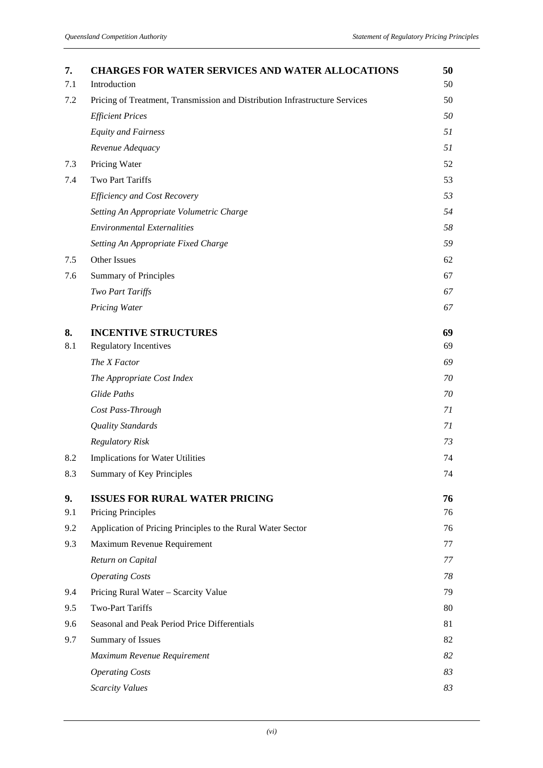| 7.  | <b>CHARGES FOR WATER SERVICES AND WATER ALLOCATIONS</b>                     | 50 |
|-----|-----------------------------------------------------------------------------|----|
| 7.1 | Introduction                                                                | 50 |
| 7.2 | Pricing of Treatment, Transmission and Distribution Infrastructure Services | 50 |
|     | <b>Efficient Prices</b>                                                     | 50 |
|     | <b>Equity and Fairness</b>                                                  | 51 |
|     | Revenue Adequacy                                                            | 51 |
| 7.3 | Pricing Water                                                               | 52 |
| 7.4 | Two Part Tariffs                                                            | 53 |
|     | <b>Efficiency and Cost Recovery</b>                                         | 53 |
|     | Setting An Appropriate Volumetric Charge                                    | 54 |
|     | <b>Environmental Externalities</b>                                          | 58 |
|     | Setting An Appropriate Fixed Charge                                         | 59 |
| 7.5 | Other Issues                                                                | 62 |
| 7.6 | <b>Summary of Principles</b>                                                | 67 |
|     | <b>Two Part Tariffs</b>                                                     | 67 |
|     | <b>Pricing Water</b>                                                        | 67 |
| 8.  | <b>INCENTIVE STRUCTURES</b>                                                 | 69 |
| 8.1 | <b>Regulatory Incentives</b>                                                | 69 |
|     | The X Factor                                                                | 69 |
|     | The Appropriate Cost Index                                                  | 70 |
|     | <b>Glide Paths</b>                                                          | 70 |
|     | Cost Pass-Through                                                           | 71 |
|     | <b>Quality Standards</b>                                                    | 71 |
|     | <b>Regulatory Risk</b>                                                      | 73 |
| 8.2 | Implications for Water Utilities                                            | 74 |
| 8.3 | Summary of Key Principles                                                   | 74 |
| 9.  | <b>ISSUES FOR RURAL WATER PRICING</b>                                       | 76 |
| 9.1 | <b>Pricing Principles</b>                                                   | 76 |
| 9.2 | Application of Pricing Principles to the Rural Water Sector                 | 76 |
| 9.3 | Maximum Revenue Requirement                                                 | 77 |
|     | Return on Capital                                                           | 77 |
|     | <b>Operating Costs</b>                                                      | 78 |
| 9.4 | Pricing Rural Water - Scarcity Value                                        | 79 |
| 9.5 | <b>Two-Part Tariffs</b>                                                     | 80 |
| 9.6 | Seasonal and Peak Period Price Differentials                                | 81 |
| 9.7 | Summary of Issues                                                           | 82 |
|     | Maximum Revenue Requirement                                                 | 82 |
|     | <b>Operating Costs</b>                                                      | 83 |
|     | <b>Scarcity Values</b>                                                      | 83 |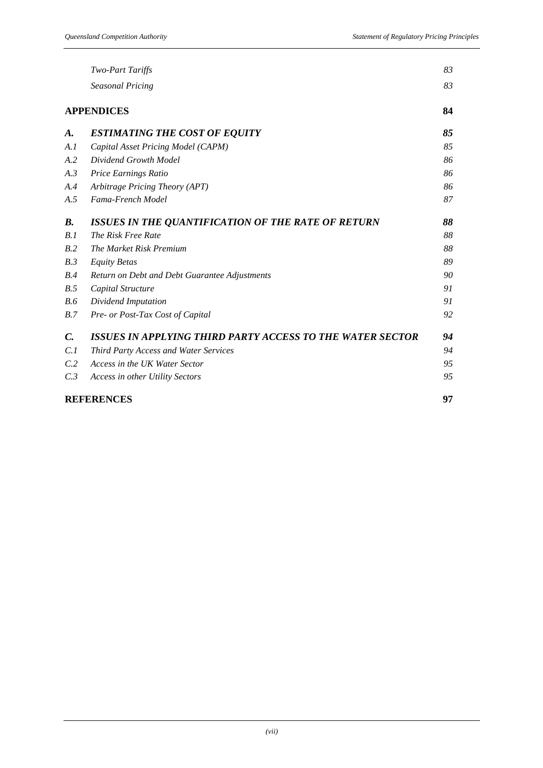|                 | <b>Two-Part Tariffs</b>                                          | 83 |
|-----------------|------------------------------------------------------------------|----|
|                 | <b>Seasonal Pricing</b>                                          | 83 |
|                 | <b>APPENDICES</b>                                                | 84 |
| A.              | <b>ESTIMATING THE COST OF EQUITY</b>                             | 85 |
| A.I             | Capital Asset Pricing Model (CAPM)                               | 85 |
| A.2             | Dividend Growth Model                                            | 86 |
| A.3             | Price Earnings Ratio                                             | 86 |
| A.4             | Arbitrage Pricing Theory (APT)                                   | 86 |
| A.5             | Fama-French Model                                                | 87 |
| <b>B.</b>       | ISSUES IN THE QUANTIFICATION OF THE RATE OF RETURN               | 88 |
| B.1             | The Risk Free Rate                                               | 88 |
| B.2             | <b>The Market Risk Premium</b>                                   | 88 |
| B.3             | <b>Equity Betas</b>                                              | 89 |
| B.4             | Return on Debt and Debt Guarantee Adjustments                    | 90 |
| B.5             | Capital Structure                                                | 91 |
| B.6             | Dividend Imputation                                              | 91 |
| B.7             | Pre- or Post-Tax Cost of Capital                                 | 92 |
| $\mathcal{C}$ . | <b>ISSUES IN APPLYING THIRD PARTY ACCESS TO THE WATER SECTOR</b> | 94 |
| C.1             | Third Party Access and Water Services                            | 94 |
| C.2             | Access in the UK Water Sector                                    | 95 |
| C.3             | Access in other Utility Sectors                                  | 95 |
|                 | <b>REFERENCES</b>                                                | 97 |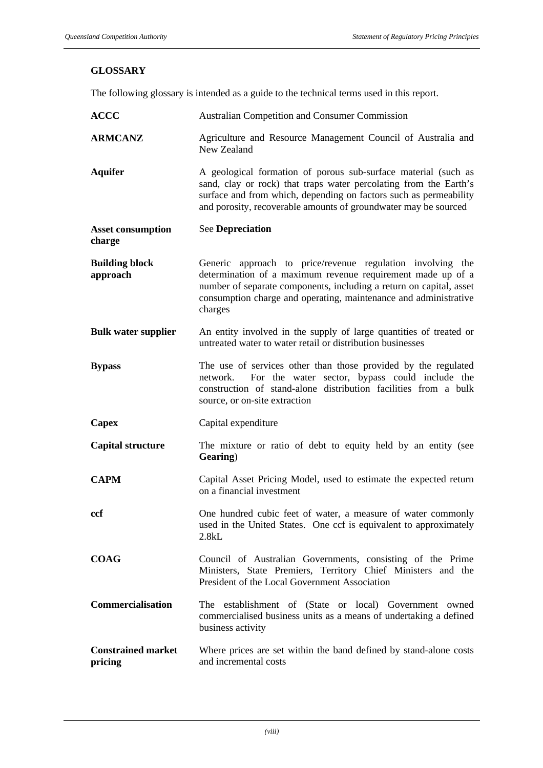## **GLOSSARY**

The following glossary is intended as a guide to the technical terms used in this report.

| <b>ACCC</b>                          | <b>Australian Competition and Consumer Commission</b>                                                                                                                                                                                                                           |
|--------------------------------------|---------------------------------------------------------------------------------------------------------------------------------------------------------------------------------------------------------------------------------------------------------------------------------|
| <b>ARMCANZ</b>                       | Agriculture and Resource Management Council of Australia and<br>New Zealand                                                                                                                                                                                                     |
| <b>Aquifer</b>                       | A geological formation of porous sub-surface material (such as<br>sand, clay or rock) that traps water percolating from the Earth's<br>surface and from which, depending on factors such as permeability<br>and porosity, recoverable amounts of groundwater may be sourced     |
| <b>Asset consumption</b><br>charge   | <b>See Depreciation</b>                                                                                                                                                                                                                                                         |
| <b>Building block</b><br>approach    | Generic approach to price/revenue regulation involving the<br>determination of a maximum revenue requirement made up of a<br>number of separate components, including a return on capital, asset<br>consumption charge and operating, maintenance and administrative<br>charges |
| <b>Bulk water supplier</b>           | An entity involved in the supply of large quantities of treated or<br>untreated water to water retail or distribution businesses                                                                                                                                                |
| <b>Bypass</b>                        | The use of services other than those provided by the regulated<br>For the water sector, bypass could include the<br>network.<br>construction of stand-alone distribution facilities from a bulk<br>source, or on-site extraction                                                |
| Capex                                | Capital expenditure                                                                                                                                                                                                                                                             |
| <b>Capital structure</b>             | The mixture or ratio of debt to equity held by an entity (see<br>Gearing)                                                                                                                                                                                                       |
| <b>CAPM</b>                          | Capital Asset Pricing Model, used to estimate the expected return<br>on a financial investment                                                                                                                                                                                  |
| ccf                                  | One hundred cubic feet of water, a measure of water commonly<br>used in the United States. One ccf is equivalent to approximately<br>2.8kL                                                                                                                                      |
| <b>COAG</b>                          | Council of Australian Governments, consisting of the Prime<br>Ministers, State Premiers, Territory Chief Ministers and the<br>President of the Local Government Association                                                                                                     |
| <b>Commercialisation</b>             | The establishment of (State or local) Government owned<br>commercialised business units as a means of undertaking a defined<br>business activity                                                                                                                                |
| <b>Constrained market</b><br>pricing | Where prices are set within the band defined by stand-alone costs<br>and incremental costs                                                                                                                                                                                      |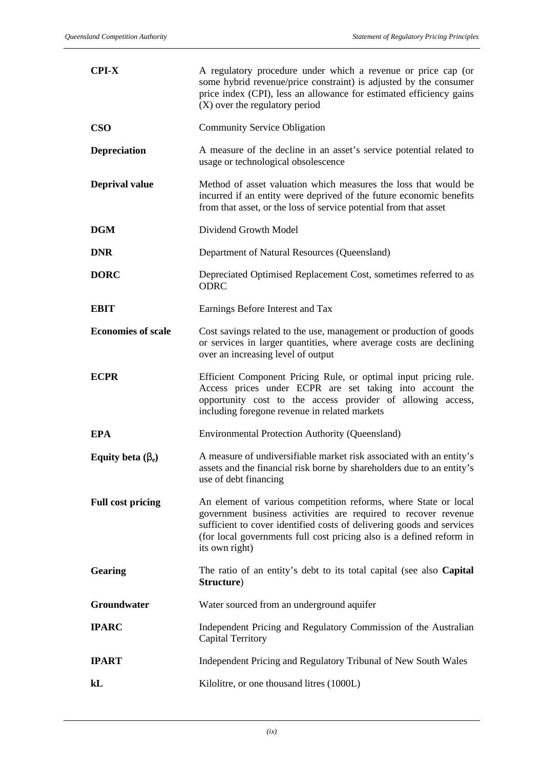| $CPI-X$                   | A regulatory procedure under which a revenue or price cap (or<br>some hybrid revenue/price constraint) is adjusted by the consumer<br>price index (CPI), less an allowance for estimated efficiency gains<br>(X) over the regulatory period                                                          |
|---------------------------|------------------------------------------------------------------------------------------------------------------------------------------------------------------------------------------------------------------------------------------------------------------------------------------------------|
| <b>CSO</b>                | <b>Community Service Obligation</b>                                                                                                                                                                                                                                                                  |
| <b>Depreciation</b>       | A measure of the decline in an asset's service potential related to<br>usage or technological obsolescence                                                                                                                                                                                           |
| <b>Deprival value</b>     | Method of asset valuation which measures the loss that would be<br>incurred if an entity were deprived of the future economic benefits<br>from that asset, or the loss of service potential from that asset                                                                                          |
| <b>DGM</b>                | Dividend Growth Model                                                                                                                                                                                                                                                                                |
| <b>DNR</b>                | Department of Natural Resources (Queensland)                                                                                                                                                                                                                                                         |
| <b>DORC</b>               | Depreciated Optimised Replacement Cost, sometimes referred to as<br><b>ODRC</b>                                                                                                                                                                                                                      |
| <b>EBIT</b>               | Earnings Before Interest and Tax                                                                                                                                                                                                                                                                     |
| <b>Economies of scale</b> | Cost savings related to the use, management or production of goods<br>or services in larger quantities, where average costs are declining<br>over an increasing level of output                                                                                                                      |
| <b>ECPR</b>               | Efficient Component Pricing Rule, or optimal input pricing rule.<br>Access prices under ECPR are set taking into account the<br>opportunity cost to the access provider of allowing access,<br>including foregone revenue in related markets                                                         |
| <b>EPA</b>                | <b>Environmental Protection Authority (Queensland)</b>                                                                                                                                                                                                                                               |
| Equity beta $(b_e)$       | A measure of undiversifiable market risk associated with an entity's<br>assets and the financial risk borne by shareholders due to an entity's<br>use of debt financing                                                                                                                              |
| <b>Full cost pricing</b>  | An element of various competition reforms, where State or local<br>government business activities are required to recover revenue<br>sufficient to cover identified costs of delivering goods and services<br>(for local governments full cost pricing also is a defined reform in<br>its own right) |
| <b>Gearing</b>            | The ratio of an entity's debt to its total capital (see also Capital<br>Structure)                                                                                                                                                                                                                   |
| Groundwater               | Water sourced from an underground aquifer                                                                                                                                                                                                                                                            |
| <b>IPARC</b>              | Independent Pricing and Regulatory Commission of the Australian<br><b>Capital Territory</b>                                                                                                                                                                                                          |
| <b>IPART</b>              | Independent Pricing and Regulatory Tribunal of New South Wales                                                                                                                                                                                                                                       |
| kL                        | Kilolitre, or one thousand litres (1000L)                                                                                                                                                                                                                                                            |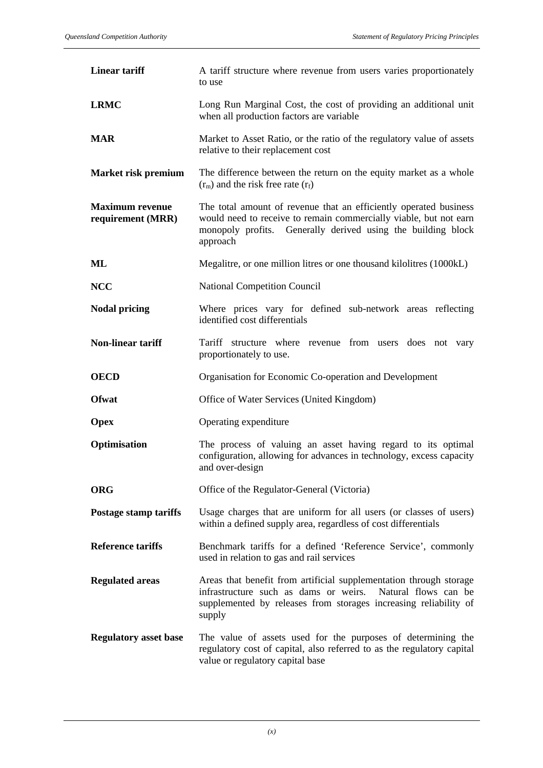| <b>Linear tariff</b>                        | A tariff structure where revenue from users varies proportionately<br>to use                                                                                                                                       |
|---------------------------------------------|--------------------------------------------------------------------------------------------------------------------------------------------------------------------------------------------------------------------|
| <b>LRMC</b>                                 | Long Run Marginal Cost, the cost of providing an additional unit<br>when all production factors are variable                                                                                                       |
| <b>MAR</b>                                  | Market to Asset Ratio, or the ratio of the regulatory value of assets<br>relative to their replacement cost                                                                                                        |
| Market risk premium                         | The difference between the return on the equity market as a whole<br>$(r_m)$ and the risk free rate $(r_f)$                                                                                                        |
| <b>Maximum</b> revenue<br>requirement (MRR) | The total amount of revenue that an efficiently operated business<br>would need to receive to remain commercially viable, but not earn<br>monopoly profits. Generally derived using the building block<br>approach |
| ML                                          | Megalitre, or one million litres or one thousand kilolitres (1000kL)                                                                                                                                               |
| <b>NCC</b>                                  | <b>National Competition Council</b>                                                                                                                                                                                |
| <b>Nodal pricing</b>                        | Where prices vary for defined sub-network areas reflecting<br>identified cost differentials                                                                                                                        |
| <b>Non-linear tariff</b>                    | Tariff structure where revenue from users does not vary<br>proportionately to use.                                                                                                                                 |
| <b>OECD</b>                                 | Organisation for Economic Co-operation and Development                                                                                                                                                             |
|                                             |                                                                                                                                                                                                                    |
| Ofwat                                       | Office of Water Services (United Kingdom)                                                                                                                                                                          |
| <b>Opex</b>                                 | Operating expenditure                                                                                                                                                                                              |
| Optimisation                                | The process of valuing an asset having regard to its optimal<br>configuration, allowing for advances in technology, excess capacity<br>and over-design                                                             |
| <b>ORG</b>                                  | Office of the Regulator-General (Victoria)                                                                                                                                                                         |
| <b>Postage stamp tariffs</b>                | Usage charges that are uniform for all users (or classes of users)<br>within a defined supply area, regardless of cost differentials                                                                               |
| <b>Reference tariffs</b>                    | Benchmark tariffs for a defined 'Reference Service', commonly<br>used in relation to gas and rail services                                                                                                         |
| <b>Regulated areas</b>                      | Areas that benefit from artificial supplementation through storage<br>infrastructure such as dams or weirs.<br>Natural flows can be<br>supplemented by releases from storages increasing reliability of<br>supply  |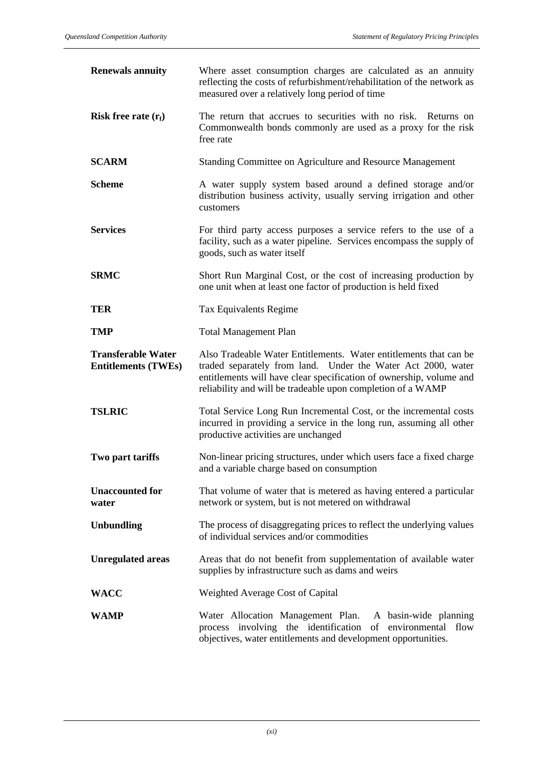| <b>Renewals annuity</b>                                 | Where asset consumption charges are calculated as an annuity<br>reflecting the costs of refurbishment/rehabilitation of the network as<br>measured over a relatively long period of time                                                                                |
|---------------------------------------------------------|-------------------------------------------------------------------------------------------------------------------------------------------------------------------------------------------------------------------------------------------------------------------------|
| Risk free rate $(r_f)$                                  | The return that accrues to securities with no risk. Returns on<br>Commonwealth bonds commonly are used as a proxy for the risk<br>free rate                                                                                                                             |
| <b>SCARM</b>                                            | Standing Committee on Agriculture and Resource Management                                                                                                                                                                                                               |
| <b>Scheme</b>                                           | A water supply system based around a defined storage and/or<br>distribution business activity, usually serving irrigation and other<br>customers                                                                                                                        |
| <b>Services</b>                                         | For third party access purposes a service refers to the use of a<br>facility, such as a water pipeline. Services encompass the supply of<br>goods, such as water itself                                                                                                 |
| <b>SRMC</b>                                             | Short Run Marginal Cost, or the cost of increasing production by<br>one unit when at least one factor of production is held fixed                                                                                                                                       |
| TER                                                     | Tax Equivalents Regime                                                                                                                                                                                                                                                  |
| <b>TMP</b>                                              | <b>Total Management Plan</b>                                                                                                                                                                                                                                            |
| <b>Transferable Water</b><br><b>Entitlements (TWEs)</b> | Also Tradeable Water Entitlements. Water entitlements that can be<br>traded separately from land. Under the Water Act 2000, water<br>entitlements will have clear specification of ownership, volume and<br>reliability and will be tradeable upon completion of a WAMP |
| <b>TSLRIC</b>                                           | Total Service Long Run Incremental Cost, or the incremental costs<br>incurred in providing a service in the long run, assuming all other<br>productive activities are unchanged                                                                                         |
| Two part tariffs                                        | Non-linear pricing structures, under which users face a fixed charge<br>and a variable charge based on consumption                                                                                                                                                      |
| <b>Unaccounted for</b><br>water                         | That volume of water that is metered as having entered a particular<br>network or system, but is not metered on withdrawal                                                                                                                                              |
| <b>Unbundling</b>                                       | The process of disaggregating prices to reflect the underlying values<br>of individual services and/or commodities                                                                                                                                                      |
| <b>Unregulated areas</b>                                | Areas that do not benefit from supplementation of available water<br>supplies by infrastructure such as dams and weirs                                                                                                                                                  |
| <b>WACC</b>                                             | Weighted Average Cost of Capital                                                                                                                                                                                                                                        |
| <b>WAMP</b>                                             | Water Allocation Management Plan. A basin-wide planning<br>process involving the identification<br>of environmental flow<br>objectives, water entitlements and development opportunities.                                                                               |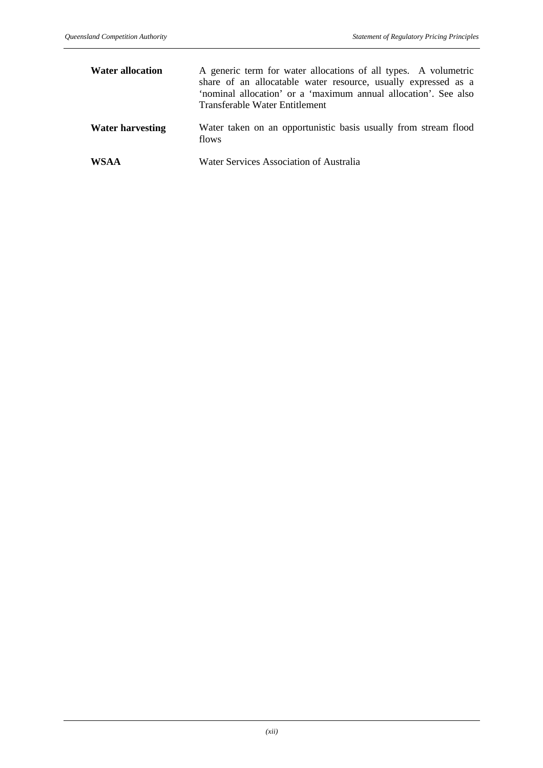| <b>Water allocation</b> | A generic term for water allocations of all types. A volumetric<br>share of an allocatable water resource, usually expressed as a<br>'nominal allocation' or a 'maximum annual allocation'. See also<br>Transferable Water Entitlement |
|-------------------------|----------------------------------------------------------------------------------------------------------------------------------------------------------------------------------------------------------------------------------------|
| <b>Water harvesting</b> | Water taken on an opportunistic basis usually from stream flood<br>flows                                                                                                                                                               |
| <b>WSAA</b>             | Water Services Association of Australia                                                                                                                                                                                                |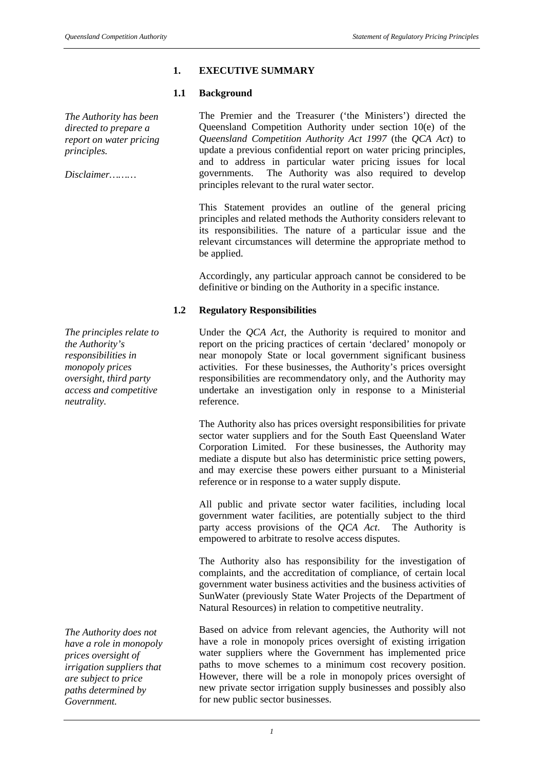## **1. EXECUTIVE SUMMARY**

#### **1.1 Background**

*The Authority has been directed to prepare a report on water pricing principles.*

*Disclaimer………*

*The principles relate to the Authority's responsibilities in monopoly prices oversight, third party access and competitive neutrality.*

*The Authority does not have a role in monopoly prices oversight of irrigation suppliers that are subject to price paths determined by Government.*

The Premier and the Treasurer ('the Ministers') directed the Queensland Competition Authority under section 10(e) of the *Queensland Competition Authority Act 1997* (the *QCA Act*) to update a previous confidential report on water pricing principles, and to address in particular water pricing issues for local governments. The Authority was also required to develop principles relevant to the rural water sector.

This Statement provides an outline of the general pricing principles and related methods the Authority considers relevant to its responsibilities. The nature of a particular issue and the relevant circumstances will determine the appropriate method to be applied.

Accordingly, any particular approach cannot be considered to be definitive or binding on the Authority in a specific instance.

## **1.2 Regulatory Responsibilities**

Under the *QCA Act*, the Authority is required to monitor and report on the pricing practices of certain 'declared' monopoly or near monopoly State or local government significant business activities. For these businesses, the Authority's prices oversight responsibilities are recommendatory only, and the Authority may undertake an investigation only in response to a Ministerial reference.

The Authority also has prices oversight responsibilities for private sector water suppliers and for the South East Queensland Water Corporation Limited. For these businesses, the Authority may mediate a dispute but also has deterministic price setting powers, and may exercise these powers either pursuant to a Ministerial reference or in response to a water supply dispute.

All public and private sector water facilities, including local government water facilities, are potentially subject to the third party access provisions of the *QCA Act*. The Authority is empowered to arbitrate to resolve access disputes.

The Authority also has responsibility for the investigation of complaints, and the accreditation of compliance, of certain local government water business activities and the business activities of SunWater (previously State Water Projects of the Department of Natural Resources) in relation to competitive neutrality.

Based on advice from relevant agencies, the Authority will not have a role in monopoly prices oversight of existing irrigation water suppliers where the Government has implemented price paths to move schemes to a minimum cost recovery position. However, there will be a role in monopoly prices oversight of new private sector irrigation supply businesses and possibly also for new public sector businesses.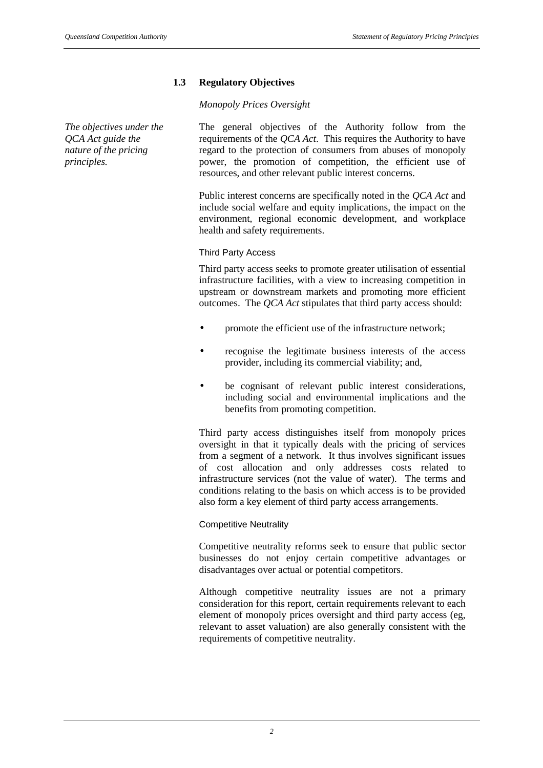## **1.3 Regulatory Objectives**

#### *Monopoly Prices Oversight*

*The objectives under the QCA Act guide the nature of the pricing principles.*

The general objectives of the Authority follow from the requirements of the *QCA Act*. This requires the Authority to have regard to the protection of consumers from abuses of monopoly power, the promotion of competition, the efficient use of resources, and other relevant public interest concerns.

Public interest concerns are specifically noted in the *QCA Act* and include social welfare and equity implications, the impact on the environment, regional economic development, and workplace health and safety requirements.

#### Third Party Access

Third party access seeks to promote greater utilisation of essential infrastructure facilities, with a view to increasing competition in upstream or downstream markets and promoting more efficient outcomes. The *QCA Act* stipulates that third party access should:

- promote the efficient use of the infrastructure network;
- recognise the legitimate business interests of the access provider, including its commercial viability; and,
- be cognisant of relevant public interest considerations, including social and environmental implications and the benefits from promoting competition.

Third party access distinguishes itself from monopoly prices oversight in that it typically deals with the pricing of services from a segment of a network. It thus involves significant issues of cost allocation and only addresses costs related to infrastructure services (not the value of water). The terms and conditions relating to the basis on which access is to be provided also form a key element of third party access arrangements.

## Competitive Neutrality

Competitive neutrality reforms seek to ensure that public sector businesses do not enjoy certain competitive advantages or disadvantages over actual or potential competitors.

Although competitive neutrality issues are not a primary consideration for this report, certain requirements relevant to each element of monopoly prices oversight and third party access (eg, relevant to asset valuation) are also generally consistent with the requirements of competitive neutrality.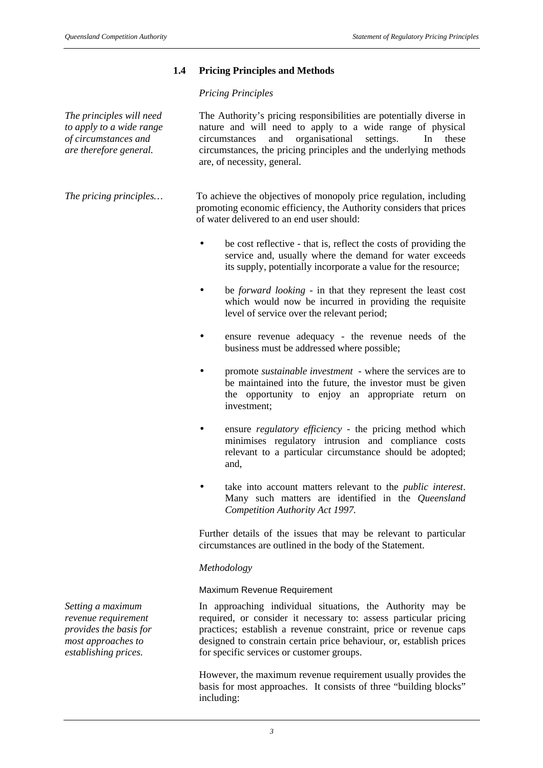## **1.4 Pricing Principles and Methods**

#### *Pricing Principles*

*The principles will need to apply to a wide range of circumstances and are therefore general.*

The Authority's pricing responsibilities are potentially diverse in nature and will need to apply to a wide range of physical circumstances and organisational settings. In these circumstances, the pricing principles and the underlying methods are, of necessity, general.

*The pricing principles...* To achieve the objectives of monopoly price regulation, including promoting economic efficiency, the Authority considers that prices of water delivered to an end user should:

- be cost reflective that is, reflect the costs of providing the service and, usually where the demand for water exceeds its supply, potentially incorporate a value for the resource;
- be *forward looking* in that they represent the least cost which would now be incurred in providing the requisite level of service over the relevant period;
- ensure revenue adequacy the revenue needs of the business must be addressed where possible;
- promote *sustainable investment* where the services are to be maintained into the future, the investor must be given the opportunity to enjoy an appropriate return on investment;
- ensure *regulatory efficiency* the pricing method which minimises regulatory intrusion and compliance costs relevant to a particular circumstance should be adopted; and,
- take into account matters relevant to the *public interest*. Many such matters are identified in the *Queensland Competition Authority Act 1997.*

Further details of the issues that may be relevant to particular circumstances are outlined in the body of the Statement.

#### *Methodology*

#### Maximum Revenue Requirement

In approaching individual situations, the Authority may be required, or consider it necessary to: assess particular pricing practices; establish a revenue constraint, price or revenue caps designed to constrain certain price behaviour, or, establish prices for specific services or customer groups.

However, the maximum revenue requirement usually provides the basis for most approaches. It consists of three "building blocks" including:

*Setting a maximum revenue requirement provides the basis for most approaches to establishing prices.*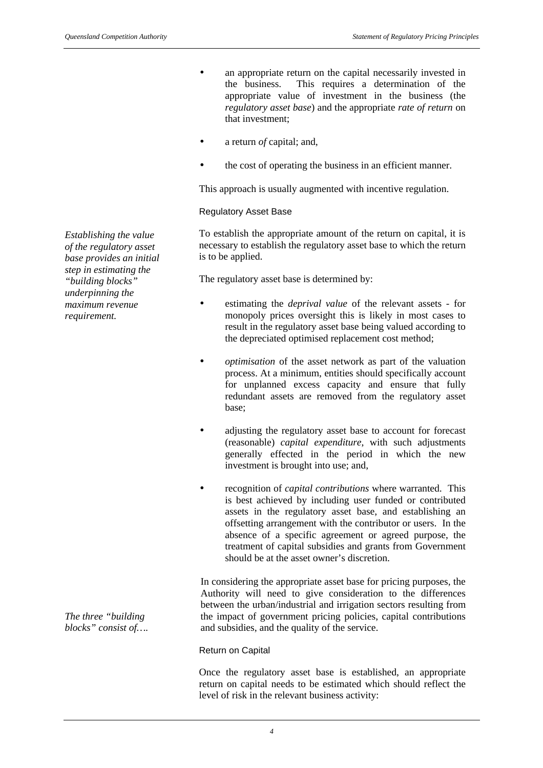- an appropriate return on the capital necessarily invested in the business. This requires a determination of the appropriate value of investment in the business (the *regulatory asset base*) and the appropriate *rate of return* on that investment;
- a return *of* capital; and,
- the cost of operating the business in an efficient manner.

This approach is usually augmented with incentive regulation.

#### Regulatory Asset Base

To establish the appropriate amount of the return on capital, it is necessary to establish the regulatory asset base to which the return is to be applied.

The regulatory asset base is determined by:

- estimating the *deprival value* of the relevant assets for monopoly prices oversight this is likely in most cases to result in the regulatory asset base being valued according to the depreciated optimised replacement cost method;
- *optimisation* of the asset network as part of the valuation process. At a minimum, entities should specifically account for unplanned excess capacity and ensure that fully redundant assets are removed from the regulatory asset base;
- adjusting the regulatory asset base to account for forecast (reasonable) *capital expenditure*, with such adjustments generally effected in the period in which the new investment is brought into use; and,
- recognition of *capital contributions* where warranted. This is best achieved by including user funded or contributed assets in the regulatory asset base, and establishing an offsetting arrangement with the contributor or users. In the absence of a specific agreement or agreed purpose, the treatment of capital subsidies and grants from Government should be at the asset owner's discretion.

In considering the appropriate asset base for pricing purposes, the Authority will need to give consideration to the differences between the urban/industrial and irrigation sectors resulting from the impact of government pricing policies, capital contributions and subsidies, and the quality of the service.

#### Return on Capital

Once the regulatory asset base is established, an appropriate return on capital needs to be estimated which should reflect the level of risk in the relevant business activity:

*Establishing the value of the regulatory asset base provides an initial step in estimating the "building blocks" underpinning the maximum revenue requirement.*

*The three "building blocks" consist of….*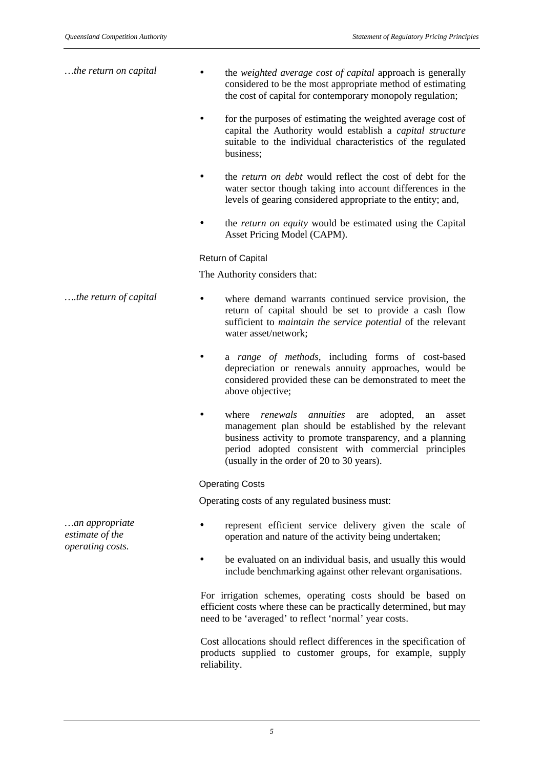| the return on capital | the weighted average cost of capital approach is generally<br>considered to be the most appropriate method of estimating<br>the cost of capital for contemporary monopoly regulation;                                                                                                       |
|-----------------------|---------------------------------------------------------------------------------------------------------------------------------------------------------------------------------------------------------------------------------------------------------------------------------------------|
|                       | for the purposes of estimating the weighted average cost of<br>capital the Authority would establish a <i>capital structure</i><br>suitable to the individual characteristics of the regulated<br>business;                                                                                 |
|                       | the return on debt would reflect the cost of debt for the<br>water sector though taking into account differences in the<br>levels of gearing considered appropriate to the entity; and,                                                                                                     |
|                       | the return on equity would be estimated using the Capital<br>Asset Pricing Model (CAPM).                                                                                                                                                                                                    |
|                       | <b>Return of Capital</b>                                                                                                                                                                                                                                                                    |
|                       | The Authority considers that:                                                                                                                                                                                                                                                               |
| the return of capital | where demand warrants continued service provision, the<br>return of capital should be set to provide a cash flow<br>sufficient to <i>maintain the service potential</i> of the relevant<br>water asset/network;                                                                             |
|                       | a range of methods, including forms of cost-based<br>depreciation or renewals annuity approaches, would be<br>considered provided these can be demonstrated to meet the<br>above objective;                                                                                                 |
|                       | annuities<br>where<br>renewals<br>adopted,<br>are<br>an<br>asset<br>management plan should be established by the relevant<br>business activity to promote transparency, and a planning<br>period adopted consistent with commercial principles<br>(usually in the order of 20 to 30 years). |
|                       | <b>Operating Costs</b>                                                                                                                                                                                                                                                                      |
|                       | Operating costs of any regulated business must:                                                                                                                                                                                                                                             |

- represent efficient service delivery given the scale of operation and nature of the activity being undertaken;
	- be evaluated on an individual basis, and usually this would include benchmarking against other relevant organisations.

For irrigation schemes, operating costs should be based on efficient costs where these can be practically determined, but may need to be 'averaged' to reflect 'normal' year costs.

Cost allocations should reflect differences in the specification of products supplied to customer groups, for example, supply reliability.

*…an appropriate estimate of the operating costs.*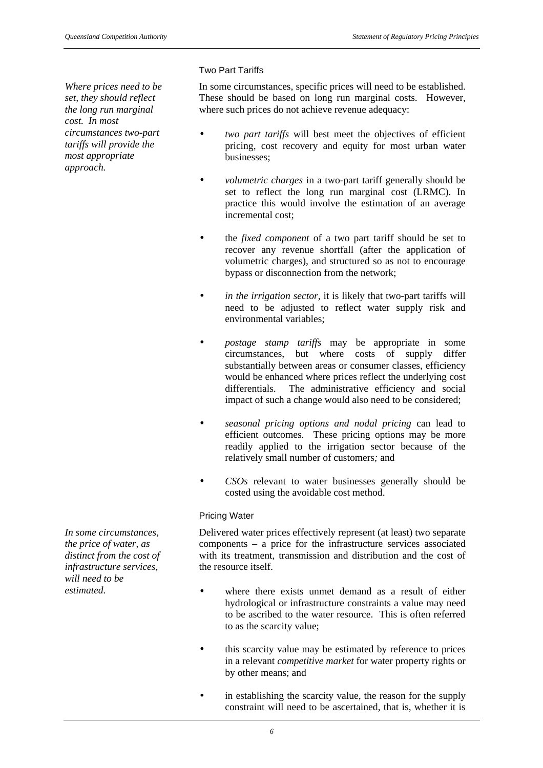*Where prices need to be set, they should reflect the long run marginal cost. In most circumstances two-part tariffs will provide the most appropriate approach.*

#### Two Part Tariffs

In some circumstances, specific prices will need to be established. These should be based on long run marginal costs. However, where such prices do not achieve revenue adequacy:

- *two part tariffs* will best meet the objectives of efficient pricing, cost recovery and equity for most urban water businesses;
- *volumetric charges* in a two-part tariff generally should be set to reflect the long run marginal cost (LRMC). In practice this would involve the estimation of an average incremental cost;
- the *fixed component* of a two part tariff should be set to recover any revenue shortfall (after the application of volumetric charges), and structured so as not to encourage bypass or disconnection from the network;
- *in the irrigation sector,* it is likely that two-part tariffs will need to be adjusted to reflect water supply risk and environmental variables;
- *postage stamp tariffs* may be appropriate in some circumstances, but where costs of supply differ substantially between areas or consumer classes, efficiency would be enhanced where prices reflect the underlying cost differentials. The administrative efficiency and social impact of such a change would also need to be considered;
- *seasonal pricing options and nodal pricing* can lead to efficient outcomes. These pricing options may be more readily applied to the irrigation sector because of the relatively small number of customers*;* and
- *CSOs* relevant to water businesses generally should be costed using the avoidable cost method.

## Pricing Water

Delivered water prices effectively represent (at least) two separate components – a price for the infrastructure services associated with its treatment, transmission and distribution and the cost of the resource itself.

- where there exists unmet demand as a result of either hydrological or infrastructure constraints a value may need to be ascribed to the water resource. This is often referred to as the scarcity value;
- this scarcity value may be estimated by reference to prices in a relevant *competitive market* for water property rights or by other means; and
- in establishing the scarcity value, the reason for the supply constraint will need to be ascertained, that is, whether it is

*In some circumstances, the price of water, as distinct from the cost of infrastructure services, will need to be estimated.*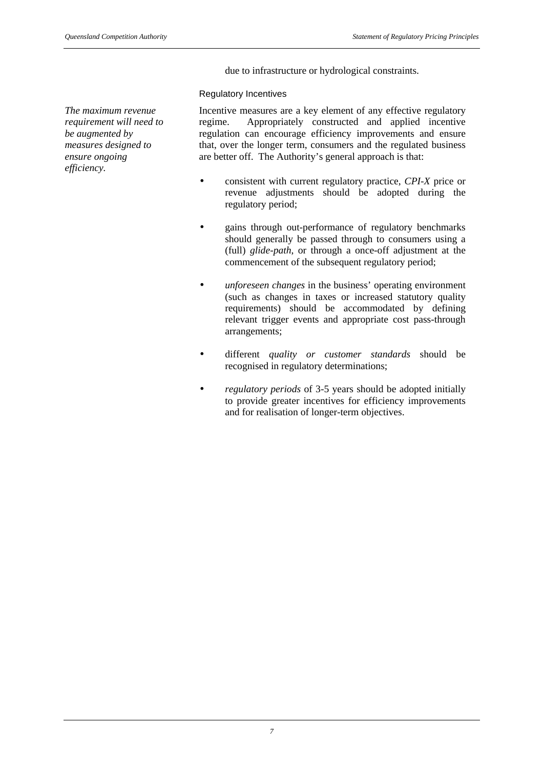due to infrastructure or hydrological constraints.

#### Regulatory Incentives

*The maximum revenue requirement will need to be augmented by measures designed to ensure ongoing efficiency.*

Incentive measures are a key element of any effective regulatory regime. Appropriately constructed and applied incentive regulation can encourage efficiency improvements and ensure that, over the longer term, consumers and the regulated business are better off. The Authority's general approach is that:

- consistent with current regulatory practice, *CPI-X* price or revenue adjustments should be adopted during the regulatory period;
- gains through out-performance of regulatory benchmarks should generally be passed through to consumers using a (full) *glide-path*, or through a once-off adjustment at the commencement of the subsequent regulatory period;
- *unforeseen changes* in the business' operating environment (such as changes in taxes or increased statutory quality requirements) should be accommodated by defining relevant trigger events and appropriate cost pass-through arrangements;
- different *quality or customer standards* should be recognised in regulatory determinations;
- *regulatory periods* of 3-5 years should be adopted initially to provide greater incentives for efficiency improvements and for realisation of longer-term objectives.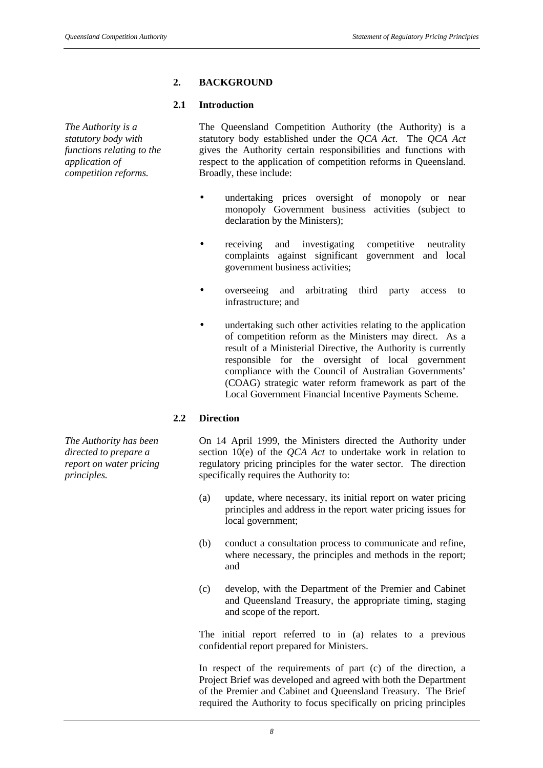## **2. BACKGROUND**

#### **2.1 Introduction**

*The Authority is a statutory body with functions relating to the application of competition reforms.*

The Queensland Competition Authority (the Authority) is a statutory body established under the *QCA Act*. The *QCA Act* gives the Authority certain responsibilities and functions with respect to the application of competition reforms in Queensland. Broadly, these include:

- undertaking prices oversight of monopoly or near monopoly Government business activities (subject to declaration by the Ministers);
- receiving and investigating competitive neutrality complaints against significant government and local government business activities;
- overseeing and arbitrating third party access to infrastructure; and
- undertaking such other activities relating to the application of competition reform as the Ministers may direct. As a result of a Ministerial Directive, the Authority is currently responsible for the oversight of local government compliance with the Council of Australian Governments' (COAG) strategic water reform framework as part of the Local Government Financial Incentive Payments Scheme.

## **2.2 Direction**

On 14 April 1999, the Ministers directed the Authority under section 10(e) of the *QCA Act* to undertake work in relation to regulatory pricing principles for the water sector. The direction specifically requires the Authority to:

- (a) update, where necessary, its initial report on water pricing principles and address in the report water pricing issues for local government;
- (b) conduct a consultation process to communicate and refine, where necessary, the principles and methods in the report; and
- (c) develop, with the Department of the Premier and Cabinet and Queensland Treasury, the appropriate timing, staging and scope of the report.

The initial report referred to in (a) relates to a previous confidential report prepared for Ministers.

In respect of the requirements of part (c) of the direction, a Project Brief was developed and agreed with both the Department of the Premier and Cabinet and Queensland Treasury. The Brief required the Authority to focus specifically on pricing principles

*The Authority has been directed to prepare a report on water pricing principles.*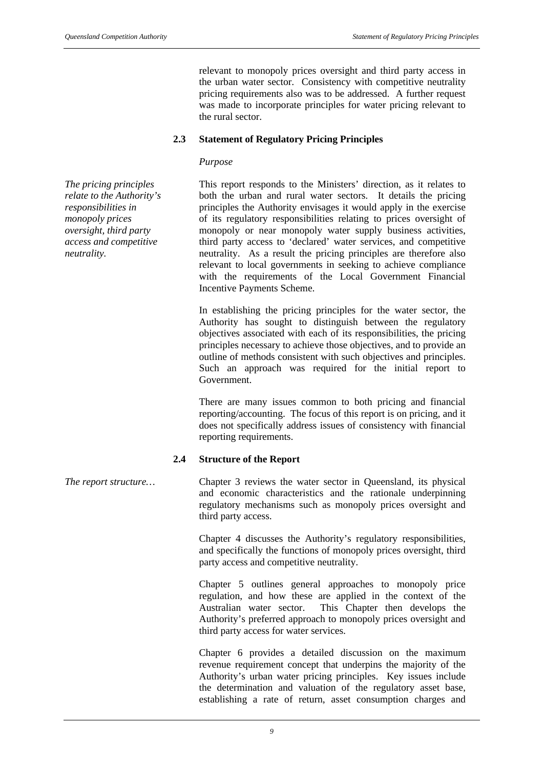relevant to monopoly prices oversight and third party access in the urban water sector. Consistency with competitive neutrality pricing requirements also was to be addressed. A further request was made to incorporate principles for water pricing relevant to the rural sector.

#### **2.3 Statement of Regulatory Pricing Principles**

#### *Purpose*

*The pricing principles relate to the Authority's responsibilities in monopoly prices oversight, third party access and competitive neutrality.*

This report responds to the Ministers' direction, as it relates to both the urban and rural water sectors. It details the pricing principles the Authority envisages it would apply in the exercise of its regulatory responsibilities relating to prices oversight of monopoly or near monopoly water supply business activities, third party access to 'declared' water services, and competitive neutrality. As a result the pricing principles are therefore also relevant to local governments in seeking to achieve compliance with the requirements of the Local Government Financial Incentive Payments Scheme.

In establishing the pricing principles for the water sector, the Authority has sought to distinguish between the regulatory objectives associated with each of its responsibilities, the pricing principles necessary to achieve those objectives, and to provide an outline of methods consistent with such objectives and principles. Such an approach was required for the initial report to Government.

There are many issues common to both pricing and financial reporting/accounting. The focus of this report is on pricing, and it does not specifically address issues of consistency with financial reporting requirements.

#### **2.4 Structure of the Report**

*The report structure*… Chapter 3 reviews the water sector in Queensland, its physical and economic characteristics and the rationale underpinning regulatory mechanisms such as monopoly prices oversight and third party access.

> Chapter 4 discusses the Authority's regulatory responsibilities, and specifically the functions of monopoly prices oversight, third party access and competitive neutrality.

> Chapter 5 outlines general approaches to monopoly price regulation, and how these are applied in the context of the Australian water sector. This Chapter then develops the Authority's preferred approach to monopoly prices oversight and third party access for water services.

> Chapter 6 provides a detailed discussion on the maximum revenue requirement concept that underpins the majority of the Authority's urban water pricing principles. Key issues include the determination and valuation of the regulatory asset base, establishing a rate of return, asset consumption charges and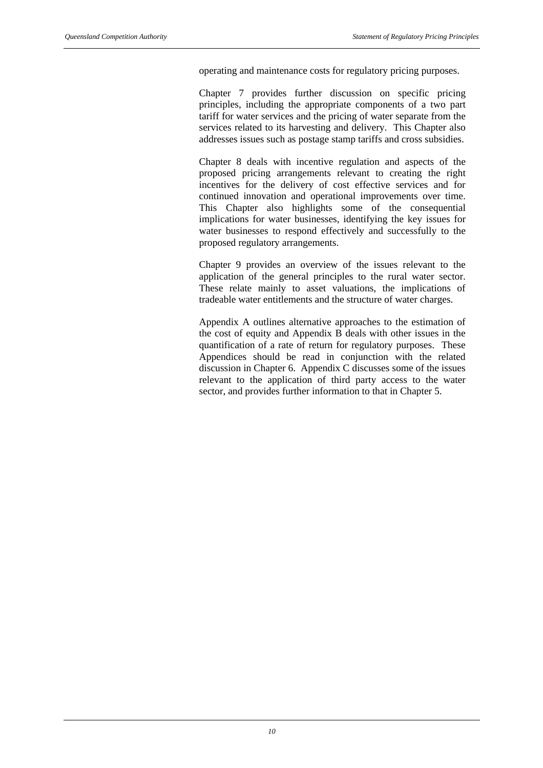operating and maintenance costs for regulatory pricing purposes.

Chapter 7 provides further discussion on specific pricing principles, including the appropriate components of a two part tariff for water services and the pricing of water separate from the services related to its harvesting and delivery. This Chapter also addresses issues such as postage stamp tariffs and cross subsidies.

Chapter 8 deals with incentive regulation and aspects of the proposed pricing arrangements relevant to creating the right incentives for the delivery of cost effective services and for continued innovation and operational improvements over time. This Chapter also highlights some of the consequential implications for water businesses, identifying the key issues for water businesses to respond effectively and successfully to the proposed regulatory arrangements.

Chapter 9 provides an overview of the issues relevant to the application of the general principles to the rural water sector. These relate mainly to asset valuations, the implications of tradeable water entitlements and the structure of water charges.

Appendix A outlines alternative approaches to the estimation of the cost of equity and Appendix B deals with other issues in the quantification of a rate of return for regulatory purposes. These Appendices should be read in conjunction with the related discussion in Chapter 6. Appendix C discusses some of the issues relevant to the application of third party access to the water sector, and provides further information to that in Chapter 5.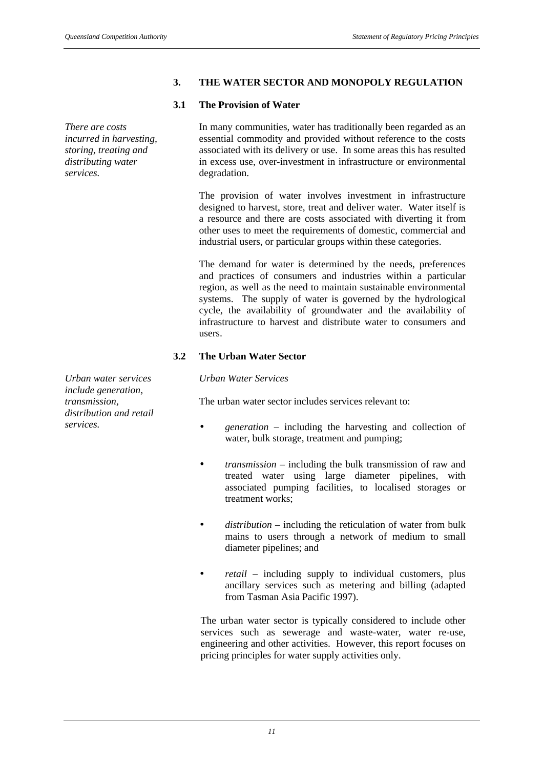#### **3. THE WATER SECTOR AND MONOPOLY REGULATION**

#### **3.1 The Provision of Water**

*There are costs incurred in harvesting, storing, treating and distributing water services.*

*Urban water services include generation, transmission, distribution and retail* In many communities, water has traditionally been regarded as an essential commodity and provided without reference to the costs associated with its delivery or use. In some areas this has resulted in excess use, over-investment in infrastructure or environmental degradation.

The provision of water involves investment in infrastructure designed to harvest, store, treat and deliver water. Water itself is a resource and there are costs associated with diverting it from other uses to meet the requirements of domestic, commercial and industrial users, or particular groups within these categories.

The demand for water is determined by the needs, preferences and practices of consumers and industries within a particular region, as well as the need to maintain sustainable environmental systems. The supply of water is governed by the hydrological cycle, the availability of groundwater and the availability of infrastructure to harvest and distribute water to consumers and users.

#### **3.2 The Urban Water Sector**

*Urban Water Services*

The urban water sector includes services relevant to:

- *services. generation* including the harvesting and collection of water, bulk storage, treatment and pumping;
	- *transmission* including the bulk transmission of raw and treated water using large diameter pipelines, with associated pumping facilities, to localised storages or treatment works;
	- *distribution* including the reticulation of water from bulk mains to users through a network of medium to small diameter pipelines; and
	- *retail* including supply to individual customers, plus ancillary services such as metering and billing (adapted from Tasman Asia Pacific 1997).

The urban water sector is typically considered to include other services such as sewerage and waste-water, water re-use, engineering and other activities. However, this report focuses on pricing principles for water supply activities only.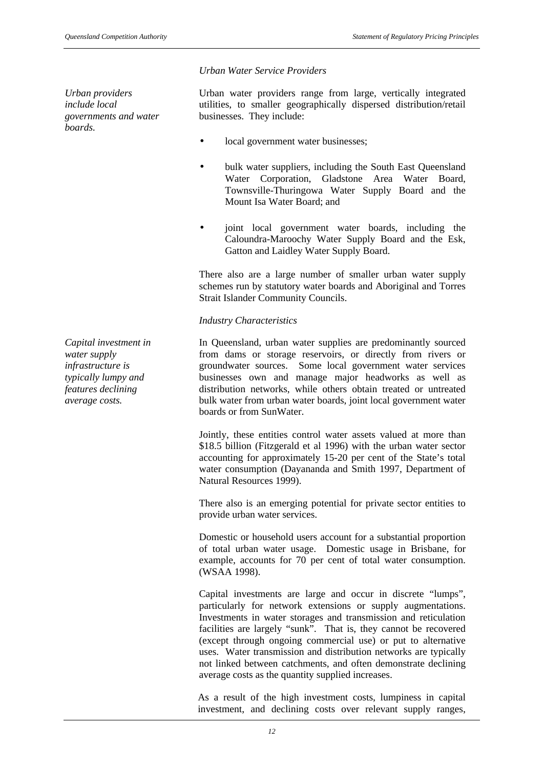*Capital investment in water supply infrastructure is typically lumpy and features declining average costs.*

Urban water providers range from large, vertically integrated utilities, to smaller geographically dispersed distribution/retail businesses. They include:

- local government water businesses;
- bulk water suppliers, including the South East Queensland Water Corporation, Gladstone Area Water Board, Townsville-Thuringowa Water Supply Board and the Mount Isa Water Board; and
- joint local government water boards, including the Caloundra-Maroochy Water Supply Board and the Esk, Gatton and Laidley Water Supply Board.

There also are a large number of smaller urban water supply schemes run by statutory water boards and Aboriginal and Torres Strait Islander Community Councils.

#### *Industry Characteristics*

In Queensland, urban water supplies are predominantly sourced from dams or storage reservoirs, or directly from rivers or groundwater sources. Some local government water services businesses own and manage major headworks as well as distribution networks, while others obtain treated or untreated bulk water from urban water boards, joint local government water boards or from SunWater.

Jointly, these entities control water assets valued at more than \$18.5 billion (Fitzgerald et al 1996) with the urban water sector accounting for approximately 15-20 per cent of the State's total water consumption (Dayananda and Smith 1997, Department of Natural Resources 1999).

There also is an emerging potential for private sector entities to provide urban water services.

Domestic or household users account for a substantial proportion of total urban water usage. Domestic usage in Brisbane, for example, accounts for 70 per cent of total water consumption. (WSAA 1998).

Capital investments are large and occur in discrete "lumps", particularly for network extensions or supply augmentations. Investments in water storages and transmission and reticulation facilities are largely "sunk". That is, they cannot be recovered (except through ongoing commercial use) or put to alternative uses. Water transmission and distribution networks are typically not linked between catchments, and often demonstrate declining average costs as the quantity supplied increases.

As a result of the high investment costs, lumpiness in capital investment, and declining costs over relevant supply ranges,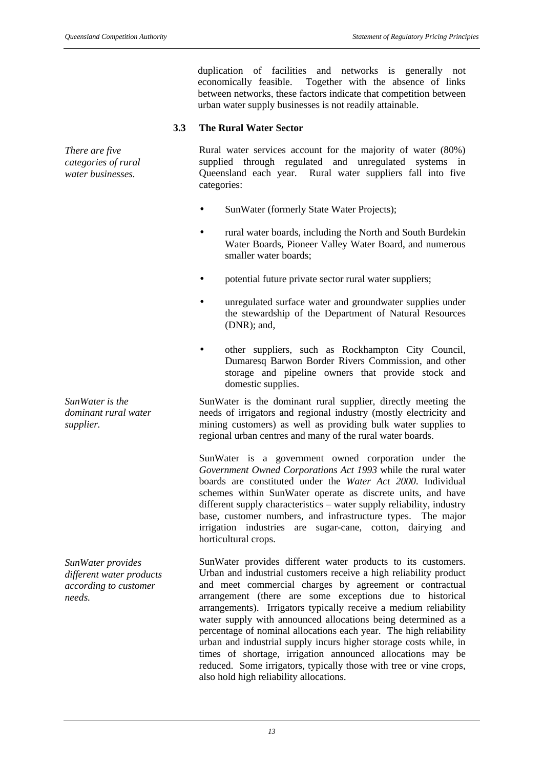duplication of facilities and networks is generally not economically feasible. Together with the absence of links between networks, these factors indicate that competition between urban water supply businesses is not readily attainable.

#### **3.3 The Rural Water Sector**

*There are five categories of rural water businesses.*

Rural water services account for the majority of water (80%) supplied through regulated and unregulated systems in Queensland each year. Rural water suppliers fall into five categories:

- SunWater (formerly State Water Projects);
- rural water boards, including the North and South Burdekin Water Boards, Pioneer Valley Water Board, and numerous smaller water boards;
- potential future private sector rural water suppliers;
- unregulated surface water and groundwater supplies under the stewardship of the Department of Natural Resources (DNR); and,
- other suppliers, such as Rockhampton City Council, Dumaresq Barwon Border Rivers Commission, and other storage and pipeline owners that provide stock and domestic supplies.

SunWater is the dominant rural supplier, directly meeting the needs of irrigators and regional industry (mostly electricity and mining customers) as well as providing bulk water supplies to regional urban centres and many of the rural water boards.

SunWater is a government owned corporation under the *Government Owned Corporations Act 1993* while the rural water boards are constituted under the *Water Act 2000*. Individual schemes within SunWater operate as discrete units, and have different supply characteristics – water supply reliability, industry base, customer numbers, and infrastructure types. The major irrigation industries are sugar-cane, cotton, dairying and horticultural crops.

SunWater provides different water products to its customers. Urban and industrial customers receive a high reliability product and meet commercial charges by agreement or contractual arrangement (there are some exceptions due to historical arrangements). Irrigators typically receive a medium reliability water supply with announced allocations being determined as a percentage of nominal allocations each year. The high reliability urban and industrial supply incurs higher storage costs while, in times of shortage, irrigation announced allocations may be reduced. Some irrigators, typically those with tree or vine crops, also hold high reliability allocations.

*SunWater is the dominant rural water supplier.*

*SunWater provides different water products according to customer needs.*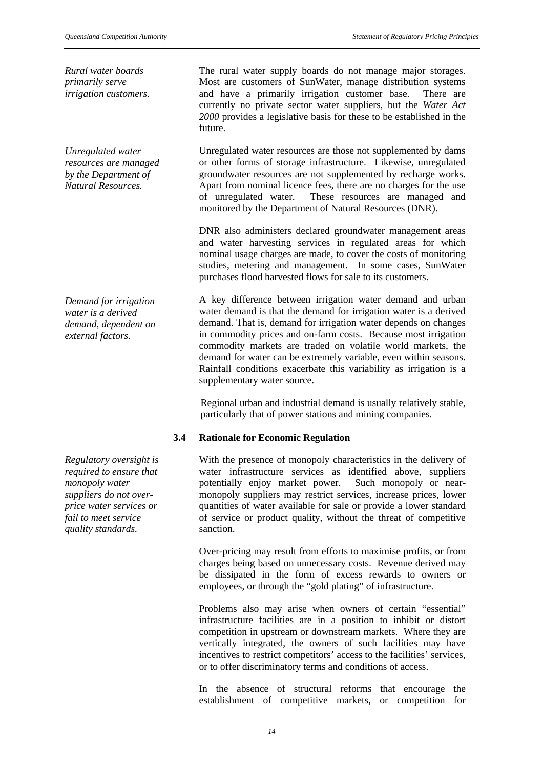*Rural water boards primarily serve irrigation customers.*

*Unregulated water resources are managed by the Department of Natural Resources.*

*Demand for irrigation water is a derived demand, dependent on external factors.*

*Regulatory oversight is required to ensure that monopoly water suppliers do not overprice water services or fail to meet service quality standards.*

The rural water supply boards do not manage major storages. Most are customers of SunWater, manage distribution systems and have a primarily irrigation customer base. There are currently no private sector water suppliers, but the *Water Act 2000* provides a legislative basis for these to be established in the future.

Unregulated water resources are those not supplemented by dams or other forms of storage infrastructure. Likewise, unregulated groundwater resources are not supplemented by recharge works. Apart from nominal licence fees, there are no charges for the use of unregulated water. These resources are managed and monitored by the Department of Natural Resources (DNR).

DNR also administers declared groundwater management areas and water harvesting services in regulated areas for which nominal usage charges are made, to cover the costs of monitoring studies, metering and management. In some cases, SunWater purchases flood harvested flows for sale to its customers.

A key difference between irrigation water demand and urban water demand is that the demand for irrigation water is a derived demand. That is, demand for irrigation water depends on changes in commodity prices and on-farm costs. Because most irrigation commodity markets are traded on volatile world markets, the demand for water can be extremely variable, even within seasons. Rainfall conditions exacerbate this variability as irrigation is a supplementary water source.

Regional urban and industrial demand is usually relatively stable, particularly that of power stations and mining companies.

## **3.4 Rationale for Economic Regulation**

With the presence of monopoly characteristics in the delivery of water infrastructure services as identified above, suppliers potentially enjoy market power. Such monopoly or nearmonopoly suppliers may restrict services, increase prices, lower quantities of water available for sale or provide a lower standard of service or product quality, without the threat of competitive sanction.

Over-pricing may result from efforts to maximise profits, or from charges being based on unnecessary costs. Revenue derived may be dissipated in the form of excess rewards to owners or employees, or through the "gold plating" of infrastructure.

Problems also may arise when owners of certain "essential" infrastructure facilities are in a position to inhibit or distort competition in upstream or downstream markets. Where they are vertically integrated, the owners of such facilities may have incentives to restrict competitors' access to the facilities' services, or to offer discriminatory terms and conditions of access.

In the absence of structural reforms that encourage the establishment of competitive markets, or competition for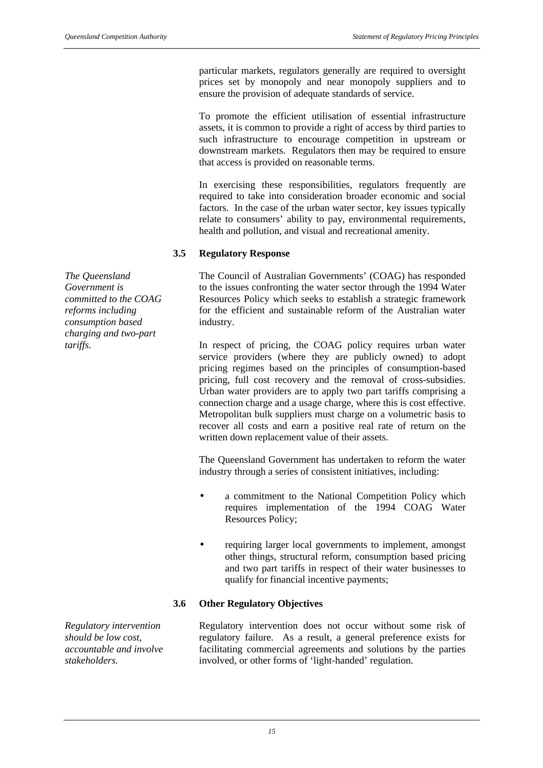particular markets, regulators generally are required to oversight prices set by monopoly and near monopoly suppliers and to ensure the provision of adequate standards of service.

To promote the efficient utilisation of essential infrastructure assets, it is common to provide a right of access by third parties to such infrastructure to encourage competition in upstream or downstream markets. Regulators then may be required to ensure that access is provided on reasonable terms.

In exercising these responsibilities, regulators frequently are required to take into consideration broader economic and social factors. In the case of the urban water sector, key issues typically relate to consumers' ability to pay, environmental requirements, health and pollution, and visual and recreational amenity.

#### **3.5 Regulatory Response**

The Council of Australian Governments' (COAG) has responded to the issues confronting the water sector through the 1994 Water Resources Policy which seeks to establish a strategic framework for the efficient and sustainable reform of the Australian water industry.

*tariffs.* In respect of pricing, the COAG policy requires urban water service providers (where they are publicly owned) to adopt pricing regimes based on the principles of consumption-based pricing, full cost recovery and the removal of cross-subsidies. Urban water providers are to apply two part tariffs comprising a connection charge and a usage charge, where this is cost effective. Metropolitan bulk suppliers must charge on a volumetric basis to recover all costs and earn a positive real rate of return on the written down replacement value of their assets.

> The Queensland Government has undertaken to reform the water industry through a series of consistent initiatives, including:

- a commitment to the National Competition Policy which requires implementation of the 1994 COAG Water Resources Policy;
- requiring larger local governments to implement, amongst other things, structural reform, consumption based pricing and two part tariffs in respect of their water businesses to qualify for financial incentive payments;

## **3.6 Other Regulatory Objectives**

*Regulatory intervention should be low cost, accountable and involve stakeholders.*

Regulatory intervention does not occur without some risk of regulatory failure. As a result, a general preference exists for facilitating commercial agreements and solutions by the parties involved, or other forms of 'light-handed' regulation.

*The Queensland Government is committed to the COAG reforms including consumption based charging and two-part*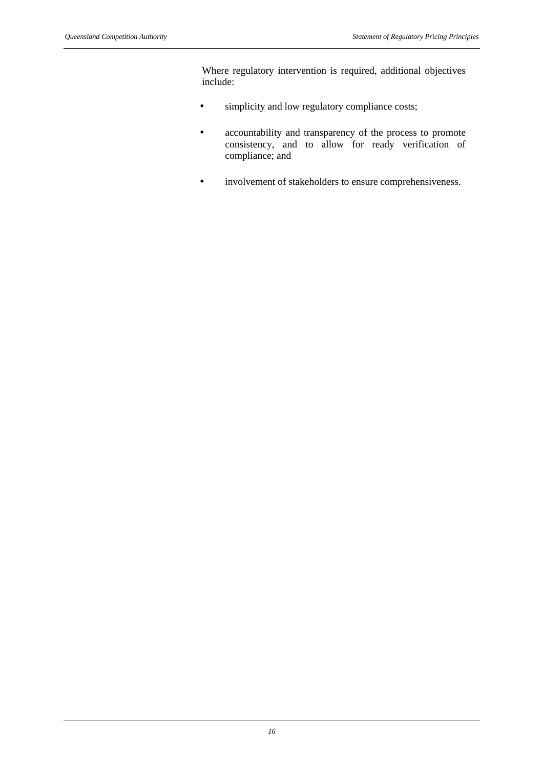Where regulatory intervention is required, additional objectives include:

- simplicity and low regulatory compliance costs;
- accountability and transparency of the process to promote consistency, and to allow for ready verification of compliance; and
- involvement of stakeholders to ensure comprehensiveness.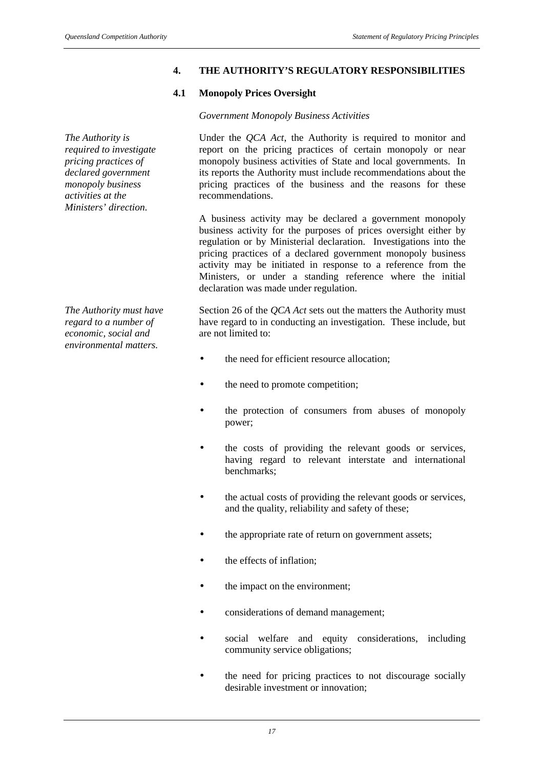#### **4. THE AUTHORITY'S REGULATORY RESPONSIBILITIES**

#### **4.1 Monopoly Prices Oversight**

#### *Government Monopoly Business Activities*

Under the *QCA Act*, the Authority is required to monitor and report on the pricing practices of certain monopoly or near monopoly business activities of State and local governments. In its reports the Authority must include recommendations about the pricing practices of the business and the reasons for these recommendations.

A business activity may be declared a government monopoly business activity for the purposes of prices oversight either by regulation or by Ministerial declaration. Investigations into the pricing practices of a declared government monopoly business activity may be initiated in response to a reference from the Ministers, or under a standing reference where the initial declaration was made under regulation.

Section 26 of the *QCA Act* sets out the matters the Authority must have regard to in conducting an investigation. These include, but are not limited to:

- the need for efficient resource allocation;
- the need to promote competition;
- the protection of consumers from abuses of monopoly power;
- the costs of providing the relevant goods or services, having regard to relevant interstate and international benchmarks;
- the actual costs of providing the relevant goods or services, and the quality, reliability and safety of these;
- the appropriate rate of return on government assets;
- the effects of inflation:
- the impact on the environment:
- considerations of demand management;
- social welfare and equity considerations, including community service obligations;
- the need for pricing practices to not discourage socially desirable investment or innovation;

*The Authority is required to investigate pricing practices of declared government monopoly business activities at the Ministers' direction.*

*The Authority must have regard to a number of economic, social and environmental matters.*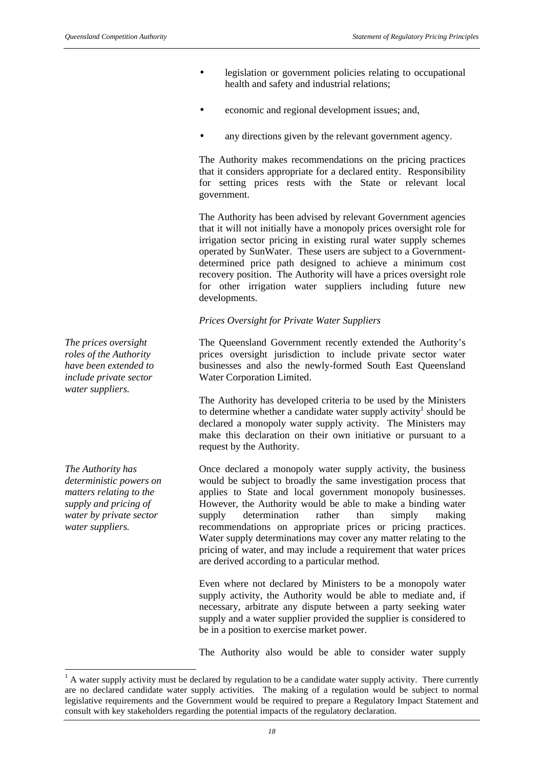- legislation or government policies relating to occupational health and safety and industrial relations;
- economic and regional development issues; and,
- any directions given by the relevant government agency.

The Authority makes recommendations on the pricing practices that it considers appropriate for a declared entity. Responsibility for setting prices rests with the State or relevant local government.

The Authority has been advised by relevant Government agencies that it will not initially have a monopoly prices oversight role for irrigation sector pricing in existing rural water supply schemes operated by SunWater. These users are subject to a Governmentdetermined price path designed to achieve a minimum cost recovery position. The Authority will have a prices oversight role for other irrigation water suppliers including future new developments.

## *Prices Oversight for Private Water Suppliers*

The Queensland Government recently extended the Authority's prices oversight jurisdiction to include private sector water businesses and also the newly-formed South East Queensland Water Corporation Limited.

The Authority has developed criteria to be used by the Ministers to determine whether a candidate water supply activity<sup>1</sup> should be declared a monopoly water supply activity. The Ministers may make this declaration on their own initiative or pursuant to a request by the Authority.

Once declared a monopoly water supply activity, the business would be subject to broadly the same investigation process that applies to State and local government monopoly businesses. However, the Authority would be able to make a binding water supply determination rather than simply making recommendations on appropriate prices or pricing practices. Water supply determinations may cover any matter relating to the pricing of water, and may include a requirement that water prices are derived according to a particular method.

Even where not declared by Ministers to be a monopoly water supply activity, the Authority would be able to mediate and, if necessary, arbitrate any dispute between a party seeking water supply and a water supplier provided the supplier is considered to be in a position to exercise market power.

The Authority also would be able to consider water supply

*The prices oversight roles of the Authority have been extended to include private sector water suppliers.*

*The Authority has deterministic powers on matters relating to the supply and pricing of water by private sector water suppliers.*

l

 $<sup>1</sup>$  A water supply activity must be declared by regulation to be a candidate water supply activity. There currently</sup> are no declared candidate water supply activities. The making of a regulation would be subject to normal legislative requirements and the Government would be required to prepare a Regulatory Impact Statement and consult with key stakeholders regarding the potential impacts of the regulatory declaration.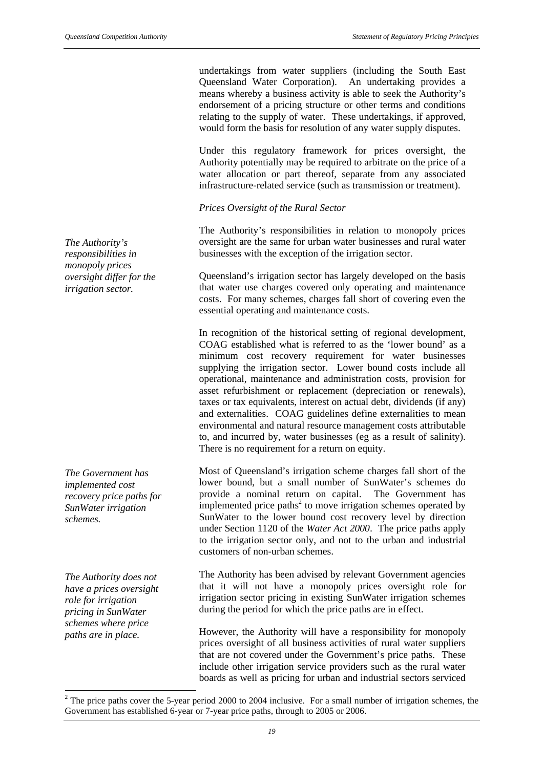undertakings from water suppliers (including the South East Queensland Water Corporation). An undertaking provides a means whereby a business activity is able to seek the Authority's endorsement of a pricing structure or other terms and conditions relating to the supply of water. These undertakings, if approved, would form the basis for resolution of any water supply disputes.

Under this regulatory framework for prices oversight, the Authority potentially may be required to arbitrate on the price of a water allocation or part thereof, separate from any associated infrastructure-related service (such as transmission or treatment).

#### *Prices Oversight of the Rural Sector*

The Authority's responsibilities in relation to monopoly prices oversight are the same for urban water businesses and rural water businesses with the exception of the irrigation sector.

Queensland's irrigation sector has largely developed on the basis that water use charges covered only operating and maintenance costs. For many schemes, charges fall short of covering even the essential operating and maintenance costs.

In recognition of the historical setting of regional development, COAG established what is referred to as the 'lower bound' as a minimum cost recovery requirement for water businesses supplying the irrigation sector. Lower bound costs include all operational, maintenance and administration costs, provision for asset refurbishment or replacement (depreciation or renewals), taxes or tax equivalents, interest on actual debt, dividends (if any) and externalities. COAG guidelines define externalities to mean environmental and natural resource management costs attributable to, and incurred by, water businesses (eg as a result of salinity). There is no requirement for a return on equity.

Most of Queensland's irrigation scheme charges fall short of the lower bound, but a small number of SunWater's schemes do provide a nominal return on capital. The Government has implemented price paths<sup>2</sup> to move irrigation schemes operated by SunWater to the lower bound cost recovery level by direction under Section 1120 of the *Water Act 2000*. The price paths apply to the irrigation sector only, and not to the urban and industrial customers of non-urban schemes.

The Authority has been advised by relevant Government agencies that it will not have a monopoly prices oversight role for irrigation sector pricing in existing SunWater irrigation schemes during the period for which the price paths are in effect.

However, the Authority will have a responsibility for monopoly prices oversight of all business activities of rural water suppliers that are not covered under the Government's price paths. These include other irrigation service providers such as the rural water boards as well as pricing for urban and industrial sectors serviced

*The Authority's responsibilities in monopoly prices oversight differ for the irrigation sector.*

*The Government has implemented cost recovery price paths for SunWater irrigation schemes.*

*The Authority does not have a prices oversight role for irrigation pricing in SunWater schemes where price paths are in place.*

l

<sup>&</sup>lt;sup>2</sup> The price paths cover the 5-year period 2000 to 2004 inclusive. For a small number of irrigation schemes, the Government has established 6-year or 7-year price paths, through to 2005 or 2006.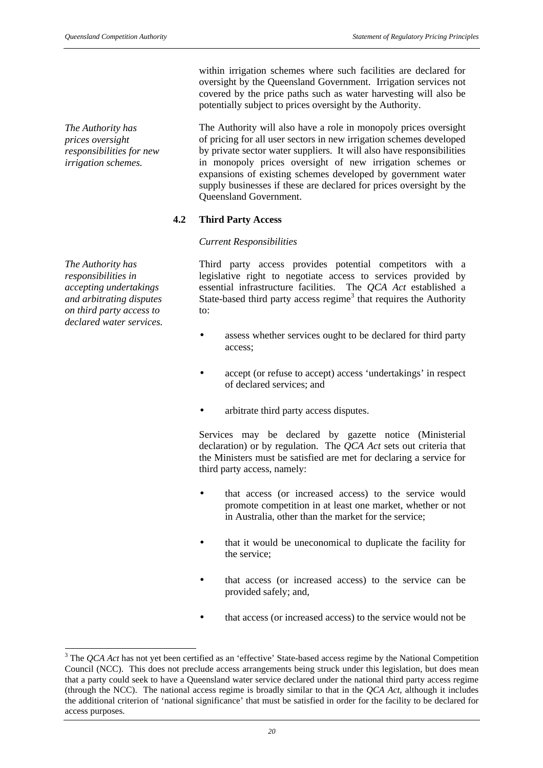*The Authority has prices oversight responsibilities for new irrigation schemes.*

*The Authority has responsibilities in accepting undertakings and arbitrating disputes on third party access to declared water services.*

 $\overline{\phantom{a}}$ 

within irrigation schemes where such facilities are declared for oversight by the Queensland Government. Irrigation services not covered by the price paths such as water harvesting will also be potentially subject to prices oversight by the Authority.

The Authority will also have a role in monopoly prices oversight of pricing for all user sectors in new irrigation schemes developed by private sector water suppliers. It will also have responsibilities in monopoly prices oversight of new irrigation schemes or expansions of existing schemes developed by government water supply businesses if these are declared for prices oversight by the Queensland Government.

## **4.2 Third Party Access**

## *Current Responsibilities*

Third party access provides potential competitors with a legislative right to negotiate access to services provided by essential infrastructure facilities. The *QCA Act* established a State-based third party access regime<sup>3</sup> that requires the Authority to:

- assess whether services ought to be declared for third party access;
- accept (or refuse to accept) access 'undertakings' in respect of declared services; and
- arbitrate third party access disputes.

Services may be declared by gazette notice (Ministerial declaration) or by regulation. The *QCA Act* sets out criteria that the Ministers must be satisfied are met for declaring a service for third party access, namely:

- that access (or increased access) to the service would promote competition in at least one market, whether or not in Australia, other than the market for the service;
- that it would be uneconomical to duplicate the facility for the service;
- that access (or increased access) to the service can be provided safely; and,
- that access (or increased access) to the service would not be

<sup>&</sup>lt;sup>3</sup> The *QCA Act* has not yet been certified as an 'effective' State-based access regime by the National Competition Council (NCC). This does not preclude access arrangements being struck under this legislation, but does mean that a party could seek to have a Queensland water service declared under the national third party access regime (through the NCC). The national access regime is broadly similar to that in the *QCA Act*, although it includes the additional criterion of 'national significance' that must be satisfied in order for the facility to be declared for access purposes.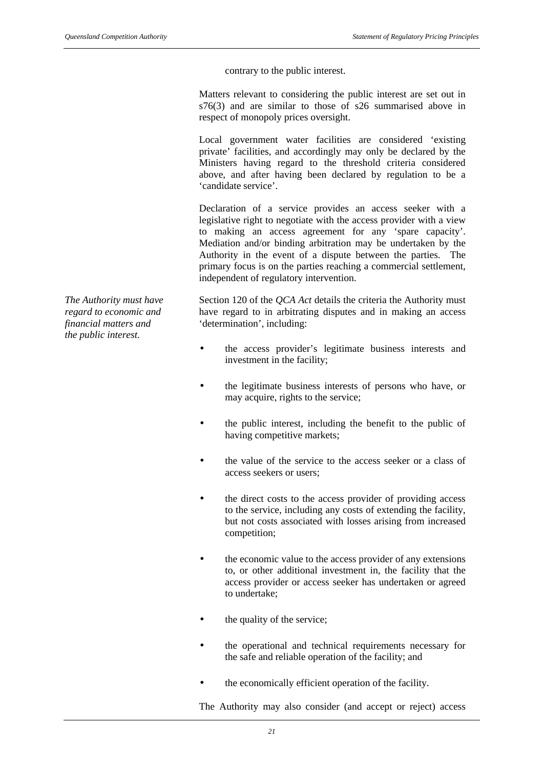contrary to the public interest.

Matters relevant to considering the public interest are set out in s76(3) and are similar to those of s26 summarised above in respect of monopoly prices oversight.

Local government water facilities are considered 'existing private' facilities, and accordingly may only be declared by the Ministers having regard to the threshold criteria considered above, and after having been declared by regulation to be a 'candidate service'.

Declaration of a service provides an access seeker with a legislative right to negotiate with the access provider with a view to making an access agreement for any 'spare capacity'. Mediation and/or binding arbitration may be undertaken by the Authority in the event of a dispute between the parties. The primary focus is on the parties reaching a commercial settlement, independent of regulatory intervention.

Section 120 of the *QCA Act* details the criteria the Authority must have regard to in arbitrating disputes and in making an access 'determination', including:

- the access provider's legitimate business interests and investment in the facility;
- the legitimate business interests of persons who have, or may acquire, rights to the service;
- the public interest, including the benefit to the public of having competitive markets;
- the value of the service to the access seeker or a class of access seekers or users;
- the direct costs to the access provider of providing access to the service, including any costs of extending the facility, but not costs associated with losses arising from increased competition;
- the economic value to the access provider of any extensions to, or other additional investment in, the facility that the access provider or access seeker has undertaken or agreed to undertake;
- the quality of the service;
- the operational and technical requirements necessary for the safe and reliable operation of the facility; and
- the economically efficient operation of the facility.

The Authority may also consider (and accept or reject) access

*The Authority must have regard to economic and financial matters and the public interest.*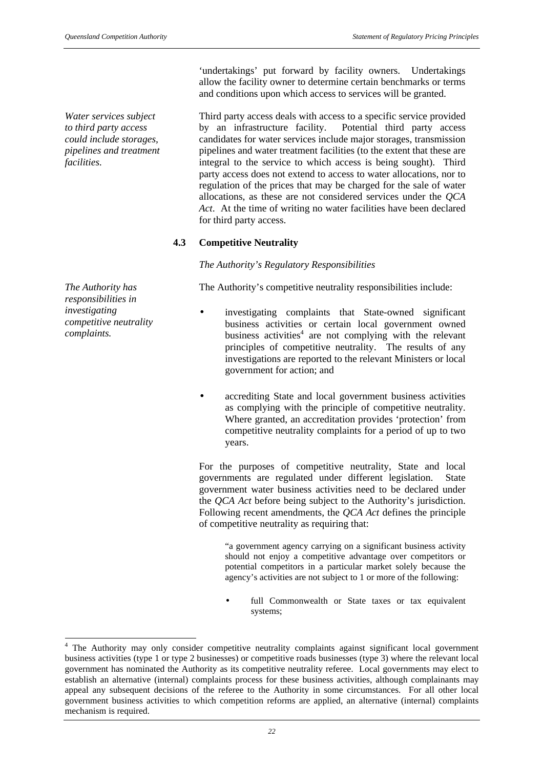*Water services subject to third party access could include storages, pipelines and treatment facilities.*

*The Authority has responsibilities in investigating competitive neutrality complaints.*

l

'undertakings' put forward by facility owners. Undertakings allow the facility owner to determine certain benchmarks or terms and conditions upon which access to services will be granted.

Third party access deals with access to a specific service provided by an infrastructure facility. Potential third party access candidates for water services include major storages, transmission pipelines and water treatment facilities (to the extent that these are integral to the service to which access is being sought). Third party access does not extend to access to water allocations, nor to regulation of the prices that may be charged for the sale of water allocations, as these are not considered services under the *QCA Act*. At the time of writing no water facilities have been declared for third party access.

## **4.3 Competitive Neutrality**

*The Authority's Regulatory Responsibilities*

The Authority's competitive neutrality responsibilities include:

- investigating complaints that State-owned significant business activities or certain local government owned business activities<sup>4</sup> are not complying with the relevant principles of competitive neutrality. The results of any investigations are reported to the relevant Ministers or local government for action; and
- accrediting State and local government business activities as complying with the principle of competitive neutrality. Where granted, an accreditation provides 'protection' from competitive neutrality complaints for a period of up to two years.

For the purposes of competitive neutrality, State and local governments are regulated under different legislation. State government water business activities need to be declared under the *QCA Act* before being subject to the Authority's jurisdiction. Following recent amendments, the *QCA Act* defines the principle of competitive neutrality as requiring that:

"a government agency carrying on a significant business activity should not enjoy a competitive advantage over competitors or potential competitors in a particular market solely because the agency's activities are not subject to 1 or more of the following:

full Commonwealth or State taxes or tax equivalent systems;

<sup>&</sup>lt;sup>4</sup> The Authority may only consider competitive neutrality complaints against significant local government business activities (type 1 or type 2 businesses) or competitive roads businesses (type 3) where the relevant local government has nominated the Authority as its competitive neutrality referee. Local governments may elect to establish an alternative (internal) complaints process for these business activities, although complainants may appeal any subsequent decisions of the referee to the Authority in some circumstances. For all other local government business activities to which competition reforms are applied, an alternative (internal) complaints mechanism is required.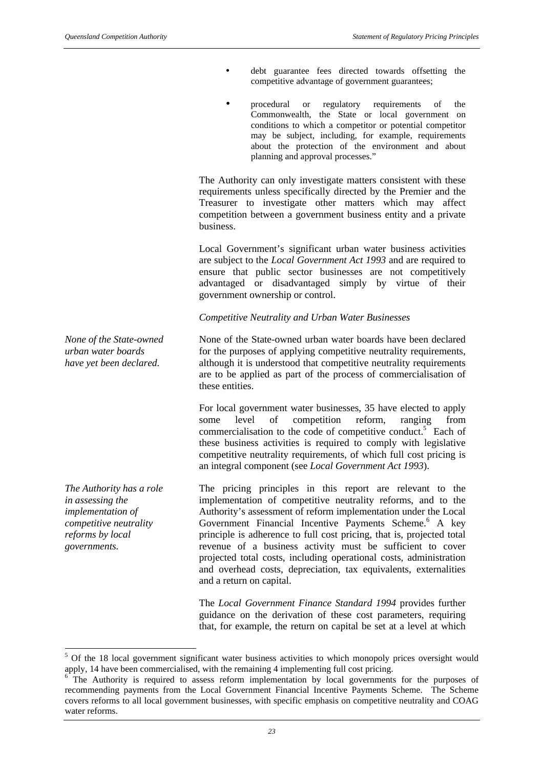- debt guarantee fees directed towards offsetting the competitive advantage of government guarantees;
- procedural or regulatory requirements of the Commonwealth, the State or local government on conditions to which a competitor or potential competitor may be subject, including, for example, requirements about the protection of the environment and about planning and approval processes."

The Authority can only investigate matters consistent with these requirements unless specifically directed by the Premier and the Treasurer to investigate other matters which may affect competition between a government business entity and a private business.

Local Government's significant urban water business activities are subject to the *Local Government Act 1993* and are required to ensure that public sector businesses are not competitively advantaged or disadvantaged simply by virtue of their government ownership or control.

#### *Competitive Neutrality and Urban Water Businesses*

None of the State-owned urban water boards have been declared for the purposes of applying competitive neutrality requirements, although it is understood that competitive neutrality requirements are to be applied as part of the process of commercialisation of these entities.

For local government water businesses, 35 have elected to apply some level of competition reform, ranging from commercialisation to the code of competitive conduct.<sup>5</sup> Each of these business activities is required to comply with legislative competitive neutrality requirements, of which full cost pricing is an integral component (see *Local Government Act 1993*).

The pricing principles in this report are relevant to the implementation of competitive neutrality reforms, and to the Authority's assessment of reform implementation under the Local Government Financial Incentive Payments Scheme.<sup>6</sup> A key principle is adherence to full cost pricing, that is, projected total revenue of a business activity must be sufficient to cover projected total costs, including operational costs, administration and overhead costs, depreciation, tax equivalents, externalities and a return on capital.

The *Local Government Finance Standard 1994* provides further guidance on the derivation of these cost parameters, requiring that, for example, the return on capital be set at a level at which

*None of the State-owned urban water boards have yet been declared.*

*The Authority has a role in assessing the implementation of competitive neutrality reforms by local governments.*

 $\overline{\phantom{a}}$ 

<sup>&</sup>lt;sup>5</sup> Of the 18 local government significant water business activities to which monopoly prices oversight would apply, 14 have been commercialised, with the remaining 4 implementing full cost pricing.

<sup>6</sup> The Authority is required to assess reform implementation by local governments for the purposes of recommending payments from the Local Government Financial Incentive Payments Scheme. The Scheme covers reforms to all local government businesses, with specific emphasis on competitive neutrality and COAG water reforms.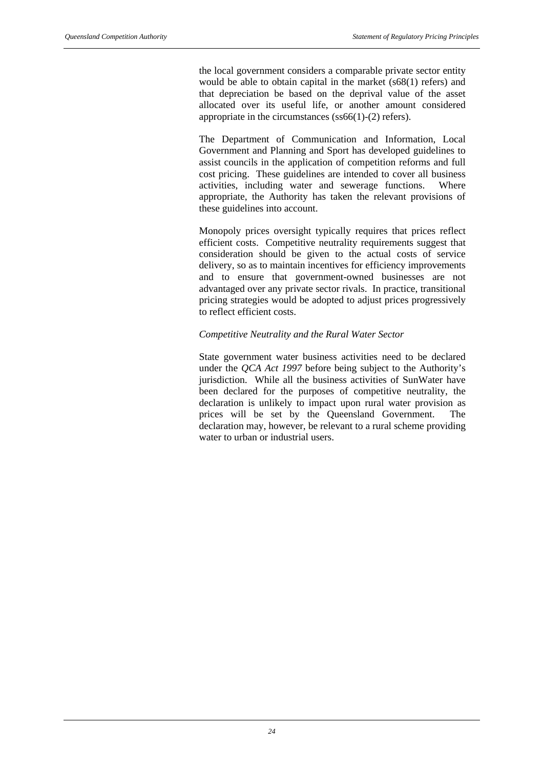the local government considers a comparable private sector entity would be able to obtain capital in the market (s68(1) refers) and that depreciation be based on the deprival value of the asset allocated over its useful life, or another amount considered appropriate in the circumstances (ss66(1)-(2) refers).

The Department of Communication and Information, Local Government and Planning and Sport has developed guidelines to assist councils in the application of competition reforms and full cost pricing. These guidelines are intended to cover all business activities, including water and sewerage functions. Where appropriate, the Authority has taken the relevant provisions of these guidelines into account.

Monopoly prices oversight typically requires that prices reflect efficient costs. Competitive neutrality requirements suggest that consideration should be given to the actual costs of service delivery, so as to maintain incentives for efficiency improvements and to ensure that government-owned businesses are not advantaged over any private sector rivals. In practice, transitional pricing strategies would be adopted to adjust prices progressively to reflect efficient costs.

#### *Competitive Neutrality and the Rural Water Sector*

State government water business activities need to be declared under the *QCA Act 1997* before being subject to the Authority's jurisdiction. While all the business activities of SunWater have been declared for the purposes of competitive neutrality, the declaration is unlikely to impact upon rural water provision as prices will be set by the Queensland Government. The declaration may, however, be relevant to a rural scheme providing water to urban or industrial users.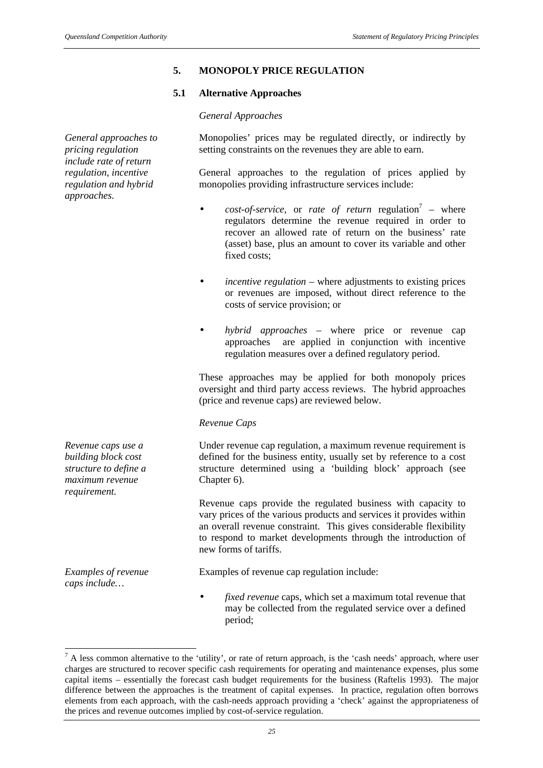*General approaches to pricing regulation include rate of return*

*regulation, incentive regulation and hybrid*

*approaches.*

#### **5. MONOPOLY PRICE REGULATION**

#### **5.1 Alternative Approaches**

#### *General Approaches*

Monopolies' prices may be regulated directly, or indirectly by setting constraints on the revenues they are able to earn.

General approaches to the regulation of prices applied by monopolies providing infrastructure services include:

- *cost-of-service*, or *rate of return* regulation<sup>7</sup> where regulators determine the revenue required in order to recover an allowed rate of return on the business' rate (asset) base, plus an amount to cover its variable and other fixed costs;
- *incentive regulation*  where adjustments to existing prices or revenues are imposed, without direct reference to the costs of service provision; or
- *hybrid approaches* where price or revenue cap approaches are applied in conjunction with incentive regulation measures over a defined regulatory period.

These approaches may be applied for both monopoly prices oversight and third party access reviews. The hybrid approaches (price and revenue caps) are reviewed below.

#### *Revenue Caps*

Under revenue cap regulation, a maximum revenue requirement is defined for the business entity, usually set by reference to a cost structure determined using a 'building block' approach (see Chapter 6).

Revenue caps provide the regulated business with capacity to vary prices of the various products and services it provides within an overall revenue constraint. This gives considerable flexibility to respond to market developments through the introduction of new forms of tariffs.

Examples of revenue cap regulation include:

• *fixed revenue* caps, which set a maximum total revenue that may be collected from the regulated service over a defined period;

*Revenue caps use a building block cost structure to define a maximum revenue requirement.*

*Examples of revenue caps include…*

<sup>&</sup>lt;sup>7</sup> A less common alternative to the 'utility', or rate of return approach, is the 'cash needs' approach, where user charges are structured to recover specific cash requirements for operating and maintenance expenses, plus some capital items – essentially the forecast cash budget requirements for the business (Raftelis 1993). The major difference between the approaches is the treatment of capital expenses. In practice, regulation often borrows elements from each approach, with the cash-needs approach providing a 'check' against the appropriateness of the prices and revenue outcomes implied by cost-of-service regulation.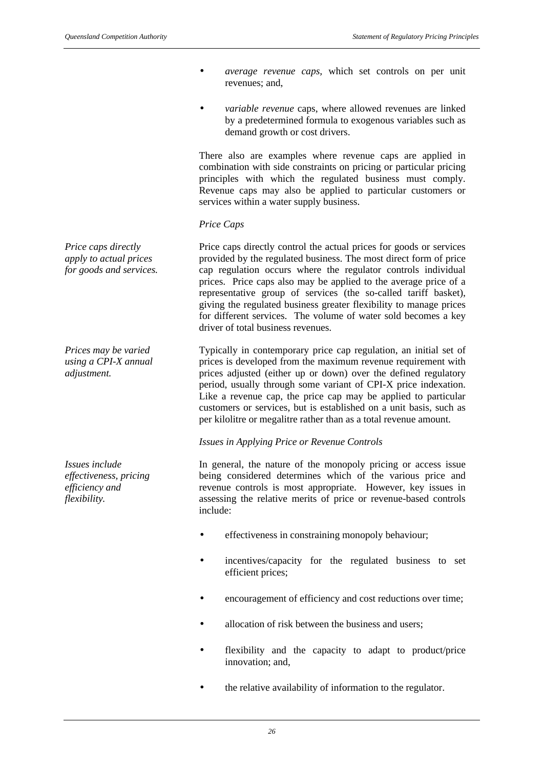*Price caps directly apply to actual prices for goods and services.*

*Prices may be varied using a CPI-X annual adjustment.*

*Issues include effectiveness, pricing efficiency and flexibility.*

- *average revenue caps,* which set controls on per unit revenues; and,
- *variable revenue* caps, where allowed revenues are linked by a predetermined formula to exogenous variables such as demand growth or cost drivers.

There also are examples where revenue caps are applied in combination with side constraints on pricing or particular pricing principles with which the regulated business must comply. Revenue caps may also be applied to particular customers or services within a water supply business.

## *Price Caps*

Price caps directly control the actual prices for goods or services provided by the regulated business. The most direct form of price cap regulation occurs where the regulator controls individual prices. Price caps also may be applied to the average price of a representative group of services (the so-called tariff basket), giving the regulated business greater flexibility to manage prices for different services. The volume of water sold becomes a key driver of total business revenues.

Typically in contemporary price cap regulation, an initial set of prices is developed from the maximum revenue requirement with prices adjusted (either up or down) over the defined regulatory period, usually through some variant of CPI-X price indexation. Like a revenue cap, the price cap may be applied to particular customers or services, but is established on a unit basis, such as per kilolitre or megalitre rather than as a total revenue amount.

#### *Issues in Applying Price or Revenue Controls*

In general, the nature of the monopoly pricing or access issue being considered determines which of the various price and revenue controls is most appropriate. However, key issues in assessing the relative merits of price or revenue-based controls include:

- effectiveness in constraining monopoly behaviour;
- incentives/capacity for the regulated business to set efficient prices;
- encouragement of efficiency and cost reductions over time;
- allocation of risk between the business and users:
- flexibility and the capacity to adapt to product/price innovation; and,
- the relative availability of information to the regulator.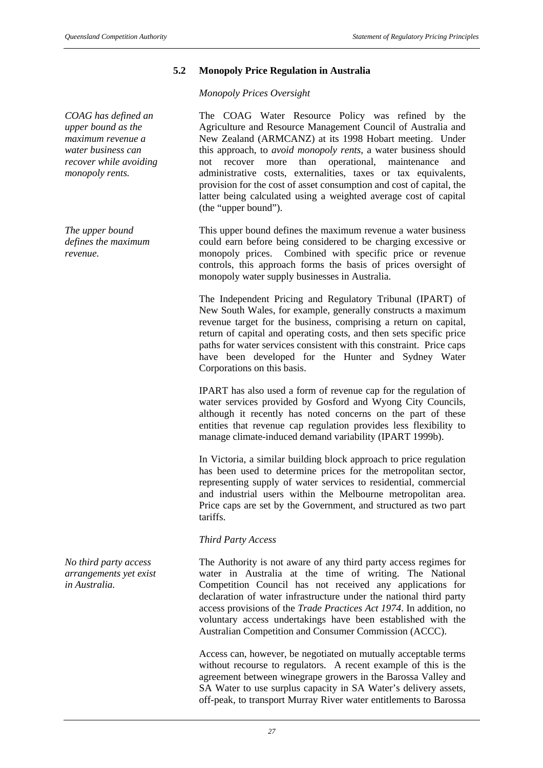*COAG has defined an upper bound as the maximum revenue a water business can recover while avoiding monopoly rents.*

*The upper bound defines the maximum revenue.*

*No third party access arrangements yet exist in Australia.*

# **5.2 Monopoly Price Regulation in Australia**

*Monopoly Prices Oversight*

The COAG Water Resource Policy was refined by the Agriculture and Resource Management Council of Australia and New Zealand (ARMCANZ) at its 1998 Hobart meeting. Under this approach, to *avoid monopoly rents*, a water business should not recover more than operational, maintenance and administrative costs, externalities, taxes or tax equivalents, provision for the cost of asset consumption and cost of capital, the latter being calculated using a weighted average cost of capital (the "upper bound").

This upper bound defines the maximum revenue a water business could earn before being considered to be charging excessive or monopoly prices. Combined with specific price or revenue controls, this approach forms the basis of prices oversight of monopoly water supply businesses in Australia.

The Independent Pricing and Regulatory Tribunal (IPART) of New South Wales, for example, generally constructs a maximum revenue target for the business, comprising a return on capital, return of capital and operating costs, and then sets specific price paths for water services consistent with this constraint. Price caps have been developed for the Hunter and Sydney Water Corporations on this basis.

IPART has also used a form of revenue cap for the regulation of water services provided by Gosford and Wyong City Councils, although it recently has noted concerns on the part of these entities that revenue cap regulation provides less flexibility to manage climate-induced demand variability (IPART 1999b).

In Victoria, a similar building block approach to price regulation has been used to determine prices for the metropolitan sector, representing supply of water services to residential, commercial and industrial users within the Melbourne metropolitan area. Price caps are set by the Government, and structured as two part tariffs.

# *Third Party Access*

The Authority is not aware of any third party access regimes for water in Australia at the time of writing. The National Competition Council has not received any applications for declaration of water infrastructure under the national third party access provisions of the *Trade Practices Act 1974*. In addition, no voluntary access undertakings have been established with the Australian Competition and Consumer Commission (ACCC).

Access can, however, be negotiated on mutually acceptable terms without recourse to regulators. A recent example of this is the agreement between winegrape growers in the Barossa Valley and SA Water to use surplus capacity in SA Water's delivery assets, off-peak, to transport Murray River water entitlements to Barossa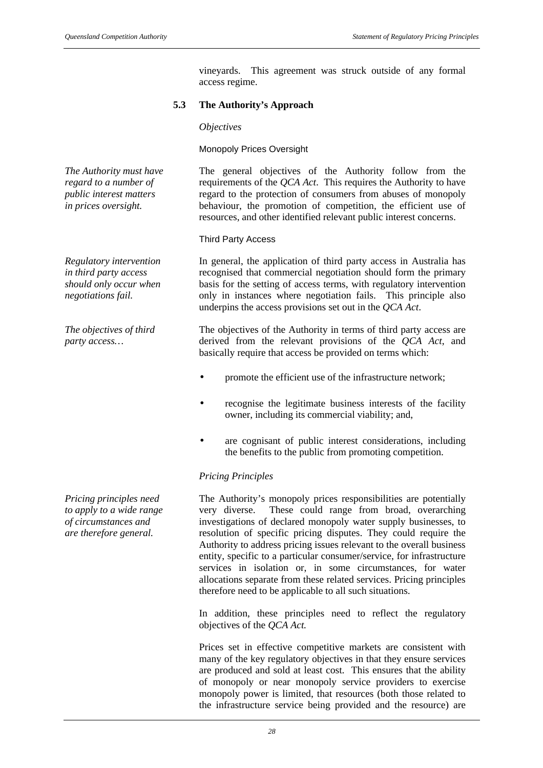vineyards. This agreement was struck outside of any formal access regime.

# **5.3 The Authority's Approach**

# *Objectives*

Monopoly Prices Oversight

The general objectives of the Authority follow from the requirements of the *QCA Act*. This requires the Authority to have regard to the protection of consumers from abuses of monopoly behaviour, the promotion of competition, the efficient use of resources, and other identified relevant public interest concerns.

# Third Party Access

In general, the application of third party access in Australia has recognised that commercial negotiation should form the primary basis for the setting of access terms, with regulatory intervention only in instances where negotiation fails. This principle also underpins the access provisions set out in the *QCA Act*.

The objectives of the Authority in terms of third party access are derived from the relevant provisions of the *QCA Act*, and basically require that access be provided on terms which:

- promote the efficient use of the infrastructure network;
- recognise the legitimate business interests of the facility owner, including its commercial viability; and,
- are cognisant of public interest considerations, including the benefits to the public from promoting competition.

# *Pricing Principles*

The Authority's monopoly prices responsibilities are potentially very diverse. These could range from broad, overarching investigations of declared monopoly water supply businesses, to resolution of specific pricing disputes. They could require the Authority to address pricing issues relevant to the overall business entity, specific to a particular consumer/service, for infrastructure services in isolation or, in some circumstances, for water allocations separate from these related services. Pricing principles therefore need to be applicable to all such situations.

In addition, these principles need to reflect the regulatory objectives of the *QCA Act.*

Prices set in effective competitive markets are consistent with many of the key regulatory objectives in that they ensure services are produced and sold at least cost. This ensures that the ability of monopoly or near monopoly service providers to exercise monopoly power is limited, that resources (both those related to the infrastructure service being provided and the resource) are

*The Authority must have regard to a number of public interest matters in prices oversight.*

*Regulatory intervention in third party access should only occur when negotiations fail.*

*The objectives of third party access…*

*Pricing principles need to apply to a wide range of circumstances and are therefore general.*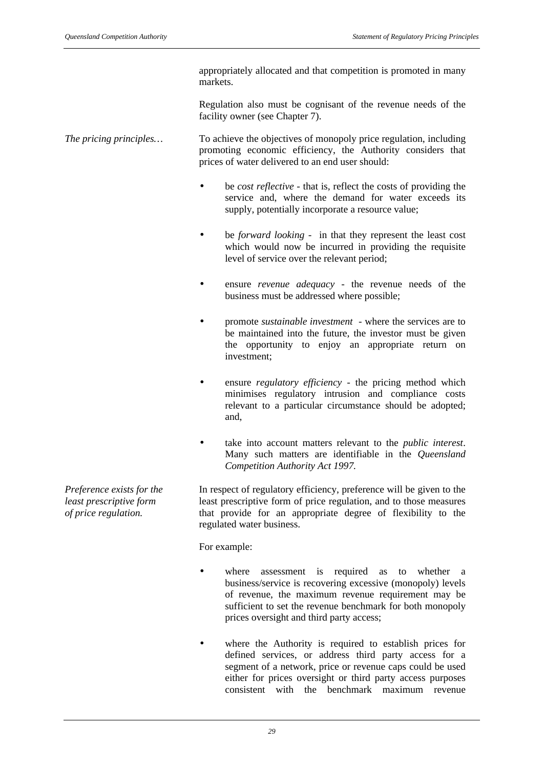appropriately allocated and that competition is promoted in many markets.

Regulation also must be cognisant of the revenue needs of the facility owner (see Chapter 7).

*The pricing principles…* To achieve the objectives of monopoly price regulation, including promoting economic efficiency, the Authority considers that prices of water delivered to an end user should:

- be *cost reflective* that is, reflect the costs of providing the service and, where the demand for water exceeds its supply, potentially incorporate a resource value;
- be *forward looking* in that they represent the least cost which would now be incurred in providing the requisite level of service over the relevant period;
- ensure *revenue adequacy* the revenue needs of the business must be addressed where possible;
- promote *sustainable investment* where the services are to be maintained into the future, the investor must be given the opportunity to enjoy an appropriate return on investment;
- ensure *regulatory efficiency* the pricing method which minimises regulatory intrusion and compliance costs relevant to a particular circumstance should be adopted; and,
- take into account matters relevant to the *public interest*. Many such matters are identifiable in the *Queensland Competition Authority Act 1997.*

In respect of regulatory efficiency, preference will be given to the least prescriptive form of price regulation, and to those measures that provide for an appropriate degree of flexibility to the regulated water business.

For example:

- where assessment is required as to whether a business/service is recovering excessive (monopoly) levels of revenue, the maximum revenue requirement may be sufficient to set the revenue benchmark for both monopoly prices oversight and third party access;
- where the Authority is required to establish prices for defined services, or address third party access for a segment of a network, price or revenue caps could be used either for prices oversight or third party access purposes consistent with the benchmark maximum revenue

*Preference exists for the least prescriptive form of price regulation.*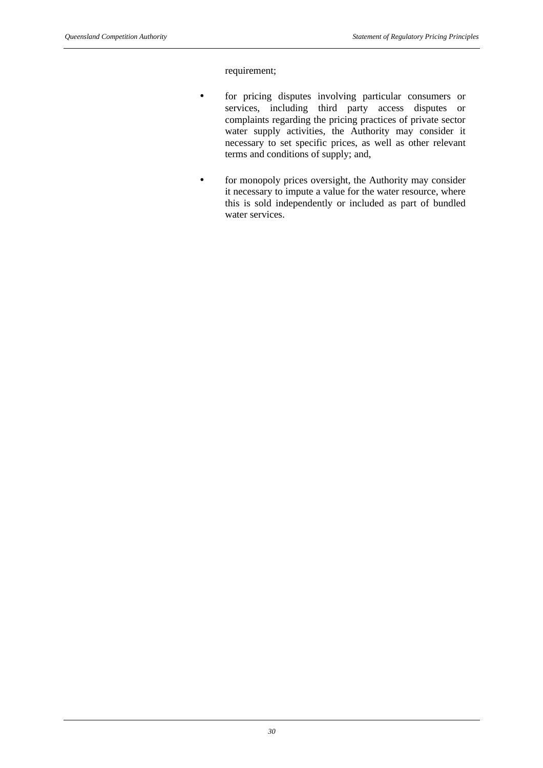requirement;

- for pricing disputes involving particular consumers or services, including third party access disputes or complaints regarding the pricing practices of private sector water supply activities, the Authority may consider it necessary to set specific prices, as well as other relevant terms and conditions of supply; and,
- for monopoly prices oversight, the Authority may consider it necessary to impute a value for the water resource, where this is sold independently or included as part of bundled water services.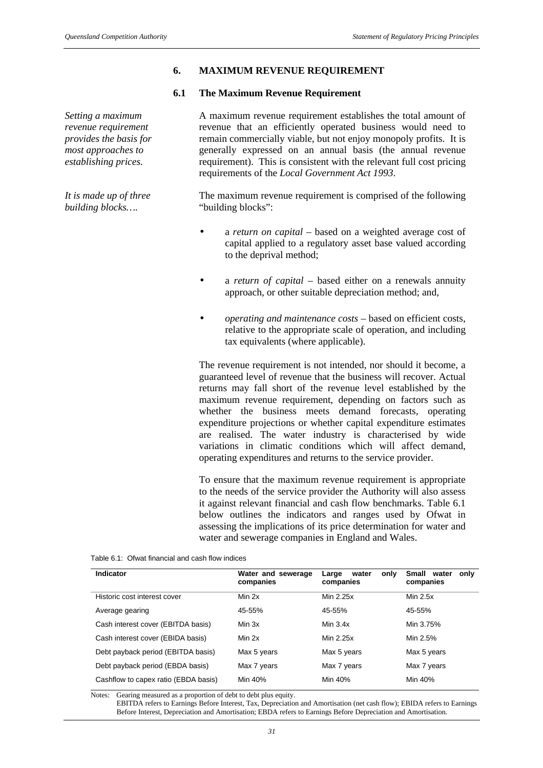# **6. MAXIMUM REVENUE REQUIREMENT**

#### **6.1 The Maximum Revenue Requirement**

*Setting a maximum revenue requirement provides the basis for most approaches to establishing prices.*

*It is made up of three building blocks….*

A maximum revenue requirement establishes the total amount of revenue that an efficiently operated business would need to remain commercially viable, but not enjoy monopoly profits. It is generally expressed on an annual basis (the annual revenue requirement). This is consistent with the relevant full cost pricing requirements of the *Local Government Act 1993*.

The maximum revenue requirement is comprised of the following "building blocks":

- a *return on capital* based on a weighted average cost of capital applied to a regulatory asset base valued according to the deprival method;
- a *return of capital* based either on a renewals annuity approach, or other suitable depreciation method; and,
- *operating and maintenance costs* based on efficient costs, relative to the appropriate scale of operation, and including tax equivalents (where applicable).

The revenue requirement is not intended, nor should it become, a guaranteed level of revenue that the business will recover. Actual returns may fall short of the revenue level established by the maximum revenue requirement, depending on factors such as whether the business meets demand forecasts, operating expenditure projections or whether capital expenditure estimates are realised. The water industry is characterised by wide variations in climatic conditions which will affect demand, operating expenditures and returns to the service provider.

To ensure that the maximum revenue requirement is appropriate to the needs of the service provider the Authority will also assess it against relevant financial and cash flow benchmarks. Table 6.1 below outlines the indicators and ranges used by Ofwat in assessing the implications of its price determination for water and water and sewerage companies in England and Wales.

Table 6.1: Ofwat financial and cash flow indices

| Indicator                            | Water and sewerage<br>companies | water<br>only<br>Large<br>companies | Small<br>water<br>only<br>companies |
|--------------------------------------|---------------------------------|-------------------------------------|-------------------------------------|
| Historic cost interest cover         | Min 2x                          | Min 2.25x                           | Min $2.5x$                          |
| Average gearing                      | 45-55%                          | 45-55%                              | 45-55%                              |
| Cash interest cover (EBITDA basis)   | Min 3x                          | Min $3.4x$                          | Min 3.75%                           |
| Cash interest cover (EBIDA basis)    | Min 2x                          | Min 2.25x                           | Min 2.5%                            |
| Debt payback period (EBITDA basis)   | Max 5 years                     | Max 5 years                         | Max 5 years                         |
| Debt payback period (EBDA basis)     | Max 7 years                     | Max 7 years                         | Max 7 years                         |
| Cashflow to capex ratio (EBDA basis) | Min 40%                         | Min 40%                             | Min 40%                             |

Notes: Gearing measured as a proportion of debt to debt plus equity.

EBITDA refers to Earnings Before Interest, Tax, Depreciation and Amortisation (net cash flow); EBIDA refers to Earnings Before Interest, Depreciation and Amortisation; EBDA refers to Earnings Before Depreciation and Amortisation.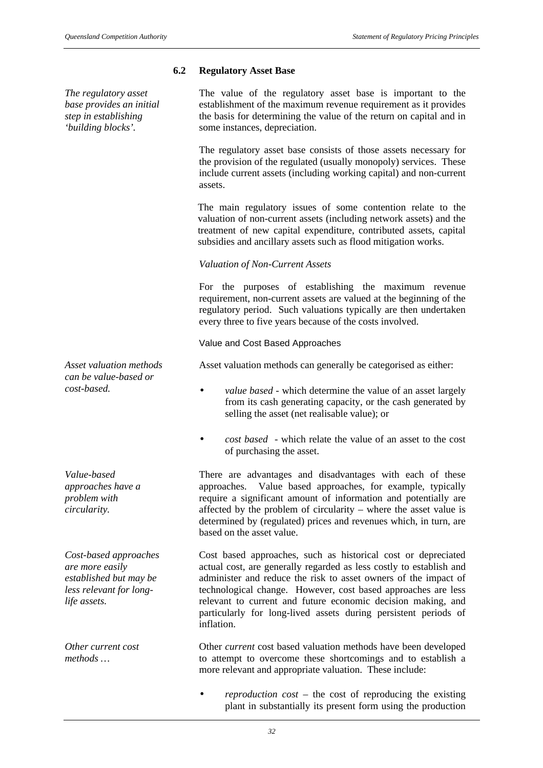## **6.2 Regulatory Asset Base**

*The regulatory asset base provides an initial step in establishing 'building blocks'.*

The value of the regulatory asset base is important to the establishment of the maximum revenue requirement as it provides the basis for determining the value of the return on capital and in some instances, depreciation.

The regulatory asset base consists of those assets necessary for the provision of the regulated (usually monopoly) services. These include current assets (including working capital) and non-current assets.

The main regulatory issues of some contention relate to the valuation of non-current assets (including network assets) and the treatment of new capital expenditure, contributed assets, capital subsidies and ancillary assets such as flood mitigation works.

## *Valuation of Non-Current Assets*

For the purposes of establishing the maximum revenue requirement, non-current assets are valued at the beginning of the regulatory period. Such valuations typically are then undertaken every three to five years because of the costs involved.

#### Value and Cost Based Approaches

Asset valuation methods can generally be categorised as either:

- *cost-based. value based* which determine the value of an asset largely from its cash generating capacity, or the cash generated by selling the asset (net realisable value); or
	- *cost based* which relate the value of an asset to the cost of purchasing the asset.

There are advantages and disadvantages with each of these approaches. Value based approaches, for example, typically require a significant amount of information and potentially are affected by the problem of circularity – where the asset value is determined by (regulated) prices and revenues which, in turn, are based on the asset value.

Cost based approaches, such as historical cost or depreciated actual cost, are generally regarded as less costly to establish and administer and reduce the risk to asset owners of the impact of technological change. However, cost based approaches are less relevant to current and future economic decision making, and particularly for long-lived assets during persistent periods of inflation.

Other *current* cost based valuation methods have been developed to attempt to overcome these shortcomings and to establish a more relevant and appropriate valuation. These include:

• *reproduction cost* – the cost of reproducing the existing plant in substantially its present form using the production

*Asset valuation methods can be value-based or*

*Value-based approaches have a problem with circularity.*

*Cost-based approaches are more easily established but may be less relevant for longlife assets.*

*Other current cost methods …*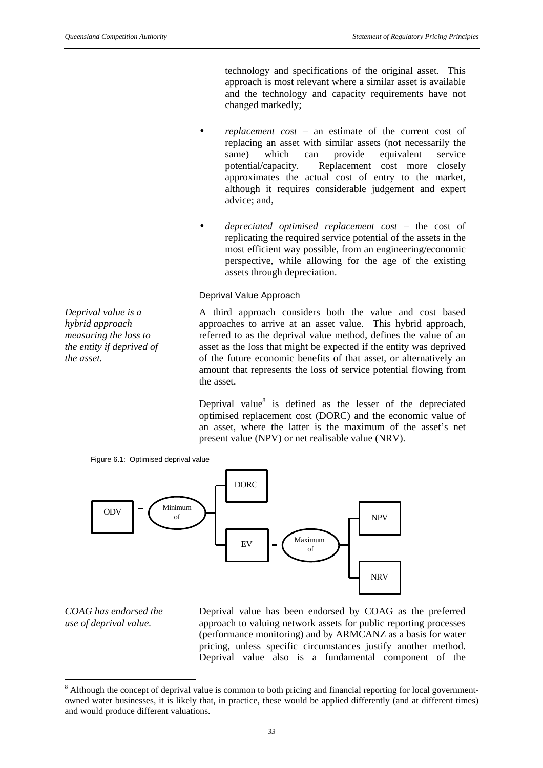technology and specifications of the original asset. This approach is most relevant where a similar asset is available and the technology and capacity requirements have not changed markedly;

- *replacement cost* an estimate of the current cost of replacing an asset with similar assets (not necessarily the same) which can provide equivalent service same) which can provide equivalent service potential/capacity. Replacement cost more closely approximates the actual cost of entry to the market, although it requires considerable judgement and expert advice; and,
- *depreciated optimised replacement cost* the cost of replicating the required service potential of the assets in the most efficient way possible, from an engineering/economic perspective, while allowing for the age of the existing assets through depreciation.

#### Deprival Value Approach

*Deprival value is a hybrid approach measuring the loss to the entity if deprived of the asset.*

Figure 6.1: Optimised deprival value

A third approach considers both the value and cost based approaches to arrive at an asset value. This hybrid approach, referred to as the deprival value method, defines the value of an asset as the loss that might be expected if the entity was deprived of the future economic benefits of that asset, or alternatively an amount that represents the loss of service potential flowing from the asset.

Deprival value $8$  is defined as the lesser of the depreciated optimised replacement cost (DORC) and the economic value of an asset, where the latter is the maximum of the asset's net present value (NPV) or net realisable value (NRV).



*COAG has endorsed the use of deprival value.*

 $\overline{a}$ 

Deprival value has been endorsed by COAG as the preferred approach to valuing network assets for public reporting processes (performance monitoring) and by ARMCANZ as a basis for water pricing, unless specific circumstances justify another method. Deprival value also is a fundamental component of the

 $8$  Although the concept of deprival value is common to both pricing and financial reporting for local governmentowned water businesses, it is likely that, in practice, these would be applied differently (and at different times) and would produce different valuations.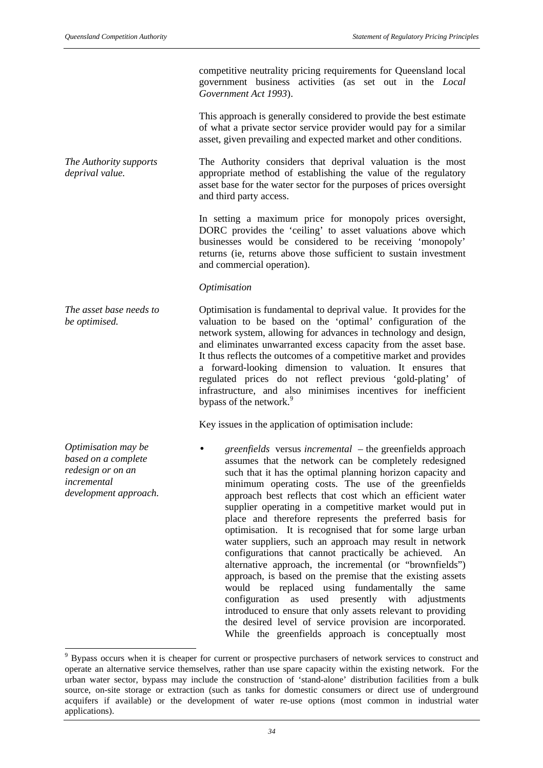competitive neutrality pricing requirements for Queensland local government business activities (as set out in the *Local Government Act 1993*).

This approach is generally considered to provide the best estimate of what a private sector service provider would pay for a similar asset, given prevailing and expected market and other conditions.

*The Authority supports* The Authority considers that deprival valuation is the most appropriate method of establishing the value of the regulatory asset base for the water sector for the purposes of prices oversight and third party access.

> In setting a maximum price for monopoly prices oversight, DORC provides the 'ceiling' to asset valuations above which businesses would be considered to be receiving 'monopoly' returns (ie, returns above those sufficient to sustain investment and commercial operation).

#### *Optimisation*

Optimisation is fundamental to deprival value. It provides for the valuation to be based on the 'optimal' configuration of the network system, allowing for advances in technology and design, and eliminates unwarranted excess capacity from the asset base. It thus reflects the outcomes of a competitive market and provides a forward-looking dimension to valuation. It ensures that regulated prices do not reflect previous 'gold-plating' of infrastructure, and also minimises incentives for inefficient bypass of the network.<sup>9</sup>

Key issues in the application of optimisation include:

• *greenfields* versus *incremental* – the greenfields approach assumes that the network can be completely redesigned such that it has the optimal planning horizon capacity and minimum operating costs. The use of the greenfields approach best reflects that cost which an efficient water supplier operating in a competitive market would put in place and therefore represents the preferred basis for optimisation. It is recognised that for some large urban water suppliers, such an approach may result in network configurations that cannot practically be achieved. An alternative approach, the incremental (or "brownfields") approach, is based on the premise that the existing assets would be replaced using fundamentally the same configuration as used presently with adjustments introduced to ensure that only assets relevant to providing the desired level of service provision are incorporated. While the greenfields approach is conceptually most

*The asset base needs to be optimised.*

*deprival value.*

*Optimisation may be based on a complete redesign or on an incremental development approach.*

 $\overline{\phantom{a}}$ 

<sup>&</sup>lt;sup>9</sup> Bypass occurs when it is cheaper for current or prospective purchasers of network services to construct and operate an alternative service themselves, rather than use spare capacity within the existing network. For the urban water sector, bypass may include the construction of 'stand-alone' distribution facilities from a bulk source, on-site storage or extraction (such as tanks for domestic consumers or direct use of underground acquifers if available) or the development of water re-use options (most common in industrial water applications).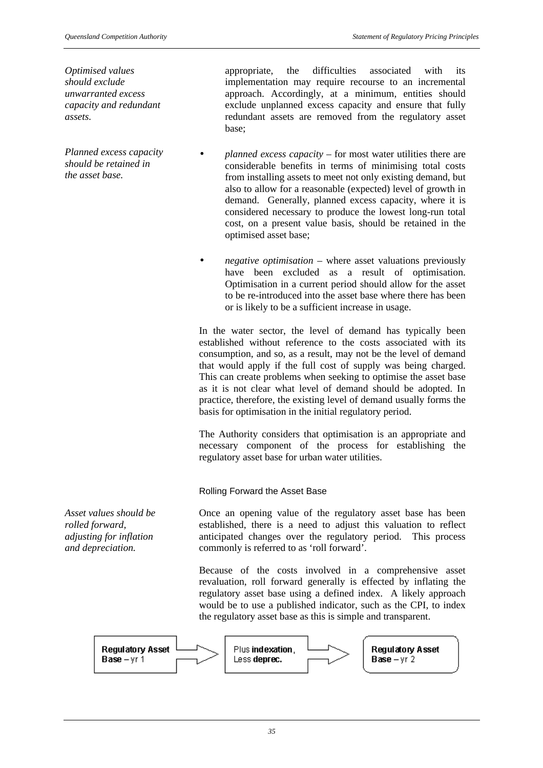*Optimised values should exclude unwarranted excess capacity and redundant assets.*

*Planned excess capacity should be retained in the asset base.*

appropriate, the difficulties associated with its implementation may require recourse to an incremental approach. Accordingly, at a minimum, entities should exclude unplanned excess capacity and ensure that fully redundant assets are removed from the regulatory asset base;

- *planned excess capacity* for most water utilities there are considerable benefits in terms of minimising total costs from installing assets to meet not only existing demand, but also to allow for a reasonable (expected) level of growth in demand. Generally, planned excess capacity, where it is considered necessary to produce the lowest long-run total cost, on a present value basis, should be retained in the optimised asset base;
- *negative optimisation* where asset valuations previously have been excluded as a result of optimisation. Optimisation in a current period should allow for the asset to be re-introduced into the asset base where there has been or is likely to be a sufficient increase in usage.

In the water sector, the level of demand has typically been established without reference to the costs associated with its consumption, and so, as a result, may not be the level of demand that would apply if the full cost of supply was being charged. This can create problems when seeking to optimise the asset base as it is not clear what level of demand should be adopted. In practice, therefore, the existing level of demand usually forms the basis for optimisation in the initial regulatory period.

The Authority considers that optimisation is an appropriate and necessary component of the process for establishing the regulatory asset base for urban water utilities.

Rolling Forward the Asset Base

Once an opening value of the regulatory asset base has been established, there is a need to adjust this valuation to reflect anticipated changes over the regulatory period. This process commonly is referred to as 'roll forward'.

Because of the costs involved in a comprehensive asset revaluation, roll forward generally is effected by inflating the regulatory asset base using a defined index. A likely approach would be to use a published indicator, such as the CPI, to index the regulatory asset base as this is simple and transparent.



*Asset values should be rolled forward, adjusting for inflation and depreciation.*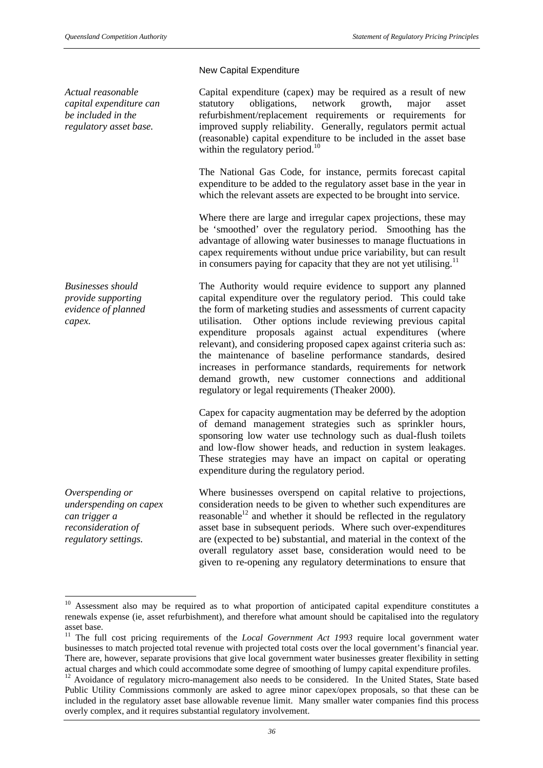*Actual reasonable capital expenditure can be included in the regulatory asset base.*

*Businesses should provide supporting evidence of planned capex.*

*Overspending or underspending on capex can trigger a reconsideration of regulatory settings.*

l

# New Capital Expenditure

Capital expenditure (capex) may be required as a result of new statutory obligations, network growth, major asset refurbishment/replacement requirements or requirements for improved supply reliability. Generally, regulators permit actual (reasonable) capital expenditure to be included in the asset base within the regulatory period. $^{10}$ 

The National Gas Code, for instance, permits forecast capital expenditure to be added to the regulatory asset base in the year in which the relevant assets are expected to be brought into service.

Where there are large and irregular capex projections, these may be 'smoothed' over the regulatory period. Smoothing has the advantage of allowing water businesses to manage fluctuations in capex requirements without undue price variability, but can result in consumers paying for capacity that they are not yet utilising. $<sup>11</sup>$ </sup>

The Authority would require evidence to support any planned capital expenditure over the regulatory period. This could take the form of marketing studies and assessments of current capacity utilisation. Other options include reviewing previous capital expenditure proposals against actual expenditures (where relevant), and considering proposed capex against criteria such as: the maintenance of baseline performance standards, desired increases in performance standards, requirements for network demand growth, new customer connections and additional regulatory or legal requirements (Theaker 2000).

Capex for capacity augmentation may be deferred by the adoption of demand management strategies such as sprinkler hours, sponsoring low water use technology such as dual-flush toilets and low-flow shower heads, and reduction in system leakages. These strategies may have an impact on capital or operating expenditure during the regulatory period.

Where businesses overspend on capital relative to projections, consideration needs to be given to whether such expenditures are reasonable $^{12}$  and whether it should be reflected in the regulatory asset base in subsequent periods. Where such over-expenditures are (expected to be) substantial, and material in the context of the overall regulatory asset base, consideration would need to be given to re-opening any regulatory determinations to ensure that

<sup>&</sup>lt;sup>10</sup> Assessment also may be required as to what proportion of anticipated capital expenditure constitutes a renewals expense (ie, asset refurbishment), and therefore what amount should be capitalised into the regulatory asset base.

<sup>&</sup>lt;sup>11</sup> The full cost pricing requirements of the *Local Government Act 1993* require local government water businesses to match projected total revenue with projected total costs over the local government's financial year. There are, however, separate provisions that give local government water businesses greater flexibility in setting actual charges and which could accommodate some degree of smoothing of lumpy capital expenditure profiles.

<sup>&</sup>lt;sup>12</sup> Avoidance of regulatory micro-management also needs to be considered. In the United States, State based Public Utility Commissions commonly are asked to agree minor capex/opex proposals, so that these can be included in the regulatory asset base allowable revenue limit. Many smaller water companies find this process overly complex, and it requires substantial regulatory involvement.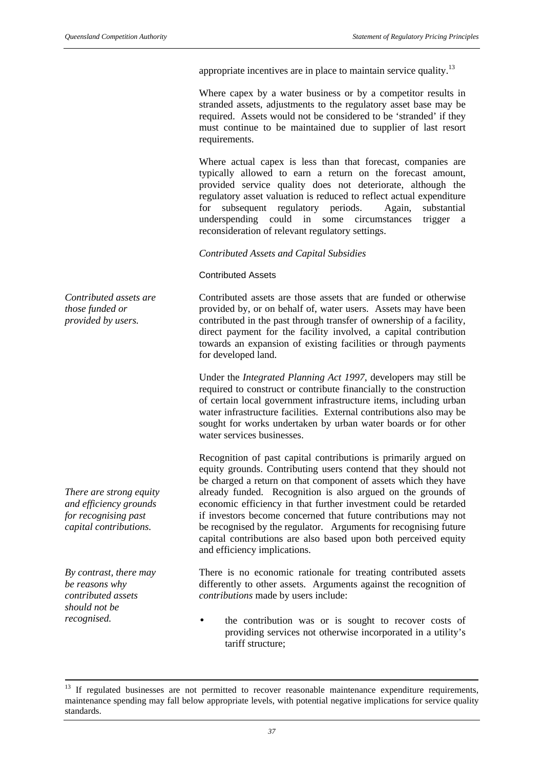appropriate incentives are in place to maintain service quality.<sup>13</sup>

Where capex by a water business or by a competitor results in stranded assets, adjustments to the regulatory asset base may be required. Assets would not be considered to be 'stranded' if they must continue to be maintained due to supplier of last resort requirements.

Where actual capex is less than that forecast, companies are typically allowed to earn a return on the forecast amount, provided service quality does not deteriorate, although the regulatory asset valuation is reduced to reflect actual expenditure for subsequent regulatory periods. Again, substantial underspending could in some circumstances trigger a reconsideration of relevant regulatory settings.

*Contributed Assets and Capital Subsidies*

Contributed Assets

Contributed assets are those assets that are funded or otherwise provided by, or on behalf of, water users. Assets may have been contributed in the past through transfer of ownership of a facility, direct payment for the facility involved, a capital contribution towards an expansion of existing facilities or through payments for developed land.

Under the *Integrated Planning Act 1997*, developers may still be required to construct or contribute financially to the construction of certain local government infrastructure items, including urban water infrastructure facilities. External contributions also may be sought for works undertaken by urban water boards or for other water services businesses.

Recognition of past capital contributions is primarily argued on equity grounds. Contributing users contend that they should not be charged a return on that component of assets which they have already funded. Recognition is also argued on the grounds of economic efficiency in that further investment could be retarded if investors become concerned that future contributions may not be recognised by the regulator. Arguments for recognising future capital contributions are also based upon both perceived equity and efficiency implications.

There is no economic rationale for treating contributed assets differently to other assets. Arguments against the recognition of *contributions* made by users include:

*recognised.* • **•** the contribution was or is sought to recover costs of providing services not otherwise incorporated in a utility's tariff structure;

*Contributed assets are those funded or provided by users.*

*There are strong equity and efficiency grounds for recognising past capital contributions.*

*By contrast, there may be reasons why contributed assets should not be*

 $\overline{a}$ 

 $13$  If regulated businesses are not permitted to recover reasonable maintenance expenditure requirements, maintenance spending may fall below appropriate levels, with potential negative implications for service quality standards.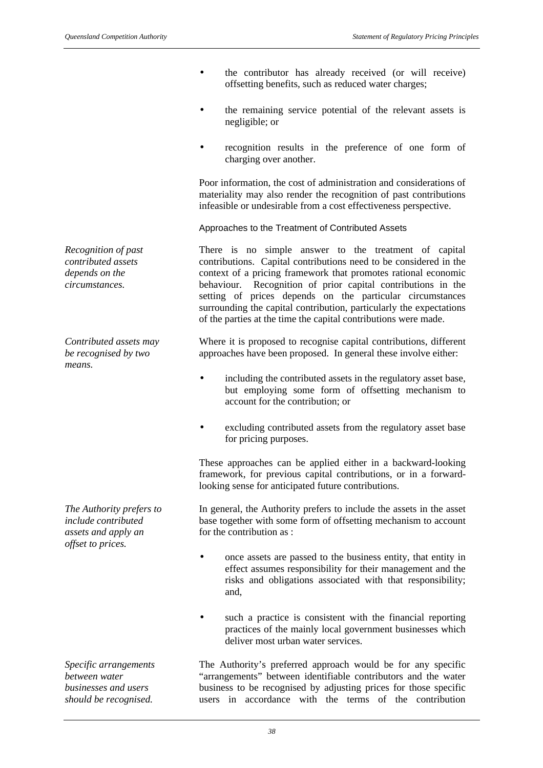- the contributor has already received (or will receive) offsetting benefits, such as reduced water charges;
- the remaining service potential of the relevant assets is negligible; or
- recognition results in the preference of one form of charging over another.

Poor information, the cost of administration and considerations of materiality may also render the recognition of past contributions infeasible or undesirable from a cost effectiveness perspective.

Approaches to the Treatment of Contributed Assets

There is no simple answer to the treatment of capital contributions. Capital contributions need to be considered in the context of a pricing framework that promotes rational economic behaviour. Recognition of prior capital contributions in the setting of prices depends on the particular circumstances surrounding the capital contribution, particularly the expectations of the parties at the time the capital contributions were made.

Where it is proposed to recognise capital contributions, different approaches have been proposed. In general these involve either:

- including the contributed assets in the regulatory asset base, but employing some form of offsetting mechanism to account for the contribution; or
- excluding contributed assets from the regulatory asset base for pricing purposes.

These approaches can be applied either in a backward-looking framework, for previous capital contributions, or in a forwardlooking sense for anticipated future contributions.

In general, the Authority prefers to include the assets in the asset base together with some form of offsetting mechanism to account for the contribution as :

- once assets are passed to the business entity, that entity in effect assumes responsibility for their management and the risks and obligations associated with that responsibility; and,
- such a practice is consistent with the financial reporting practices of the mainly local government businesses which deliver most urban water services.

The Authority's preferred approach would be for any specific "arrangements" between identifiable contributors and the water business to be recognised by adjusting prices for those specific users in accordance with the terms of the contribution

*Recognition of past contributed assets depends on the circumstances.*

*Contributed assets may be recognised by two means.*

*The Authority prefers to include contributed assets and apply an offset to prices.*

*Specific arrangements between water businesses and users should be recognised.*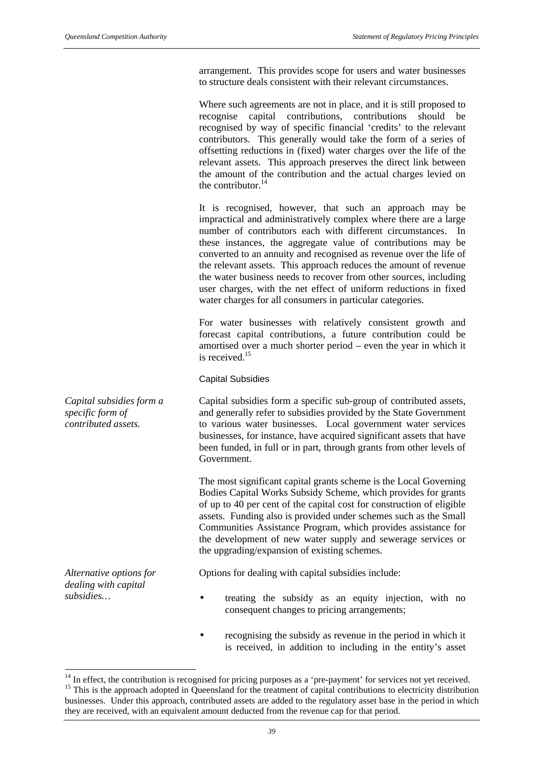arrangement. This provides scope for users and water businesses to structure deals consistent with their relevant circumstances.

Where such agreements are not in place, and it is still proposed to recognise capital contributions, contributions should be recognised by way of specific financial 'credits' to the relevant contributors. This generally would take the form of a series of offsetting reductions in (fixed) water charges over the life of the relevant assets. This approach preserves the direct link between the amount of the contribution and the actual charges levied on the contributor. $14$ 

It is recognised, however, that such an approach may be impractical and administratively complex where there are a large number of contributors each with different circumstances. In these instances, the aggregate value of contributions may be converted to an annuity and recognised as revenue over the life of the relevant assets. This approach reduces the amount of revenue the water business needs to recover from other sources, including user charges, with the net effect of uniform reductions in fixed water charges for all consumers in particular categories.

For water businesses with relatively consistent growth and forecast capital contributions, a future contribution could be amortised over a much shorter period – even the year in which it is received.<sup>15</sup>

Capital Subsidies

*Capital subsidies form a specific form of contributed assets.* Capital subsidies form a specific sub-group of contributed assets, and generally refer to subsidies provided by the State Government to various water businesses. Local government water services businesses, for instance, have acquired significant assets that have been funded, in full or in part, through grants from other levels of Government.

> The most significant capital grants scheme is the Local Governing Bodies Capital Works Subsidy Scheme, which provides for grants of up to 40 per cent of the capital cost for construction of eligible assets. Funding also is provided under schemes such as the Small Communities Assistance Program, which provides assistance for the development of new water supply and sewerage services or the upgrading/expansion of existing schemes.

Options for dealing with capital subsidies include:

- *subsidies…* treating the subsidy as an equity injection, with no consequent changes to pricing arrangements;
	- recognising the subsidy as revenue in the period in which it is received, in addition to including in the entity's asset

*Alternative options for dealing with capital*

l

 $14$  In effect, the contribution is recognised for pricing purposes as a 'pre-payment' for services not yet received. <sup>15</sup> This is the approach adopted in Queensland for the treatment of capital contributions to electricity distribution businesses. Under this approach, contributed assets are added to the regulatory asset base in the period in which they are received, with an equivalent amount deducted from the revenue cap for that period.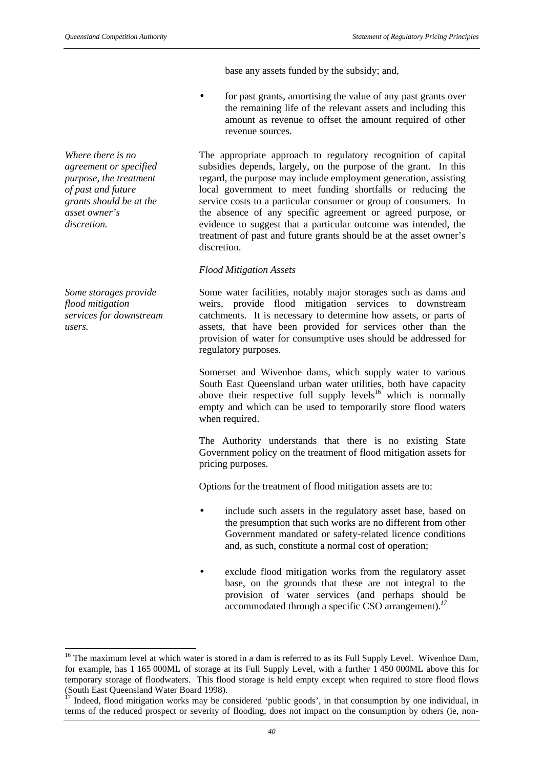base any assets funded by the subsidy; and,

• for past grants, amortising the value of any past grants over the remaining life of the relevant assets and including this amount as revenue to offset the amount required of other revenue sources.

The appropriate approach to regulatory recognition of capital subsidies depends, largely, on the purpose of the grant. In this regard, the purpose may include employment generation, assisting local government to meet funding shortfalls or reducing the service costs to a particular consumer or group of consumers. In the absence of any specific agreement or agreed purpose, or evidence to suggest that a particular outcome was intended, the treatment of past and future grants should be at the asset owner's discretion.

# *Flood Mitigation Assets*

Some water facilities, notably major storages such as dams and weirs, provide flood mitigation services to downstream catchments. It is necessary to determine how assets, or parts of assets, that have been provided for services other than the provision of water for consumptive uses should be addressed for regulatory purposes.

Somerset and Wivenhoe dams, which supply water to various South East Queensland urban water utilities, both have capacity above their respective full supply levels<sup>16</sup> which is normally empty and which can be used to temporarily store flood waters when required.

The Authority understands that there is no existing State Government policy on the treatment of flood mitigation assets for pricing purposes.

Options for the treatment of flood mitigation assets are to:

- include such assets in the regulatory asset base, based on the presumption that such works are no different from other Government mandated or safety-related licence conditions and, as such, constitute a normal cost of operation;
- exclude flood mitigation works from the regulatory asset base, on the grounds that these are not integral to the provision of water services (and perhaps should be accommodated through a specific CSO arrangement).*<sup>17</sup>*

*Where there is no agreement or specified purpose, the treatment of past and future grants should be at the asset owner's discretion.*

*Some storages provide flood mitigation services for downstream users.*

 $\overline{\phantom{a}}$ 

<sup>&</sup>lt;sup>16</sup> The maximum level at which water is stored in a dam is referred to as its Full Supply Level. Wivenhoe Dam, for example, has 1 165 000ML of storage at its Full Supply Level, with a further 1 450 000ML above this for temporary storage of floodwaters. This flood storage is held empty except when required to store flood flows (South East Queensland Water Board 1998).

 $17$  Indeed, flood mitigation works may be considered 'public goods', in that consumption by one individual, in terms of the reduced prospect or severity of flooding, does not impact on the consumption by others (ie, non-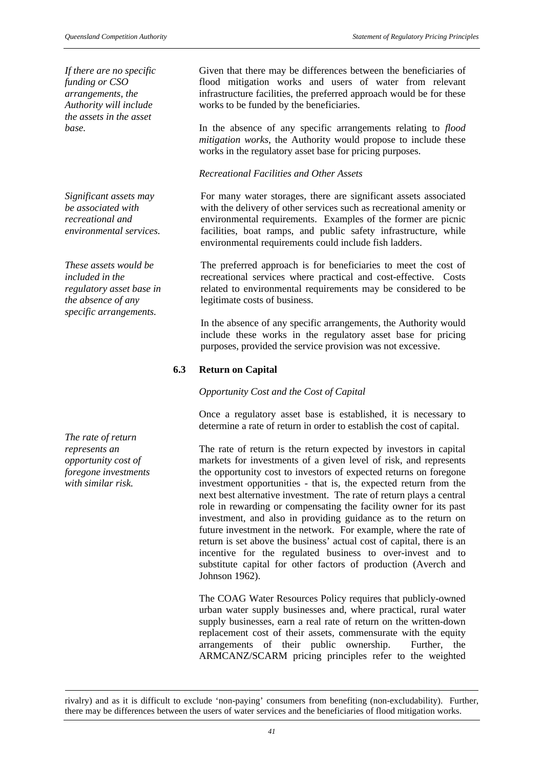*If there are no specific funding or CSO arrangements, the Authority will include the assets in the asset*

*Significant assets may be associated with recreational and environmental services.*

*These assets would be included in the regulatory asset base in the absence of any specific arrangements.*

*The rate of return represents an opportunity cost of foregone investments with similar risk.*

l

Given that there may be differences between the beneficiaries of flood mitigation works and users of water from relevant infrastructure facilities, the preferred approach would be for these works to be funded by the beneficiaries.

*base.* In the absence of any specific arrangements relating to *flood mitigation works*, the Authority would propose to include these works in the regulatory asset base for pricing purposes.

## *Recreational Facilities and Other Assets*

For many water storages, there are significant assets associated with the delivery of other services such as recreational amenity or environmental requirements. Examples of the former are picnic facilities, boat ramps, and public safety infrastructure, while environmental requirements could include fish ladders.

The preferred approach is for beneficiaries to meet the cost of recreational services where practical and cost-effective. Costs related to environmental requirements may be considered to be legitimate costs of business.

In the absence of any specific arrangements, the Authority would include these works in the regulatory asset base for pricing purposes, provided the service provision was not excessive.

# **6.3 Return on Capital**

*Opportunity Cost and the Cost of Capital*

Once a regulatory asset base is established, it is necessary to determine a rate of return in order to establish the cost of capital.

The rate of return is the return expected by investors in capital markets for investments of a given level of risk, and represents the opportunity cost to investors of expected returns on foregone investment opportunities - that is, the expected return from the next best alternative investment. The rate of return plays a central role in rewarding or compensating the facility owner for its past investment, and also in providing guidance as to the return on future investment in the network. For example, where the rate of return is set above the business' actual cost of capital, there is an incentive for the regulated business to over-invest and to substitute capital for other factors of production (Averch and Johnson 1962).

The COAG Water Resources Policy requires that publicly-owned urban water supply businesses and, where practical, rural water supply businesses, earn a real rate of return on the written-down replacement cost of their assets, commensurate with the equity arrangements of their public ownership. Further, the ARMCANZ/SCARM pricing principles refer to the weighted

rivalry) and as it is difficult to exclude 'non-paying' consumers from benefiting (non-excludability). Further, there may be differences between the users of water services and the beneficiaries of flood mitigation works.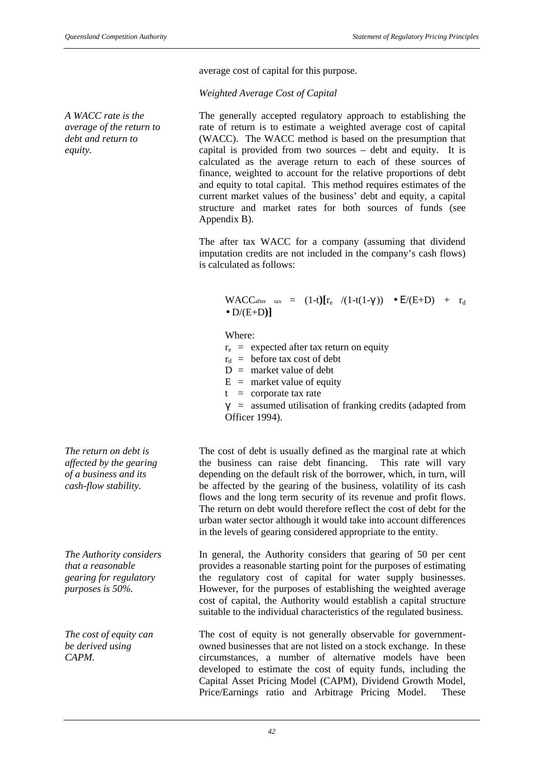*A WACC rate is the average of the return to debt and return to*

*equity.*

average cost of capital for this purpose.

*Weighted Average Cost of Capital*

The generally accepted regulatory approach to establishing the rate of return is to estimate a weighted average cost of capital (WACC). The WACC method is based on the presumption that capital is provided from two sources – debt and equity. It is calculated as the average return to each of these sources of finance, weighted to account for the relative proportions of debt and equity to total capital. This method requires estimates of the current market values of the business' debt and equity, a capital structure and market rates for both sources of funds (see Appendix B).

The after tax WACC for a company (assuming that dividend imputation credits are not included in the company's cash flows) is calculated as follows:

WACC<sub>after tax</sub> =  $(1-t)[r_e \quad/(1-t(1-\gamma)) \quad \bullet \ E/(E+D) \quad + \quad r_d$  $\bullet$  D/(E+D)]

Where:

- $r_e$  = expected after tax return on equity
- $r_d$  = before tax cost of debt
- $D =$  market value of debt
- $E =$  market value of equity
- $t =$  corporate tax rate
- $\gamma$  = assumed utilisation of franking credits (adapted from Officer 1994).

The cost of debt is usually defined as the marginal rate at which the business can raise debt financing. This rate will vary depending on the default risk of the borrower, which, in turn, will be affected by the gearing of the business, volatility of its cash flows and the long term security of its revenue and profit flows. The return on debt would therefore reflect the cost of debt for the urban water sector although it would take into account differences in the levels of gearing considered appropriate to the entity.

In general, the Authority considers that gearing of 50 per cent provides a reasonable starting point for the purposes of estimating the regulatory cost of capital for water supply businesses. However, for the purposes of establishing the weighted average cost of capital, the Authority would establish a capital structure suitable to the individual characteristics of the regulated business.

The cost of equity is not generally observable for governmentowned businesses that are not listed on a stock exchange. In these circumstances, a number of alternative models have been developed to estimate the cost of equity funds, including the Capital Asset Pricing Model (CAPM), Dividend Growth Model, Price/Earnings ratio and Arbitrage Pricing Model. These

*The return on debt is affected by the gearing of a business and its cash-flow stability.*

*The Authority considers that a reasonable gearing for regulatory purposes is 50%.*

*The cost of equity can be derived using CAPM.*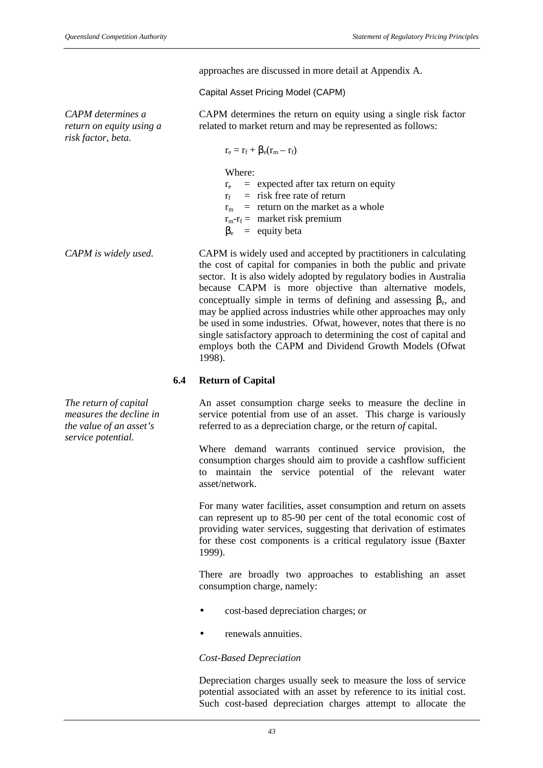approaches are discussed in more detail at Appendix A.

#### Capital Asset Pricing Model (CAPM)

*CAPM determines a return on equity using a risk factor, beta.*

CAPM determines the return on equity using a single risk factor related to market return and may be represented as follows:

$$
r_e=r_f+\beta_e(r_m-r_f)
$$

Where:

- $r_e$  = expected after tax return on equity
- $r_f$  = risk free rate of return
- $r_m$  = return on the market as a whole
- $r_m r_f =$  market risk premium
- $\beta_e$  = equity beta

*CAPM is widely used.* CAPM is widely used and accepted by practitioners in calculating the cost of capital for companies in both the public and private sector. It is also widely adopted by regulatory bodies in Australia because CAPM is more objective than alternative models, conceptually simple in terms of defining and assessing  $\beta_e$ , and may be applied across industries while other approaches may only be used in some industries. Ofwat, however, notes that there is no single satisfactory approach to determining the cost of capital and employs both the CAPM and Dividend Growth Models (Ofwat 1998).

#### **6.4 Return of Capital**

An asset consumption charge seeks to measure the decline in service potential from use of an asset. This charge is variously referred to as a depreciation charge, or the return *of* capital.

Where demand warrants continued service provision, the consumption charges should aim to provide a cashflow sufficient to maintain the service potential of the relevant water asset/network.

For many water facilities, asset consumption and return on assets can represent up to 85-90 per cent of the total economic cost of providing water services, suggesting that derivation of estimates for these cost components is a critical regulatory issue (Baxter 1999).

There are broadly two approaches to establishing an asset consumption charge, namely:

- cost-based depreciation charges; or
- renewals annuities.

*Cost-Based Depreciation*

Depreciation charges usually seek to measure the loss of service potential associated with an asset by reference to its initial cost. Such cost-based depreciation charges attempt to allocate the

*The return of capital measures the decline in the value of an asset's service potential.*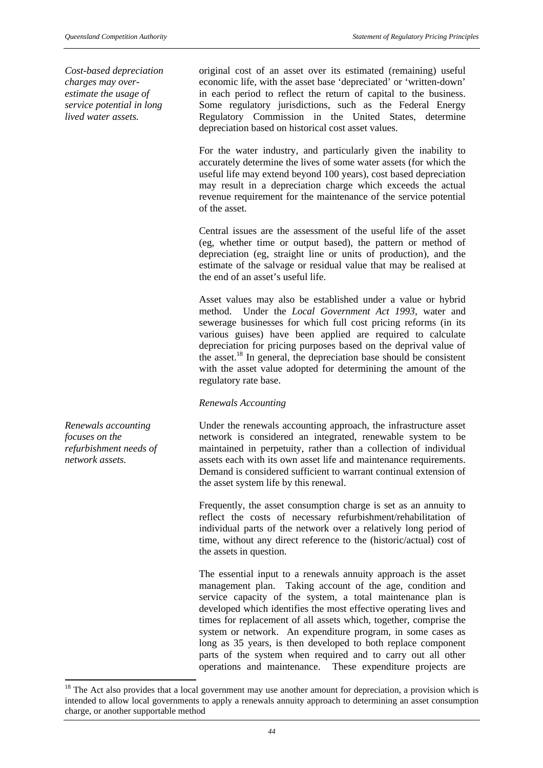*Cost-based depreciation charges may overestimate the usage of service potential in long lived water assets.*

original cost of an asset over its estimated (remaining) useful economic life, with the asset base 'depreciated' or 'written-down' in each period to reflect the return of capital to the business. Some regulatory jurisdictions, such as the Federal Energy Regulatory Commission in the United States, determine depreciation based on historical cost asset values.

For the water industry, and particularly given the inability to accurately determine the lives of some water assets (for which the useful life may extend beyond 100 years), cost based depreciation may result in a depreciation charge which exceeds the actual revenue requirement for the maintenance of the service potential of the asset.

Central issues are the assessment of the useful life of the asset (eg, whether time or output based), the pattern or method of depreciation (eg, straight line or units of production), and the estimate of the salvage or residual value that may be realised at the end of an asset's useful life.

Asset values may also be established under a value or hybrid method. Under the *Local Government Act 1993*, water and sewerage businesses for which full cost pricing reforms (in its various guises) have been applied are required to calculate depreciation for pricing purposes based on the deprival value of the asset.<sup>18</sup> In general, the depreciation base should be consistent with the asset value adopted for determining the amount of the regulatory rate base.

# *Renewals Accounting*

Under the renewals accounting approach, the infrastructure asset network is considered an integrated, renewable system to be maintained in perpetuity, rather than a collection of individual assets each with its own asset life and maintenance requirements. Demand is considered sufficient to warrant continual extension of the asset system life by this renewal.

Frequently, the asset consumption charge is set as an annuity to reflect the costs of necessary refurbishment/rehabilitation of individual parts of the network over a relatively long period of time, without any direct reference to the (historic/actual) cost of the assets in question.

The essential input to a renewals annuity approach is the asset management plan. Taking account of the age, condition and service capacity of the system, a total maintenance plan is developed which identifies the most effective operating lives and times for replacement of all assets which, together, comprise the system or network. An expenditure program, in some cases as long as 35 years, is then developed to both replace component parts of the system when required and to carry out all other operations and maintenance. These expenditure projects are

*Renewals accounting focuses on the refurbishment needs of network assets.*

 $\overline{a}$ 

 $18$  The Act also provides that a local government may use another amount for depreciation, a provision which is intended to allow local governments to apply a renewals annuity approach to determining an asset consumption charge, or another supportable method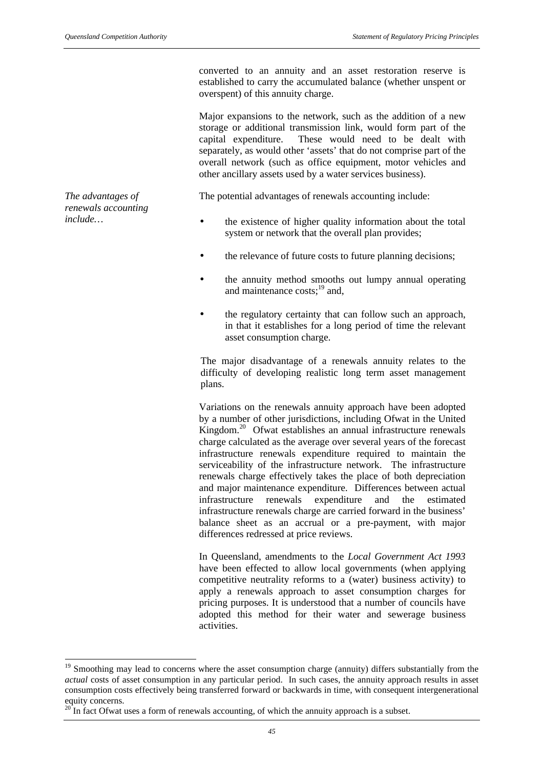converted to an annuity and an asset restoration reserve is established to carry the accumulated balance (whether unspent or overspent) of this annuity charge.

Major expansions to the network, such as the addition of a new storage or additional transmission link, would form part of the capital expenditure. These would need to be dealt with separately, as would other 'assets' that do not comprise part of the overall network (such as office equipment, motor vehicles and other ancillary assets used by a water services business).

The potential advantages of renewals accounting include:

- *include*... **• •** the existence of higher quality information about the total system or network that the overall plan provides;
	- the relevance of future costs to future planning decisions:
	- the annuity method smooths out lumpy annual operating and maintenance  $costs$ ;<sup>19</sup> and,
	- the regulatory certainty that can follow such an approach, in that it establishes for a long period of time the relevant asset consumption charge.

The major disadvantage of a renewals annuity relates to the difficulty of developing realistic long term asset management plans.

Variations on the renewals annuity approach have been adopted by a number of other jurisdictions, including Ofwat in the United Kingdom.<sup>20</sup> Ofwat establishes an annual infrastructure renewals charge calculated as the average over several years of the forecast infrastructure renewals expenditure required to maintain the serviceability of the infrastructure network. The infrastructure renewals charge effectively takes the place of both depreciation and major maintenance expenditure. Differences between actual infrastructure renewals expenditure and the estimated infrastructure renewals charge are carried forward in the business' balance sheet as an accrual or a pre-payment, with major differences redressed at price reviews.

In Queensland, amendments to the *Local Government Act 1993* have been effected to allow local governments (when applying competitive neutrality reforms to a (water) business activity) to apply a renewals approach to asset consumption charges for pricing purposes. It is understood that a number of councils have adopted this method for their water and sewerage business activities.

*The advantages of renewals accounting*

l

<sup>&</sup>lt;sup>19</sup> Smoothing may lead to concerns where the asset consumption charge (annuity) differs substantially from the *actual* costs of asset consumption in any particular period. In such cases, the annuity approach results in asset consumption costs effectively being transferred forward or backwards in time, with consequent intergenerational equity concerns.

 $20<sup>20</sup>$  In fact Ofwat uses a form of renewals accounting, of which the annuity approach is a subset.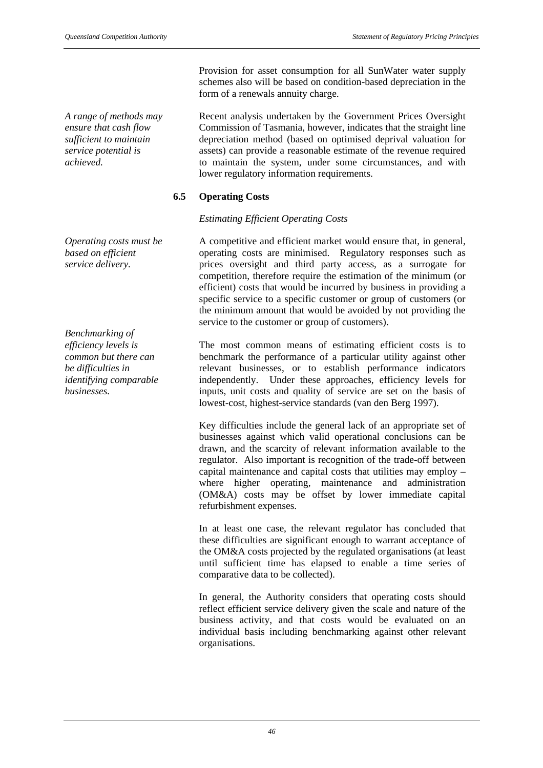*A range of methods may ensure that cash flow sufficient to maintain service potential is achieved.*

*Operating costs must be based on efficient service delivery.*

*Benchmarking of efficiency levels is common but there can be difficulties in identifying comparable businesses.*

Provision for asset consumption for all SunWater water supply schemes also will be based on condition-based depreciation in the form of a renewals annuity charge.

Recent analysis undertaken by the Government Prices Oversight Commission of Tasmania, however, indicates that the straight line depreciation method (based on optimised deprival valuation for assets) can provide a reasonable estimate of the revenue required to maintain the system, under some circumstances, and with lower regulatory information requirements.

# **6.5 Operating Costs**

## *Estimating Efficient Operating Costs*

A competitive and efficient market would ensure that, in general, operating costs are minimised. Regulatory responses such as prices oversight and third party access, as a surrogate for competition, therefore require the estimation of the minimum (or efficient) costs that would be incurred by business in providing a specific service to a specific customer or group of customers (or the minimum amount that would be avoided by not providing the service to the customer or group of customers).

The most common means of estimating efficient costs is to benchmark the performance of a particular utility against other relevant businesses, or to establish performance indicators independently. Under these approaches, efficiency levels for inputs, unit costs and quality of service are set on the basis of lowest-cost, highest-service standards (van den Berg 1997).

Key difficulties include the general lack of an appropriate set of businesses against which valid operational conclusions can be drawn, and the scarcity of relevant information available to the regulator. Also important is recognition of the trade-off between capital maintenance and capital costs that utilities may employ – where higher operating, maintenance and administration (OM&A) costs may be offset by lower immediate capital refurbishment expenses.

In at least one case, the relevant regulator has concluded that these difficulties are significant enough to warrant acceptance of the OM&A costs projected by the regulated organisations (at least until sufficient time has elapsed to enable a time series of comparative data to be collected).

In general, the Authority considers that operating costs should reflect efficient service delivery given the scale and nature of the business activity, and that costs would be evaluated on an individual basis including benchmarking against other relevant organisations.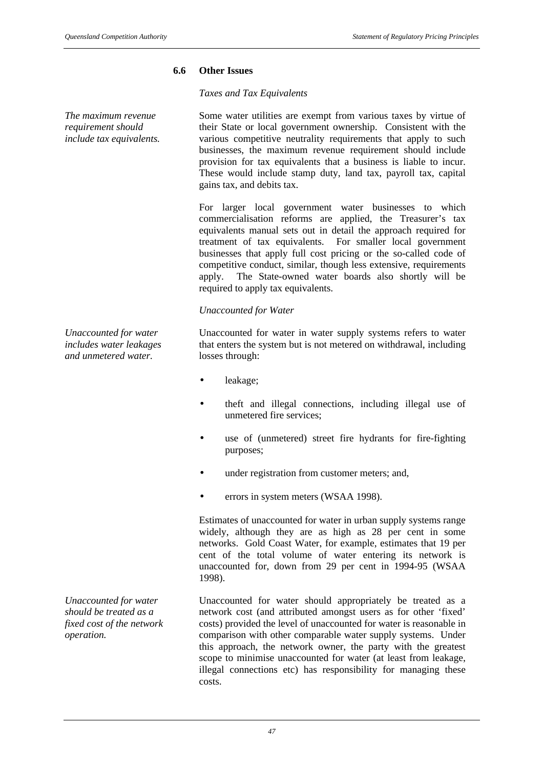## **6.6 Other Issues**

# *Taxes and Tax Equivalents*

*The maximum revenue requirement should include tax equivalents.*

*Unaccounted for water includes water leakages and unmetered water.*

*Unaccounted for water should be treated as a fixed cost of the network operation.*

Some water utilities are exempt from various taxes by virtue of their State or local government ownership. Consistent with the various competitive neutrality requirements that apply to such businesses, the maximum revenue requirement should include provision for tax equivalents that a business is liable to incur. These would include stamp duty, land tax, payroll tax, capital gains tax, and debits tax.

For larger local government water businesses to which commercialisation reforms are applied, the Treasurer's tax equivalents manual sets out in detail the approach required for treatment of tax equivalents. For smaller local government businesses that apply full cost pricing or the so-called code of competitive conduct, similar, though less extensive, requirements apply. The State-owned water boards also shortly will be required to apply tax equivalents.

## *Unaccounted for Water*

Unaccounted for water in water supply systems refers to water that enters the system but is not metered on withdrawal, including losses through:

- leakage;
- theft and illegal connections, including illegal use of unmetered fire services;
- use of (unmetered) street fire hydrants for fire-fighting purposes;
- under registration from customer meters; and,
- errors in system meters (WSAA 1998).

Estimates of unaccounted for water in urban supply systems range widely, although they are as high as 28 per cent in some networks. Gold Coast Water, for example, estimates that 19 per cent of the total volume of water entering its network is unaccounted for, down from 29 per cent in 1994-95 (WSAA 1998).

Unaccounted for water should appropriately be treated as a network cost (and attributed amongst users as for other 'fixed' costs) provided the level of unaccounted for water is reasonable in comparison with other comparable water supply systems. Under this approach, the network owner, the party with the greatest scope to minimise unaccounted for water (at least from leakage, illegal connections etc) has responsibility for managing these costs.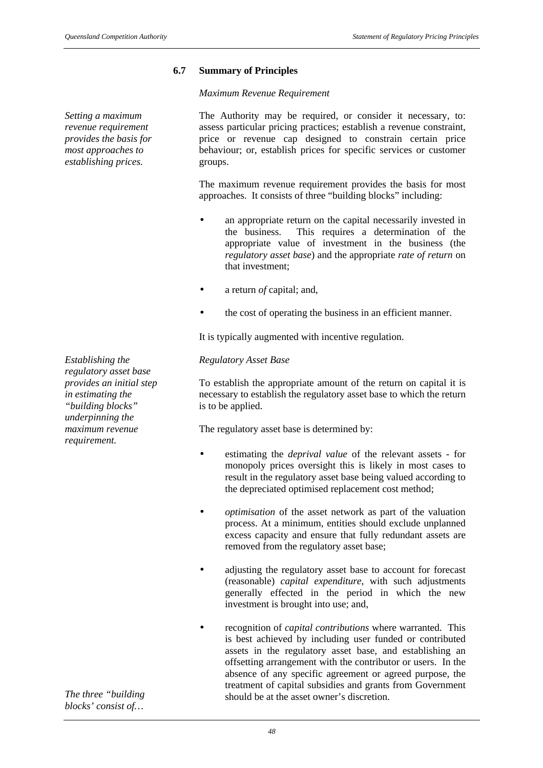# **6.7 Summary of Principles**

#### *Maximum Revenue Requirement*

*Setting a maximum revenue requirement provides the basis for most approaches to establishing prices.*

*Establishing the regulatory asset base provides an initial step in estimating the "building blocks" underpinning the maximum revenue requirement.*

*The three "building blocks' consist of…*

The Authority may be required, or consider it necessary, to: assess particular pricing practices; establish a revenue constraint, price or revenue cap designed to constrain certain price behaviour; or, establish prices for specific services or customer groups.

The maximum revenue requirement provides the basis for most approaches. It consists of three "building blocks" including:

- an appropriate return on the capital necessarily invested in the business. This requires a determination of the appropriate value of investment in the business (the *regulatory asset base*) and the appropriate *rate of return* on that investment;
- a return *of* capital; and,
- the cost of operating the business in an efficient manner.

It is typically augmented with incentive regulation.

## *Regulatory Asset Base*

To establish the appropriate amount of the return on capital it is necessary to establish the regulatory asset base to which the return is to be applied.

The regulatory asset base is determined by:

- estimating the *deprival value* of the relevant assets for monopoly prices oversight this is likely in most cases to result in the regulatory asset base being valued according to the depreciated optimised replacement cost method;
- *optimisation* of the asset network as part of the valuation process. At a minimum, entities should exclude unplanned excess capacity and ensure that fully redundant assets are removed from the regulatory asset base;
- adjusting the regulatory asset base to account for forecast (reasonable) *capital expenditure*, with such adjustments generally effected in the period in which the new investment is brought into use; and,
- recognition of *capital contributions* where warranted. This is best achieved by including user funded or contributed assets in the regulatory asset base, and establishing an offsetting arrangement with the contributor or users. In the absence of any specific agreement or agreed purpose, the treatment of capital subsidies and grants from Government should be at the asset owner's discretion.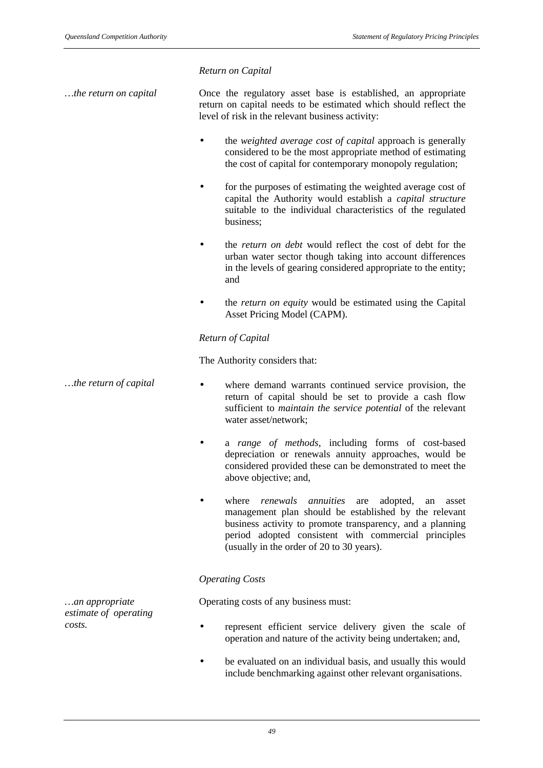### *Return on Capital*

*…the return on capital* Once the regulatory asset base is established, an appropriate return on capital needs to be estimated which should reflect the level of risk in the relevant business activity:

- the *weighted average cost of capital* approach is generally considered to be the most appropriate method of estimating the cost of capital for contemporary monopoly regulation;
- for the purposes of estimating the weighted average cost of capital the Authority would establish a *capital structure* suitable to the individual characteristics of the regulated business;
- the *return on debt* would reflect the cost of debt for the urban water sector though taking into account differences in the levels of gearing considered appropriate to the entity; and
- the *return on equity* would be estimated using the Capital Asset Pricing Model (CAPM).

## *Return of Capital*

The Authority considers that:

- *…the return of capital* where demand warrants continued service provision, the return of capital should be set to provide a cash flow sufficient to *maintain the service potential* of the relevant water asset/network;
	- a *range of methods*, including forms of cost-based depreciation or renewals annuity approaches, would be considered provided these can be demonstrated to meet the above objective; and,
	- where *renewals annuities* are adopted, an asset management plan should be established by the relevant business activity to promote transparency, and a planning period adopted consistent with commercial principles (usually in the order of 20 to 30 years).

# *Operating Costs*

Operating costs of any business must:

- *costs.* represent efficient service delivery given the scale of operation and nature of the activity being undertaken; and,
	- be evaluated on an individual basis, and usually this would include benchmarking against other relevant organisations.

*…an appropriate estimate of operating*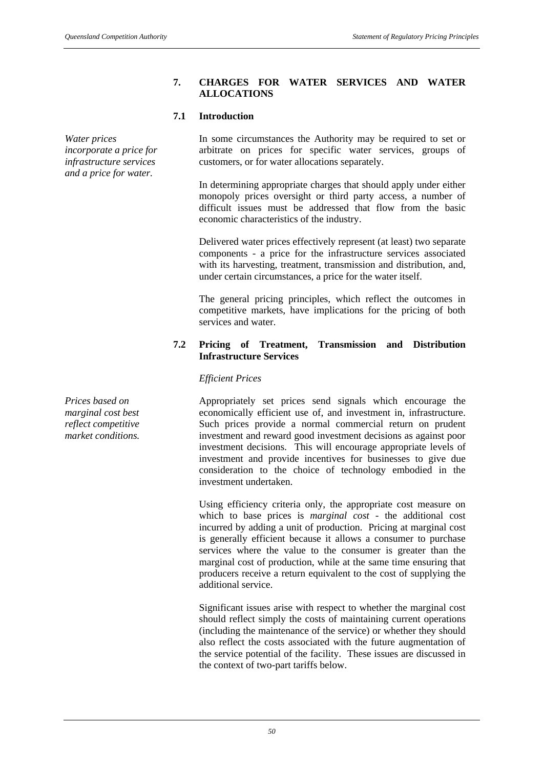#### **7. CHARGES FOR WATER SERVICES AND WATER ALLOCATIONS**

customers, or for water allocations separately.

economic characteristics of the industry.

In some circumstances the Authority may be required to set or arbitrate on prices for specific water services, groups of

In determining appropriate charges that should apply under either monopoly prices oversight or third party access, a number of difficult issues must be addressed that flow from the basic

Delivered water prices effectively represent (at least) two separate

#### **7.1 Introduction**

*Water prices incorporate a price for infrastructure services and a price for water.*

> components - a price for the infrastructure services associated with its harvesting, treatment, transmission and distribution, and, under certain circumstances, a price for the water itself.

The general pricing principles, which reflect the outcomes in competitive markets, have implications for the pricing of both services and water.

# **7.2 Pricing of Treatment, Transmission and Distribution Infrastructure Services**

#### *Efficient Prices*

Appropriately set prices send signals which encourage the economically efficient use of, and investment in, infrastructure. Such prices provide a normal commercial return on prudent investment and reward good investment decisions as against poor investment decisions. This will encourage appropriate levels of investment and provide incentives for businesses to give due consideration to the choice of technology embodied in the investment undertaken.

Using efficiency criteria only, the appropriate cost measure on which to base prices is *marginal cost* - the additional cost incurred by adding a unit of production. Pricing at marginal cost is generally efficient because it allows a consumer to purchase services where the value to the consumer is greater than the marginal cost of production, while at the same time ensuring that producers receive a return equivalent to the cost of supplying the additional service.

Significant issues arise with respect to whether the marginal cost should reflect simply the costs of maintaining current operations (including the maintenance of the service) or whether they should also reflect the costs associated with the future augmentation of the service potential of the facility. These issues are discussed in the context of two-part tariffs below.

*Prices based on marginal cost best reflect competitive market conditions.*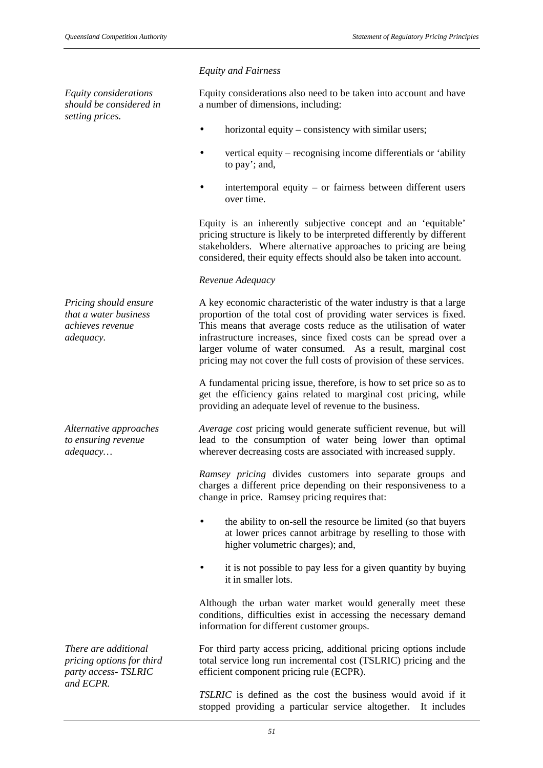*Equity considerations should be considered in setting prices.*

*Pricing should ensure that a water business achieves revenue adequacy.*

*Alternative approaches to ensuring revenue adequacy…*

*There are additional pricing options for third party access- TSLRIC and ECPR.*

#### *Equity and Fairness*

Equity considerations also need to be taken into account and have a number of dimensions, including:

- horizontal equity consistency with similar users;
- vertical equity recognising income differentials or 'ability to pay'; and,
- $intertemporal$  equity or fairness between different users over time.

Equity is an inherently subjective concept and an 'equitable' pricing structure is likely to be interpreted differently by different stakeholders. Where alternative approaches to pricing are being considered, their equity effects should also be taken into account.

#### *Revenue Adequacy*

A key economic characteristic of the water industry is that a large proportion of the total cost of providing water services is fixed. This means that average costs reduce as the utilisation of water infrastructure increases, since fixed costs can be spread over a larger volume of water consumed. As a result, marginal cost pricing may not cover the full costs of provision of these services.

A fundamental pricing issue, therefore, is how to set price so as to get the efficiency gains related to marginal cost pricing, while providing an adequate level of revenue to the business.

*Average cost* pricing would generate sufficient revenue, but will lead to the consumption of water being lower than optimal wherever decreasing costs are associated with increased supply.

*Ramsey pricing* divides customers into separate groups and charges a different price depending on their responsiveness to a change in price. Ramsey pricing requires that:

- the ability to on-sell the resource be limited (so that buyers at lower prices cannot arbitrage by reselling to those with higher volumetric charges); and,
- it is not possible to pay less for a given quantity by buying it in smaller lots.

Although the urban water market would generally meet these conditions, difficulties exist in accessing the necessary demand information for different customer groups.

For third party access pricing, additional pricing options include total service long run incremental cost (TSLRIC) pricing and the efficient component pricing rule (ECPR).

*TSLRIC* is defined as the cost the business would avoid if it stopped providing a particular service altogether. It includes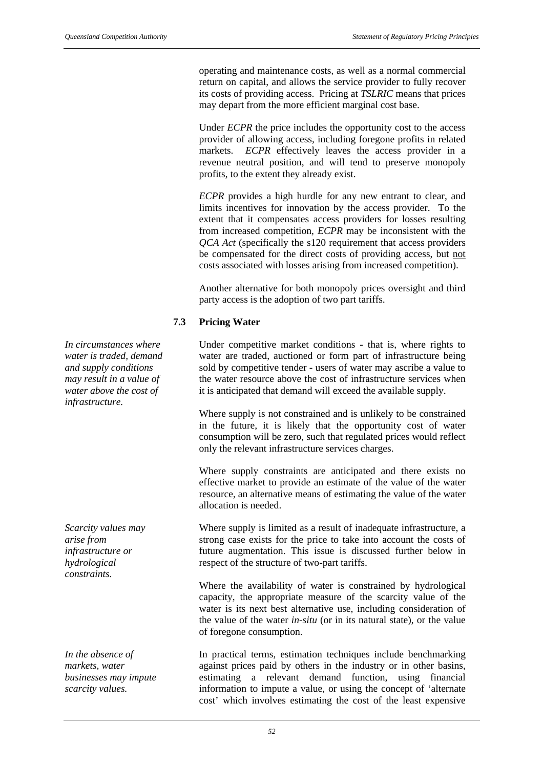operating and maintenance costs, as well as a normal commercial return on capital, and allows the service provider to fully recover its costs of providing access. Pricing at *TSLRIC* means that prices may depart from the more efficient marginal cost base.

Under *ECPR* the price includes the opportunity cost to the access provider of allowing access, including foregone profits in related markets. *ECPR* effectively leaves the access provider in a revenue neutral position, and will tend to preserve monopoly profits, to the extent they already exist.

*ECPR* provides a high hurdle for any new entrant to clear, and limits incentives for innovation by the access provider. To the extent that it compensates access providers for losses resulting from increased competition, *ECPR* may be inconsistent with the *QCA Act* (specifically the s120 requirement that access providers be compensated for the direct costs of providing access, but not costs associated with losses arising from increased competition).

Another alternative for both monopoly prices oversight and third party access is the adoption of two part tariffs.

## **7.3 Pricing Water**

Under competitive market conditions - that is, where rights to water are traded, auctioned or form part of infrastructure being sold by competitive tender - users of water may ascribe a value to the water resource above the cost of infrastructure services when it is anticipated that demand will exceed the available supply.

Where supply is not constrained and is unlikely to be constrained in the future, it is likely that the opportunity cost of water consumption will be zero, such that regulated prices would reflect only the relevant infrastructure services charges.

Where supply constraints are anticipated and there exists no effective market to provide an estimate of the value of the water resource, an alternative means of estimating the value of the water allocation is needed.

Where supply is limited as a result of inadequate infrastructure, a strong case exists for the price to take into account the costs of future augmentation. This issue is discussed further below in respect of the structure of two-part tariffs.

Where the availability of water is constrained by hydrological capacity, the appropriate measure of the scarcity value of the water is its next best alternative use, including consideration of the value of the water *in-situ* (or in its natural state), or the value of foregone consumption.

In practical terms, estimation techniques include benchmarking against prices paid by others in the industry or in other basins, estimating a relevant demand function, using financial information to impute a value, or using the concept of 'alternate cost' which involves estimating the cost of the least expensive

*In circumstances where water is traded, demand and supply conditions may result in a value of water above the cost of infrastructure.*

*Scarcity values may arise from infrastructure or hydrological constraints.*

*In the absence of markets, water businesses may impute scarcity values.*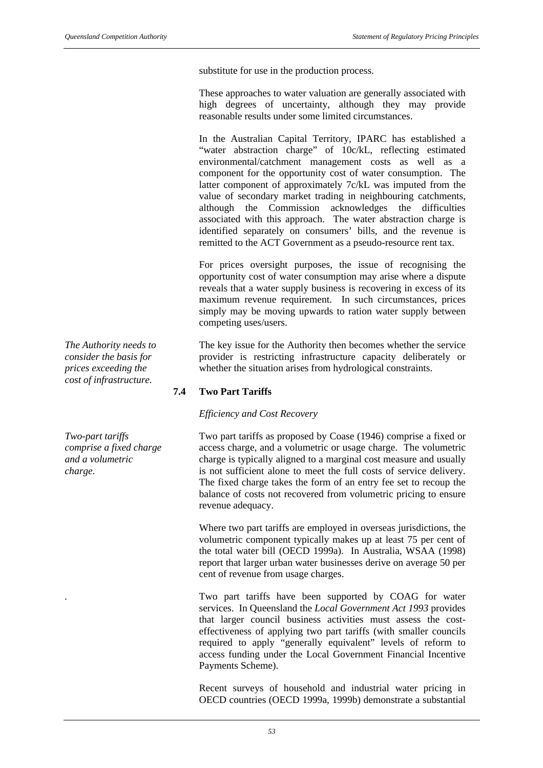substitute for use in the production process.

These approaches to water valuation are generally associated with high degrees of uncertainty, although they may provide reasonable results under some limited circumstances.

In the Australian Capital Territory, IPARC has established a "water abstraction charge" of 10c/kL, reflecting estimated environmental/catchment management costs as well as a component for the opportunity cost of water consumption. The latter component of approximately 7c/kL was imputed from the value of secondary market trading in neighbouring catchments, although the Commission acknowledges the difficulties associated with this approach. The water abstraction charge is identified separately on consumers' bills, and the revenue is remitted to the ACT Government as a pseudo-resource rent tax.

For prices oversight purposes, the issue of recognising the opportunity cost of water consumption may arise where a dispute reveals that a water supply business is recovering in excess of its maximum revenue requirement. In such circumstances, prices simply may be moving upwards to ration water supply between competing uses/users.

The key issue for the Authority then becomes whether the service provider is restricting infrastructure capacity deliberately or whether the situation arises from hydrological constraints.

# **7.4 Two Part Tariffs**

#### *Efficiency and Cost Recovery*

Two part tariffs as proposed by Coase (1946) comprise a fixed or access charge, and a volumetric or usage charge. The volumetric charge is typically aligned to a marginal cost measure and usually is not sufficient alone to meet the full costs of service delivery. The fixed charge takes the form of an entry fee set to recoup the balance of costs not recovered from volumetric pricing to ensure revenue adequacy.

Where two part tariffs are employed in overseas jurisdictions, the volumetric component typically makes up at least 75 per cent of the total water bill (OECD 1999a). In Australia, WSAA (1998) report that larger urban water businesses derive on average 50 per cent of revenue from usage charges.

*.* Two part tariffs have been supported by COAG for water services. In Queensland the *Local Government Act 1993* provides that larger council business activities must assess the costeffectiveness of applying two part tariffs (with smaller councils required to apply "generally equivalent" levels of reform to access funding under the Local Government Financial Incentive Payments Scheme).

Recent surveys of household and industrial water pricing in OECD countries (OECD 1999a, 1999b) demonstrate a substantial

*The Authority needs to consider the basis for prices exceeding the cost of infrastructure.*

*Two-part tariffs comprise a fixed charge and a volumetric charge.*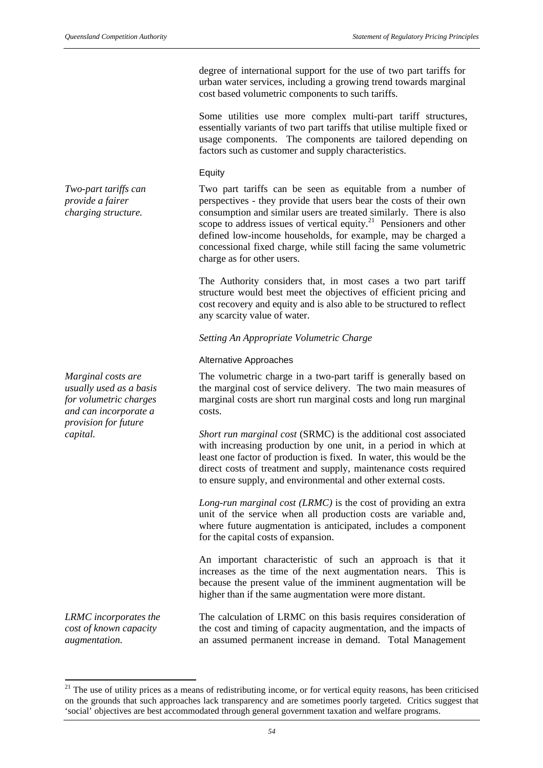degree of international support for the use of two part tariffs for urban water services, including a growing trend towards marginal cost based volumetric components to such tariffs.

Some utilities use more complex multi-part tariff structures, essentially variants of two part tariffs that utilise multiple fixed or usage components. The components are tailored depending on factors such as customer and supply characteristics.

#### Equity

Two part tariffs can be seen as equitable from a number of perspectives - they provide that users bear the costs of their own consumption and similar users are treated similarly. There is also scope to address issues of vertical equity.<sup>21</sup> Pensioners and other defined low-income households, for example, may be charged a concessional fixed charge, while still facing the same volumetric charge as for other users.

The Authority considers that, in most cases a two part tariff structure would best meet the objectives of efficient pricing and cost recovery and equity and is also able to be structured to reflect any scarcity value of water.

*Setting An Appropriate Volumetric Charge*

#### Alternative Approaches

The volumetric charge in a two-part tariff is generally based on the marginal cost of service delivery. The two main measures of marginal costs are short run marginal costs and long run marginal costs.

*capital. Short run marginal cost* (SRMC) is the additional cost associated with increasing production by one unit, in a period in which at least one factor of production is fixed. In water, this would be the direct costs of treatment and supply, maintenance costs required to ensure supply, and environmental and other external costs.

> *Long-run marginal cost (LRMC)* is the cost of providing an extra unit of the service when all production costs are variable and, where future augmentation is anticipated, includes a component for the capital costs of expansion.

> An important characteristic of such an approach is that it increases as the time of the next augmentation nears. This is because the present value of the imminent augmentation will be higher than if the same augmentation were more distant.

> The calculation of LRMC on this basis requires consideration of the cost and timing of capacity augmentation, and the impacts of an assumed permanent increase in demand. Total Management

*Marginal costs are usually used as a basis for volumetric charges and can incorporate a provision for future*

*LRMC incorporates the cost of known capacity augmentation.*

 $\overline{a}$ 

*Two-part tariffs can provide a fairer charging structure.*

 $21$  The use of utility prices as a means of redistributing income, or for vertical equity reasons, has been criticised on the grounds that such approaches lack transparency and are sometimes poorly targeted. Critics suggest that 'social' objectives are best accommodated through general government taxation and welfare programs.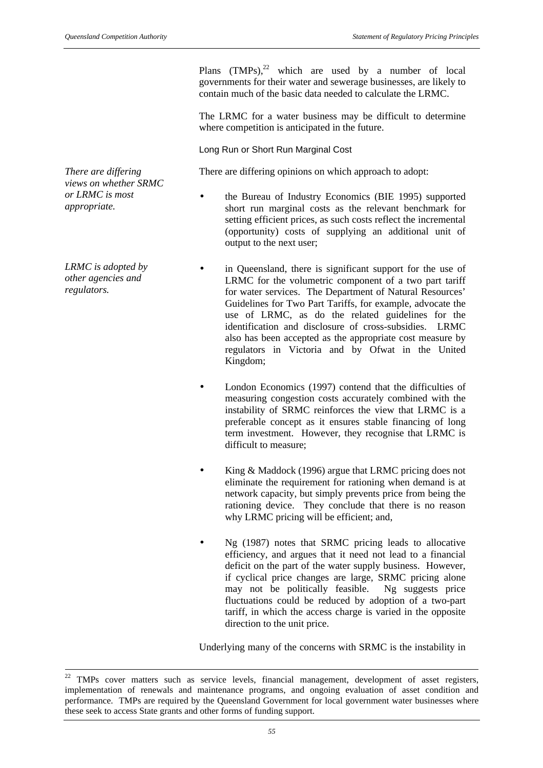Plans  $(TMPs)$ ,<sup>22</sup> which are used by a number of local governments for their water and sewerage businesses, are likely to contain much of the basic data needed to calculate the LRMC.

The LRMC for a water business may be difficult to determine where competition is anticipated in the future.

Long Run or Short Run Marginal Cost

There are differing opinions on which approach to adopt:

- the Bureau of Industry Economics (BIE 1995) supported short run marginal costs as the relevant benchmark for setting efficient prices, as such costs reflect the incremental (opportunity) costs of supplying an additional unit of output to the next user;
- in Queensland, there is significant support for the use of LRMC for the volumetric component of a two part tariff for water services. The Department of Natural Resources' Guidelines for Two Part Tariffs, for example, advocate the use of LRMC, as do the related guidelines for the identification and disclosure of cross-subsidies. LRMC also has been accepted as the appropriate cost measure by regulators in Victoria and by Ofwat in the United Kingdom;
- London Economics (1997) contend that the difficulties of measuring congestion costs accurately combined with the instability of SRMC reinforces the view that LRMC is a preferable concept as it ensures stable financing of long term investment. However, they recognise that LRMC is difficult to measure;
- King & Maddock (1996) argue that LRMC pricing does not eliminate the requirement for rationing when demand is at network capacity, but simply prevents price from being the rationing device. They conclude that there is no reason why LRMC pricing will be efficient; and,
- Ng (1987) notes that SRMC pricing leads to allocative efficiency, and argues that it need not lead to a financial deficit on the part of the water supply business. However, if cyclical price changes are large, SRMC pricing alone may not be politically feasible. Ng suggests price fluctuations could be reduced by adoption of a two-part tariff, in which the access charge is varied in the opposite direction to the unit price.

Underlying many of the concerns with SRMC is the instability in

*There are differing views on whether SRMC or LRMC is most appropriate.*

*LRMC is adopted by other agencies and regulators.*

l

<sup>&</sup>lt;sup>22</sup> TMPs cover matters such as service levels, financial management, development of asset registers, implementation of renewals and maintenance programs, and ongoing evaluation of asset condition and performance. TMPs are required by the Queensland Government for local government water businesses where these seek to access State grants and other forms of funding support.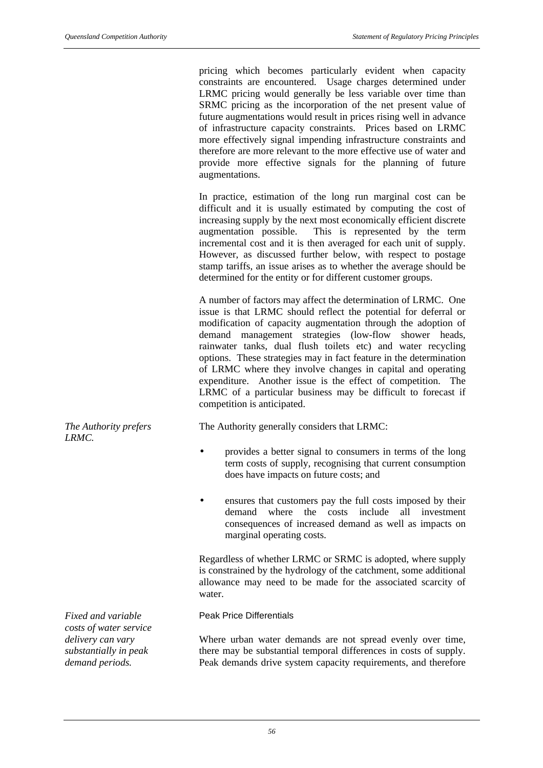pricing which becomes particularly evident when capacity constraints are encountered. Usage charges determined under LRMC pricing would generally be less variable over time than SRMC pricing as the incorporation of the net present value of future augmentations would result in prices rising well in advance of infrastructure capacity constraints. Prices based on LRMC more effectively signal impending infrastructure constraints and therefore are more relevant to the more effective use of water and provide more effective signals for the planning of future augmentations.

In practice, estimation of the long run marginal cost can be difficult and it is usually estimated by computing the cost of increasing supply by the next most economically efficient discrete augmentation possible. This is represented by the term incremental cost and it is then averaged for each unit of supply. However, as discussed further below, with respect to postage stamp tariffs, an issue arises as to whether the average should be determined for the entity or for different customer groups.

A number of factors may affect the determination of LRMC. One issue is that LRMC should reflect the potential for deferral or modification of capacity augmentation through the adoption of demand management strategies (low-flow shower heads, rainwater tanks, dual flush toilets etc) and water recycling options. These strategies may in fact feature in the determination of LRMC where they involve changes in capital and operating expenditure. Another issue is the effect of competition. The LRMC of a particular business may be difficult to forecast if competition is anticipated.

The Authority generally considers that LRMC:

- provides a better signal to consumers in terms of the long term costs of supply, recognising that current consumption does have impacts on future costs; and
- ensures that customers pay the full costs imposed by their demand where the costs include all investment consequences of increased demand as well as impacts on marginal operating costs.

Regardless of whether LRMC or SRMC is adopted, where supply is constrained by the hydrology of the catchment, some additional allowance may need to be made for the associated scarcity of water.

#### Peak Price Differentials

Where urban water demands are not spread evenly over time, there may be substantial temporal differences in costs of supply. Peak demands drive system capacity requirements, and therefore

*The Authority prefers LRMC.*

*Fixed and variable costs of water service delivery can vary substantially in peak demand periods.*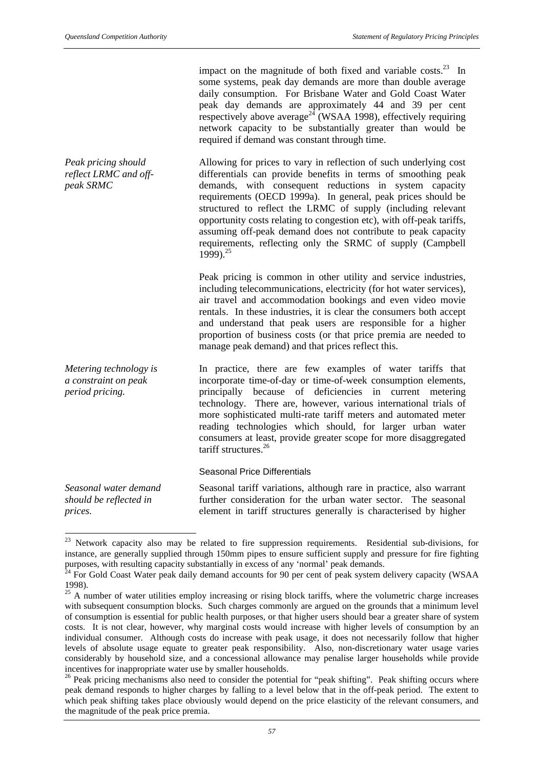*Peak pricing should reflect LRMC and off-*

*peak SRMC*

impact on the magnitude of both fixed and variable costs. $^{23}$  In some systems, peak day demands are more than double average daily consumption. For Brisbane Water and Gold Coast Water peak day demands are approximately 44 and 39 per cent respectively above average<sup>24</sup> (WSAA 1998), effectively requiring network capacity to be substantially greater than would be required if demand was constant through time.

Allowing for prices to vary in reflection of such underlying cost differentials can provide benefits in terms of smoothing peak demands, with consequent reductions in system capacity requirements (OECD 1999a). In general, peak prices should be structured to reflect the LRMC of supply (including relevant opportunity costs relating to congestion etc), with off-peak tariffs, assuming off-peak demand does not contribute to peak capacity requirements, reflecting only the SRMC of supply (Campbell 1999).<sup>25</sup>

Peak pricing is common in other utility and service industries, including telecommunications, electricity (for hot water services), air travel and accommodation bookings and even video movie rentals. In these industries, it is clear the consumers both accept and understand that peak users are responsible for a higher proportion of business costs (or that price premia are needed to manage peak demand) and that prices reflect this.

*Metering technology is a constraint on peak period pricing.* In practice, there are few examples of water tariffs that incorporate time-of-day or time-of-week consumption elements, principally because of deficiencies in current metering technology. There are, however, various international trials of more sophisticated multi-rate tariff meters and automated meter reading technologies which should, for larger urban water consumers at least, provide greater scope for more disaggregated tariff structures.<sup>26</sup>

Seasonal Price Differentials

*Seasonal water demand should be reflected in prices.*

l

Seasonal tariff variations, although rare in practice, also warrant further consideration for the urban water sector. The seasonal element in tariff structures generally is characterised by higher

 $23$  Network capacity also may be related to fire suppression requirements. Residential sub-divisions, for instance, are generally supplied through 150mm pipes to ensure sufficient supply and pressure for fire fighting purposes, with resulting capacity substantially in excess of any 'normal' peak demands.

 $24$  For Gold Coast Water peak daily demand accounts for 90 per cent of peak system delivery capacity (WSAA 1998).

 $^{25}$  A number of water utilities employ increasing or rising block tariffs, where the volumetric charge increases with subsequent consumption blocks. Such charges commonly are argued on the grounds that a minimum level of consumption is essential for public health purposes, or that higher users should bear a greater share of system costs. It is not clear, however, why marginal costs would increase with higher levels of consumption by an individual consumer. Although costs do increase with peak usage, it does not necessarily follow that higher levels of absolute usage equate to greater peak responsibility. Also, non-discretionary water usage varies considerably by household size, and a concessional allowance may penalise larger households while provide incentives for inappropriate water use by smaller households.

<sup>&</sup>lt;sup>26</sup> Peak pricing mechanisms also need to consider the potential for "peak shifting". Peak shifting occurs where peak demand responds to higher charges by falling to a level below that in the off-peak period. The extent to which peak shifting takes place obviously would depend on the price elasticity of the relevant consumers, and the magnitude of the peak price premia.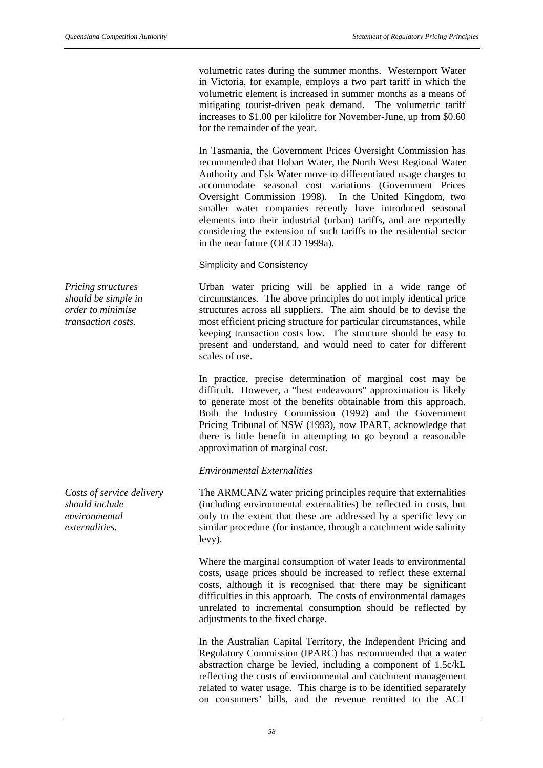volumetric rates during the summer months. Westernport Water in Victoria, for example, employs a two part tariff in which the volumetric element is increased in summer months as a means of mitigating tourist-driven peak demand. The volumetric tariff increases to \$1.00 per kilolitre for November-June, up from \$0.60 for the remainder of the year.

In Tasmania, the Government Prices Oversight Commission has recommended that Hobart Water, the North West Regional Water Authority and Esk Water move to differentiated usage charges to accommodate seasonal cost variations (Government Prices Oversight Commission 1998). In the United Kingdom, two smaller water companies recently have introduced seasonal elements into their industrial (urban) tariffs, and are reportedly considering the extension of such tariffs to the residential sector in the near future (OECD 1999a).

Simplicity and Consistency

Urban water pricing will be applied in a wide range of circumstances. The above principles do not imply identical price structures across all suppliers. The aim should be to devise the most efficient pricing structure for particular circumstances, while keeping transaction costs low. The structure should be easy to present and understand, and would need to cater for different scales of use.

In practice, precise determination of marginal cost may be difficult. However, a "best endeavours" approximation is likely to generate most of the benefits obtainable from this approach. Both the Industry Commission (1992) and the Government Pricing Tribunal of NSW (1993), now IPART, acknowledge that there is little benefit in attempting to go beyond a reasonable approximation of marginal cost.

# *Environmental Externalities*

The ARMCANZ water pricing principles require that externalities (including environmental externalities) be reflected in costs, but only to the extent that these are addressed by a specific levy or similar procedure (for instance, through a catchment wide salinity levy).

Where the marginal consumption of water leads to environmental costs, usage prices should be increased to reflect these external costs, although it is recognised that there may be significant difficulties in this approach. The costs of environmental damages unrelated to incremental consumption should be reflected by adjustments to the fixed charge.

In the Australian Capital Territory, the Independent Pricing and Regulatory Commission (IPARC) has recommended that a water abstraction charge be levied, including a component of 1.5c/kL reflecting the costs of environmental and catchment management related to water usage. This charge is to be identified separately on consumers' bills, and the revenue remitted to the ACT

*Pricing structures should be simple in order to minimise transaction costs.*

*Costs of service delivery should include environmental externalities.*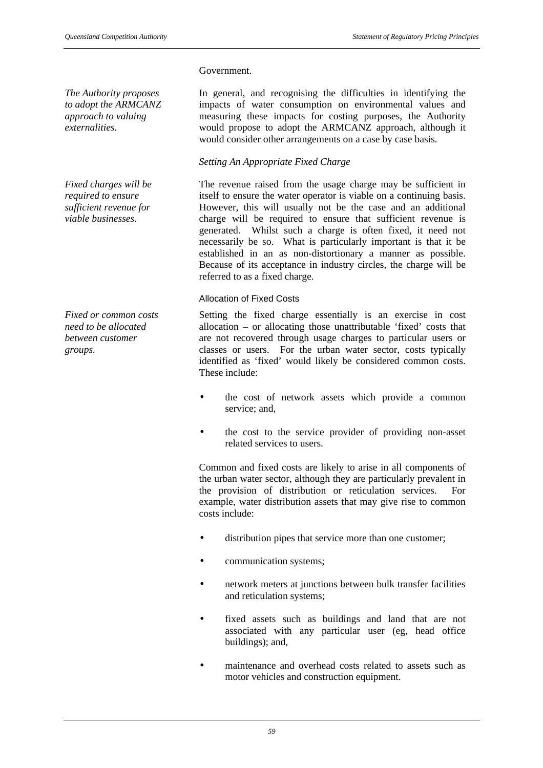### Government.

*The Authority proposes to adopt the ARMCANZ approach to valuing externalities.*

*Fixed charges will be required to ensure sufficient revenue for viable businesses.*

*Fixed or common costs need to be allocated between customer groups.*

In general, and recognising the difficulties in identifying the impacts of water consumption on environmental values and measuring these impacts for costing purposes, the Authority would propose to adopt the ARMCANZ approach, although it would consider other arrangements on a case by case basis.

# *Setting An Appropriate Fixed Charge*

The revenue raised from the usage charge may be sufficient in itself to ensure the water operator is viable on a continuing basis. However, this will usually not be the case and an additional charge will be required to ensure that sufficient revenue is generated. Whilst such a charge is often fixed, it need not necessarily be so. What is particularly important is that it be established in an as non-distortionary a manner as possible. Because of its acceptance in industry circles, the charge will be referred to as a fixed charge.

## Allocation of Fixed Costs

Setting the fixed charge essentially is an exercise in cost allocation – or allocating those unattributable 'fixed' costs that are not recovered through usage charges to particular users or classes or users. For the urban water sector, costs typically identified as 'fixed' would likely be considered common costs. These include:

- the cost of network assets which provide a common service; and,
- the cost to the service provider of providing non-asset related services to users.

Common and fixed costs are likely to arise in all components of the urban water sector, although they are particularly prevalent in the provision of distribution or reticulation services. For example, water distribution assets that may give rise to common costs include:

- distribution pipes that service more than one customer;
- communication systems;
- network meters at junctions between bulk transfer facilities and reticulation systems;
- fixed assets such as buildings and land that are not associated with any particular user (eg, head office buildings); and,
- maintenance and overhead costs related to assets such as motor vehicles and construction equipment.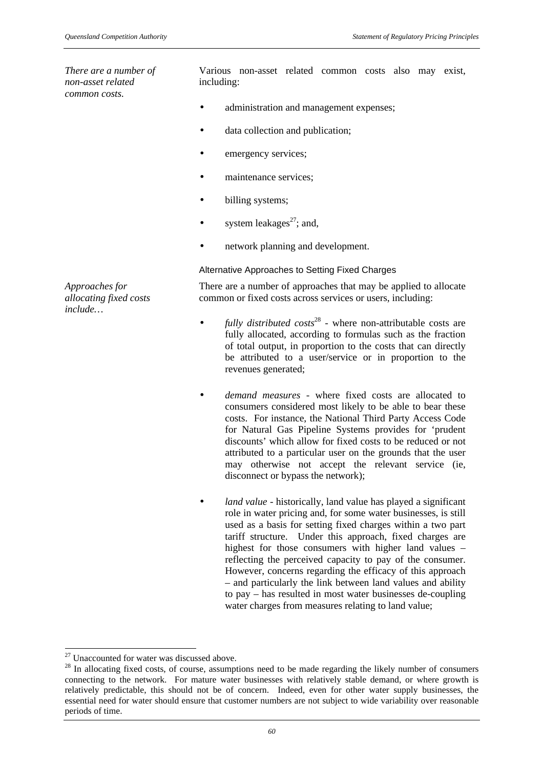*There are a number of non-asset related common costs.*

Various non-asset related common costs also may exist, including:

- administration and management expenses;
- data collection and publication;
- emergency services;
- maintenance services;
- billing systems:
- system leakages $^{27}$ ; and,
- network planning and development.

#### Alternative Approaches to Setting Fixed Charges

There are a number of approaches that may be applied to allocate common or fixed costs across services or users, including:

- *fully distributed costs*<sup>28</sup> where non-attributable costs are fully allocated, according to formulas such as the fraction of total output, in proportion to the costs that can directly be attributed to a user/service or in proportion to the revenues generated;
- *demand measures* where fixed costs are allocated to consumers considered most likely to be able to bear these costs. For instance, the National Third Party Access Code for Natural Gas Pipeline Systems provides for 'prudent discounts' which allow for fixed costs to be reduced or not attributed to a particular user on the grounds that the user may otherwise not accept the relevant service (ie, disconnect or bypass the network);
- *land value* historically, land value has played a significant role in water pricing and, for some water businesses, is still used as a basis for setting fixed charges within a two part tariff structure. Under this approach, fixed charges are highest for those consumers with higher land values – reflecting the perceived capacity to pay of the consumer. However, concerns regarding the efficacy of this approach – and particularly the link between land values and ability to pay – has resulted in most water businesses de-coupling water charges from measures relating to land value:

 $\overline{a}$ 

*Approaches for allocating fixed costs include…*

 $27$  Unaccounted for water was discussed above.

<sup>&</sup>lt;sup>28</sup> In allocating fixed costs, of course, assumptions need to be made regarding the likely number of consumers connecting to the network. For mature water businesses with relatively stable demand, or where growth is relatively predictable, this should not be of concern. Indeed, even for other water supply businesses, the essential need for water should ensure that customer numbers are not subject to wide variability over reasonable periods of time.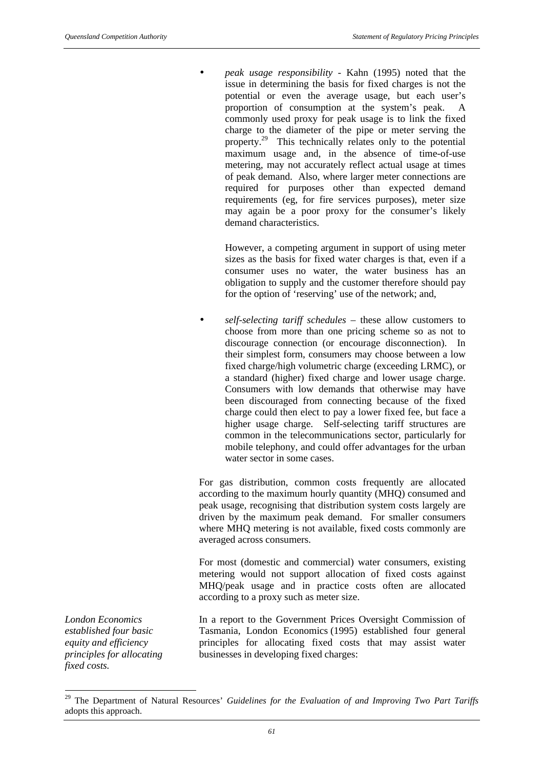• *peak usage responsibility* - Kahn (1995) noted that the issue in determining the basis for fixed charges is not the potential or even the average usage, but each user's proportion of consumption at the system's peak. A commonly used proxy for peak usage is to link the fixed charge to the diameter of the pipe or meter serving the property.<sup>29</sup> This technically relates only to the potential maximum usage and, in the absence of time-of-use metering, may not accurately reflect actual usage at times of peak demand. Also, where larger meter connections are required for purposes other than expected demand requirements (eg, for fire services purposes), meter size may again be a poor proxy for the consumer's likely demand characteristics.

However, a competing argument in support of using meter sizes as the basis for fixed water charges is that, even if a consumer uses no water, the water business has an obligation to supply and the customer therefore should pay for the option of 'reserving' use of the network; and,

• *self-selecting tariff schedules* – these allow customers to choose from more than one pricing scheme so as not to discourage connection (or encourage disconnection). In their simplest form, consumers may choose between a low fixed charge/high volumetric charge (exceeding LRMC), or a standard (higher) fixed charge and lower usage charge. Consumers with low demands that otherwise may have been discouraged from connecting because of the fixed charge could then elect to pay a lower fixed fee, but face a higher usage charge. Self-selecting tariff structures are common in the telecommunications sector, particularly for mobile telephony, and could offer advantages for the urban water sector in some cases.

For gas distribution, common costs frequently are allocated according to the maximum hourly quantity (MHQ) consumed and peak usage, recognising that distribution system costs largely are driven by the maximum peak demand. For smaller consumers where MHQ metering is not available, fixed costs commonly are averaged across consumers.

For most (domestic and commercial) water consumers, existing metering would not support allocation of fixed costs against MHQ/peak usage and in practice costs often are allocated according to a proxy such as meter size.

In a report to the Government Prices Oversight Commission of Tasmania, London Economics (1995) established four general principles for allocating fixed costs that may assist water businesses in developing fixed charges:

*London Economics established four basic equity and efficiency principles for allocating fixed costs.*

l

<sup>&</sup>lt;sup>29</sup> The Department of Natural Resources' *Guidelines for the Evaluation of and Improving Two Part Tariffs* adopts this approach.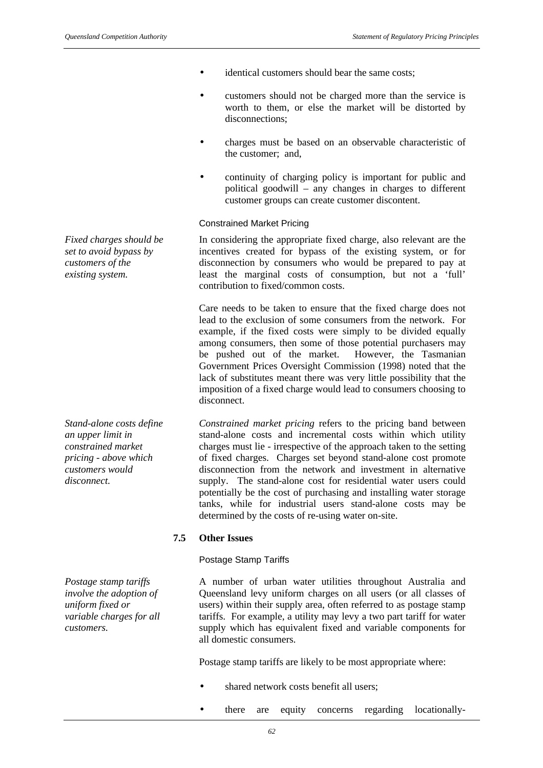*Fixed charges should be set to avoid bypass by customers of the existing system.*

*Stand-alone costs define an upper limit in constrained market pricing - above which customers would disconnect.*

*Postage stamp tariffs involve the adoption of uniform fixed or variable charges for all customers.*

- identical customers should bear the same costs;
- customers should not be charged more than the service is worth to them, or else the market will be distorted by disconnections;
- charges must be based on an observable characteristic of the customer; and,
- continuity of charging policy is important for public and political goodwill – any changes in charges to different customer groups can create customer discontent.

#### Constrained Market Pricing

In considering the appropriate fixed charge, also relevant are the incentives created for bypass of the existing system, or for disconnection by consumers who would be prepared to pay at least the marginal costs of consumption, but not a 'full' contribution to fixed/common costs.

Care needs to be taken to ensure that the fixed charge does not lead to the exclusion of some consumers from the network. For example, if the fixed costs were simply to be divided equally among consumers, then some of those potential purchasers may be pushed out of the market. However, the Tasmanian Government Prices Oversight Commission (1998) noted that the lack of substitutes meant there was very little possibility that the imposition of a fixed charge would lead to consumers choosing to disconnect.

*Constrained market pricing* refers to the pricing band between stand-alone costs and incremental costs within which utility charges must lie - irrespective of the approach taken to the setting of fixed charges. Charges set beyond stand-alone cost promote disconnection from the network and investment in alternative supply. The stand-alone cost for residential water users could potentially be the cost of purchasing and installing water storage tanks, while for industrial users stand-alone costs may be determined by the costs of re-using water on-site.

#### **7.5 Other Issues**

#### Postage Stamp Tariffs

A number of urban water utilities throughout Australia and Queensland levy uniform charges on all users (or all classes of users) within their supply area, often referred to as postage stamp tariffs. For example, a utility may levy a two part tariff for water supply which has equivalent fixed and variable components for all domestic consumers.

Postage stamp tariffs are likely to be most appropriate where:

- shared network costs benefit all users;
- there are equity concerns regarding locationally-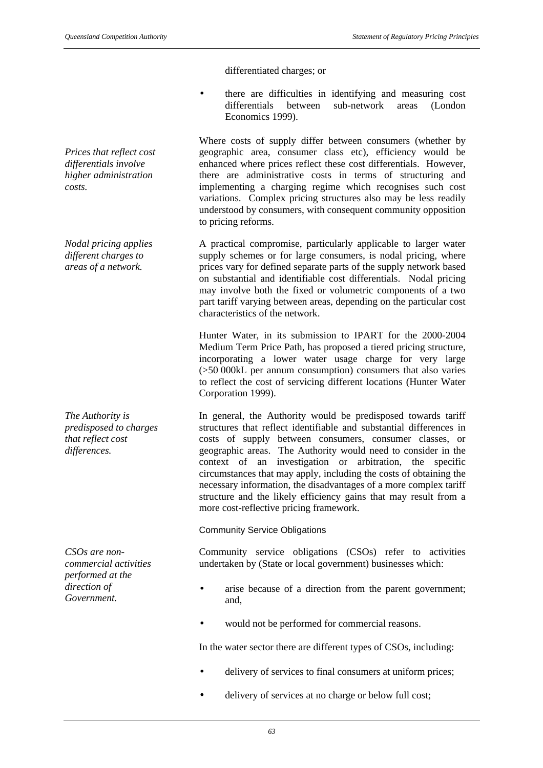differentiated charges; or

• there are difficulties in identifying and measuring cost differentials between sub-network areas (London Economics 1999).

Where costs of supply differ between consumers (whether by geographic area, consumer class etc), efficiency would be enhanced where prices reflect these cost differentials. However, there are administrative costs in terms of structuring and implementing a charging regime which recognises such cost variations. Complex pricing structures also may be less readily understood by consumers, with consequent community opposition to pricing reforms.

A practical compromise, particularly applicable to larger water supply schemes or for large consumers, is nodal pricing, where prices vary for defined separate parts of the supply network based on substantial and identifiable cost differentials. Nodal pricing may involve both the fixed or volumetric components of a two part tariff varying between areas, depending on the particular cost characteristics of the network.

Hunter Water, in its submission to IPART for the 2000-2004 Medium Term Price Path, has proposed a tiered pricing structure, incorporating a lower water usage charge for very large (>50 000kL per annum consumption) consumers that also varies to reflect the cost of servicing different locations (Hunter Water Corporation 1999).

In general, the Authority would be predisposed towards tariff structures that reflect identifiable and substantial differences in costs of supply between consumers, consumer classes, or geographic areas. The Authority would need to consider in the context of an investigation or arbitration, the specific circumstances that may apply, including the costs of obtaining the necessary information, the disadvantages of a more complex tariff structure and the likely efficiency gains that may result from a more cost-reflective pricing framework.

Community Service Obligations

Community service obligations (CSOs) refer to activities undertaken by (State or local government) businesses which:

- arise because of a direction from the parent government; and,
- would not be performed for commercial reasons.

In the water sector there are different types of CSOs, including:

- delivery of services to final consumers at uniform prices;
- delivery of services at no charge or below full cost;

*Prices that reflect cost differentials involve higher administration costs.*

*Nodal pricing applies different charges to areas of a network.*

*The Authority is predisposed to charges that reflect cost differences.*

*CSOs are noncommercial activities performed at the direction of Government.*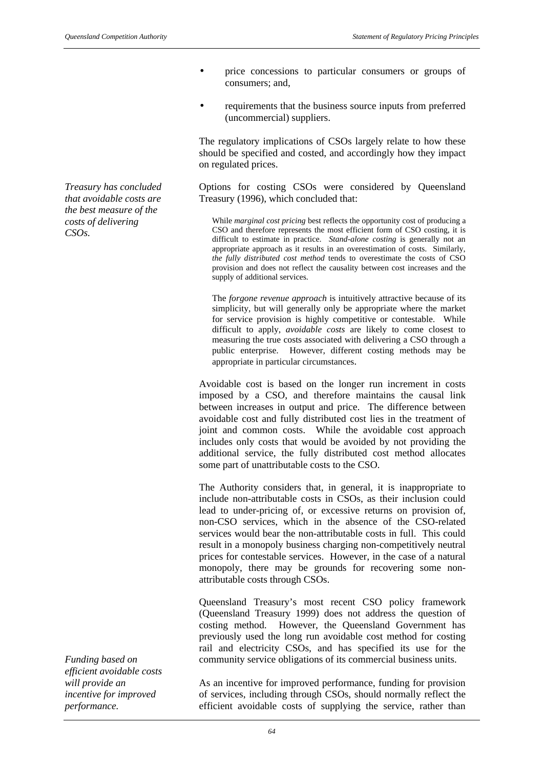*Treasury has concluded that avoidable costs are the best measure of the costs of delivering CSOs.*

- price concessions to particular consumers or groups of consumers; and,
- requirements that the business source inputs from preferred (uncommercial) suppliers.

The regulatory implications of CSOs largely relate to how these should be specified and costed, and accordingly how they impact on regulated prices.

Options for costing CSOs were considered by Queensland Treasury (1996), which concluded that:

While *marginal cost pricing* best reflects the opportunity cost of producing a CSO and therefore represents the most efficient form of CSO costing, it is difficult to estimate in practice. *Stand-alone costing* is generally not an appropriate approach as it results in an overestimation of costs. Similarly, *the fully distributed cost method* tends to overestimate the costs of CSO provision and does not reflect the causality between cost increases and the supply of additional services.

The *forgone revenue approach* is intuitively attractive because of its simplicity, but will generally only be appropriate where the market for service provision is highly competitive or contestable. While difficult to apply, *avoidable costs* are likely to come closest to measuring the true costs associated with delivering a CSO through a public enterprise. However, different costing methods may be appropriate in particular circumstances.

Avoidable cost is based on the longer run increment in costs imposed by a CSO, and therefore maintains the causal link between increases in output and price. The difference between avoidable cost and fully distributed cost lies in the treatment of joint and common costs. While the avoidable cost approach includes only costs that would be avoided by not providing the additional service, the fully distributed cost method allocates some part of unattributable costs to the CSO.

The Authority considers that, in general, it is inappropriate to include non-attributable costs in CSOs, as their inclusion could lead to under-pricing of, or excessive returns on provision of, non-CSO services, which in the absence of the CSO-related services would bear the non-attributable costs in full. This could result in a monopoly business charging non-competitively neutral prices for contestable services. However, in the case of a natural monopoly, there may be grounds for recovering some nonattributable costs through CSOs.

Queensland Treasury's most recent CSO policy framework (Queensland Treasury 1999) does not address the question of costing method. However, the Queensland Government has previously used the long run avoidable cost method for costing rail and electricity CSOs, and has specified its use for the community service obligations of its commercial business units.

As an incentive for improved performance, funding for provision of services, including through CSOs, should normally reflect the efficient avoidable costs of supplying the service, rather than

*Funding based on efficient avoidable costs will provide an incentive for improved performance.*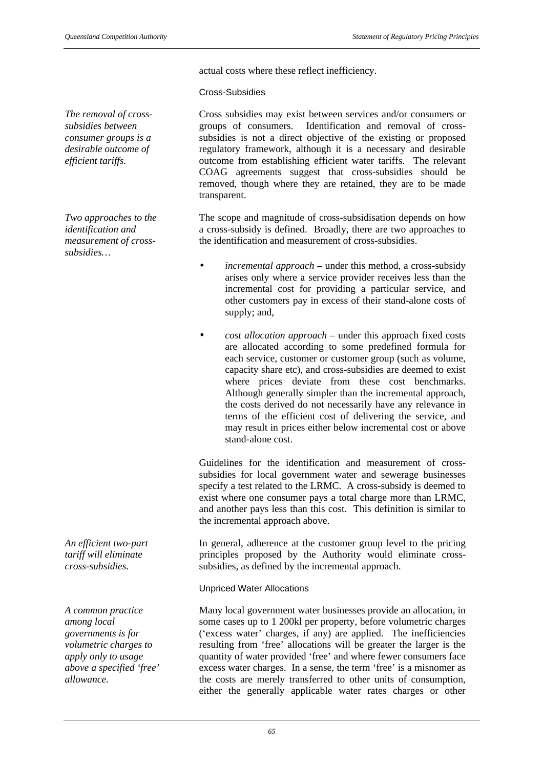actual costs where these reflect inefficiency.

Cross-Subsidies

*The removal of crosssubsidies between consumer groups is a desirable outcome of efficient tariffs.*

*Two approaches to the identification and measurement of crosssubsidies…*

*An efficient two-part tariff will eliminate cross-subsidies.*

*A common practice among local governments is for volumetric charges to apply only to usage above a specified 'free' allowance.*

Cross subsidies may exist between services and/or consumers or groups of consumers. Identification and removal of crosssubsidies is not a direct objective of the existing or proposed regulatory framework, although it is a necessary and desirable outcome from establishing efficient water tariffs. The relevant COAG agreements suggest that cross-subsidies should be removed, though where they are retained, they are to be made transparent.

The scope and magnitude of cross-subsidisation depends on how a cross-subsidy is defined. Broadly, there are two approaches to the identification and measurement of cross-subsidies.

- *incremental approach* under this method, a cross-subsidy arises only where a service provider receives less than the incremental cost for providing a particular service, and other customers pay in excess of their stand-alone costs of supply; and,
- *cost allocation approach* under this approach fixed costs are allocated according to some predefined formula for each service, customer or customer group (such as volume, capacity share etc), and cross-subsidies are deemed to exist where prices deviate from these cost benchmarks. Although generally simpler than the incremental approach, the costs derived do not necessarily have any relevance in terms of the efficient cost of delivering the service, and may result in prices either below incremental cost or above stand-alone cost.

Guidelines for the identification and measurement of crosssubsidies for local government water and sewerage businesses specify a test related to the LRMC. A cross-subsidy is deemed to exist where one consumer pays a total charge more than LRMC, and another pays less than this cost. This definition is similar to the incremental approach above.

In general, adherence at the customer group level to the pricing principles proposed by the Authority would eliminate crosssubsidies, as defined by the incremental approach.

Unpriced Water Allocations

Many local government water businesses provide an allocation, in some cases up to 1 200kl per property, before volumetric charges ('excess water' charges, if any) are applied. The inefficiencies resulting from 'free' allocations will be greater the larger is the quantity of water provided 'free' and where fewer consumers face excess water charges. In a sense, the term 'free' is a misnomer as the costs are merely transferred to other units of consumption, either the generally applicable water rates charges or other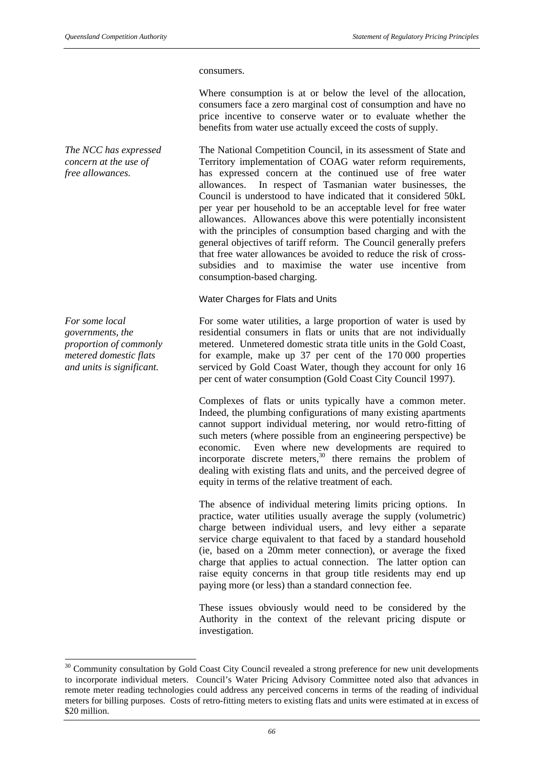#### consumers.

Where consumption is at or below the level of the allocation, consumers face a zero marginal cost of consumption and have no price incentive to conserve water or to evaluate whether the benefits from water use actually exceed the costs of supply.

The National Competition Council, in its assessment of State and Territory implementation of COAG water reform requirements, has expressed concern at the continued use of free water allowances. In respect of Tasmanian water businesses, the Council is understood to have indicated that it considered 50kL per year per household to be an acceptable level for free water allowances. Allowances above this were potentially inconsistent with the principles of consumption based charging and with the general objectives of tariff reform. The Council generally prefers that free water allowances be avoided to reduce the risk of crosssubsidies and to maximise the water use incentive from consumption-based charging.

Water Charges for Flats and Units

For some water utilities, a large proportion of water is used by residential consumers in flats or units that are not individually metered. Unmetered domestic strata title units in the Gold Coast, for example, make up 37 per cent of the 170 000 properties serviced by Gold Coast Water, though they account for only 16 per cent of water consumption (Gold Coast City Council 1997).

Complexes of flats or units typically have a common meter. Indeed, the plumbing configurations of many existing apartments cannot support individual metering, nor would retro-fitting of such meters (where possible from an engineering perspective) be economic. Even where new developments are required to incorporate discrete meters, $30$  there remains the problem of dealing with existing flats and units, and the perceived degree of equity in terms of the relative treatment of each.

The absence of individual metering limits pricing options. In practice, water utilities usually average the supply (volumetric) charge between individual users, and levy either a separate service charge equivalent to that faced by a standard household (ie, based on a 20mm meter connection), or average the fixed charge that applies to actual connection. The latter option can raise equity concerns in that group title residents may end up paying more (or less) than a standard connection fee.

These issues obviously would need to be considered by the Authority in the context of the relevant pricing dispute or investigation.

*The NCC has expressed concern at the use of free allowances.*

*For some local governments, the proportion of commonly metered domestic flats and units is significant.*

l

<sup>&</sup>lt;sup>30</sup> Community consultation by Gold Coast City Council revealed a strong preference for new unit developments to incorporate individual meters. Council's Water Pricing Advisory Committee noted also that advances in remote meter reading technologies could address any perceived concerns in terms of the reading of individual meters for billing purposes. Costs of retro-fitting meters to existing flats and units were estimated at in excess of \$20 million.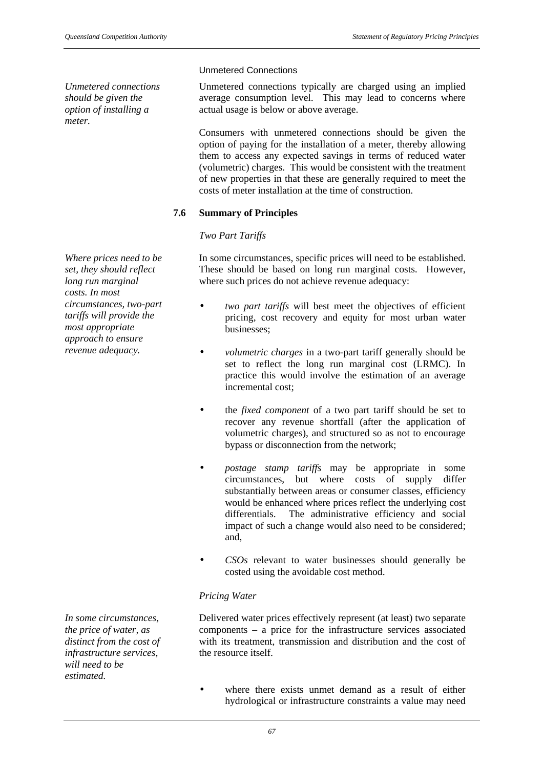*Unmetered connections should be given the option of installing a meter.*

*Where prices need to be set, they should reflect long run marginal costs. In most circumstances, two-part tariffs will provide the most appropriate approach to ensure revenue adequacy.*

Unmetered Connections

Unmetered connections typically are charged using an implied average consumption level. This may lead to concerns where actual usage is below or above average.

Consumers with unmetered connections should be given the option of paying for the installation of a meter, thereby allowing them to access any expected savings in terms of reduced water (volumetric) charges. This would be consistent with the treatment of new properties in that these are generally required to meet the costs of meter installation at the time of construction.

# **7.6 Summary of Principles**

# *Two Part Tariffs*

In some circumstances, specific prices will need to be established. These should be based on long run marginal costs. However, where such prices do not achieve revenue adequacy:

- *two part tariffs* will best meet the objectives of efficient pricing, cost recovery and equity for most urban water businesses;
- *volumetric charges* in a two-part tariff generally should be set to reflect the long run marginal cost (LRMC). In practice this would involve the estimation of an average incremental cost;
- the *fixed component* of a two part tariff should be set to recover any revenue shortfall (after the application of volumetric charges), and structured so as not to encourage bypass or disconnection from the network;
- *postage stamp tariffs* may be appropriate in some circumstances, but where costs of supply differ substantially between areas or consumer classes, efficiency would be enhanced where prices reflect the underlying cost differentials. The administrative efficiency and social impact of such a change would also need to be considered; and,
- *CSOs* relevant to water businesses should generally be costed using the avoidable cost method.

# *Pricing Water*

Delivered water prices effectively represent (at least) two separate components – a price for the infrastructure services associated with its treatment, transmission and distribution and the cost of the resource itself.

where there exists unmet demand as a result of either hydrological or infrastructure constraints a value may need

*In some circumstances, the price of water, as distinct from the cost of infrastructure services, will need to be estimated.*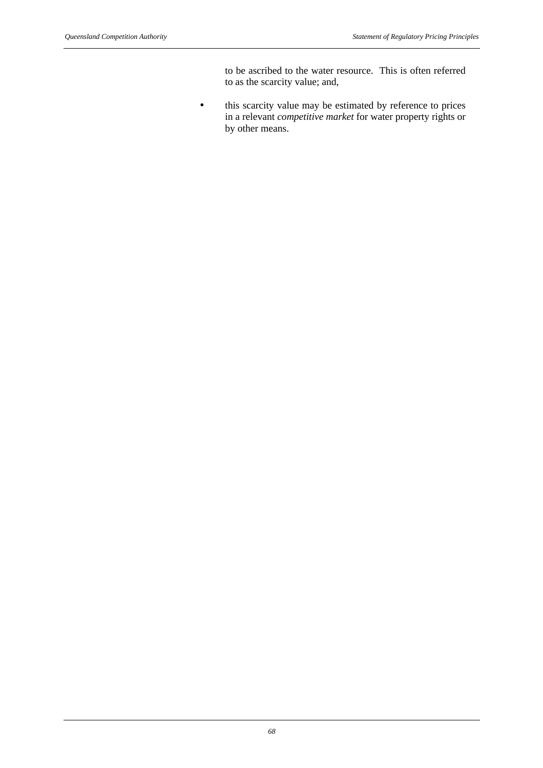to be ascribed to the water resource. This is often referred to as the scarcity value; and,

• this scarcity value may be estimated by reference to prices in a relevant *competitive market* for water property rights or by other means.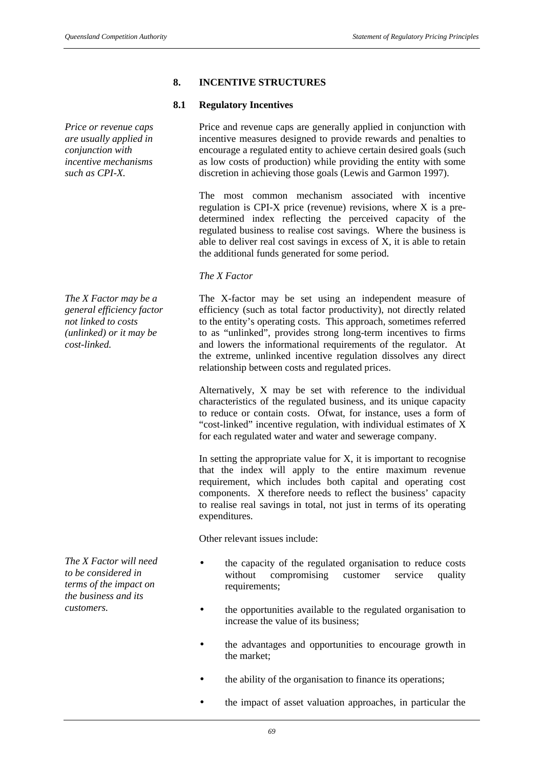# **8. INCENTIVE STRUCTURES**

# **8.1 Regulatory Incentives**

Price and revenue caps are generally applied in conjunction with incentive measures designed to provide rewards and penalties to encourage a regulated entity to achieve certain desired goals (such as low costs of production) while providing the entity with some discretion in achieving those goals (Lewis and Garmon 1997).

The most common mechanism associated with incentive regulation is CPI-X price (revenue) revisions, where X is a predetermined index reflecting the perceived capacity of the regulated business to realise cost savings. Where the business is able to deliver real cost savings in excess of X, it is able to retain the additional funds generated for some period.

# *The X Factor*

The X-factor may be set using an independent measure of efficiency (such as total factor productivity), not directly related to the entity's operating costs. This approach, sometimes referred to as "unlinked", provides strong long-term incentives to firms and lowers the informational requirements of the regulator. At the extreme, unlinked incentive regulation dissolves any direct relationship between costs and regulated prices.

Alternatively, X may be set with reference to the individual characteristics of the regulated business, and its unique capacity to reduce or contain costs. Ofwat, for instance, uses a form of "cost-linked" incentive regulation, with individual estimates of X for each regulated water and water and sewerage company.

In setting the appropriate value for  $X$ , it is important to recognise that the index will apply to the entire maximum revenue requirement, which includes both capital and operating cost components. X therefore needs to reflect the business' capacity to realise real savings in total, not just in terms of its operating expenditures.

Other relevant issues include:

- the capacity of the regulated organisation to reduce costs without compromising customer service quality requirements:
- the opportunities available to the regulated organisation to increase the value of its business;
- the advantages and opportunities to encourage growth in the market;
- the ability of the organisation to finance its operations;
- the impact of asset valuation approaches, in particular the

*incentive mechanisms such as CPI-X.*

*Price or revenue caps are usually applied in conjunction with*

*The X Factor may be a general efficiency factor not linked to costs (unlinked) or it may be cost-linked.*

*The X Factor will need to be considered in terms of the impact on the business and its customers.*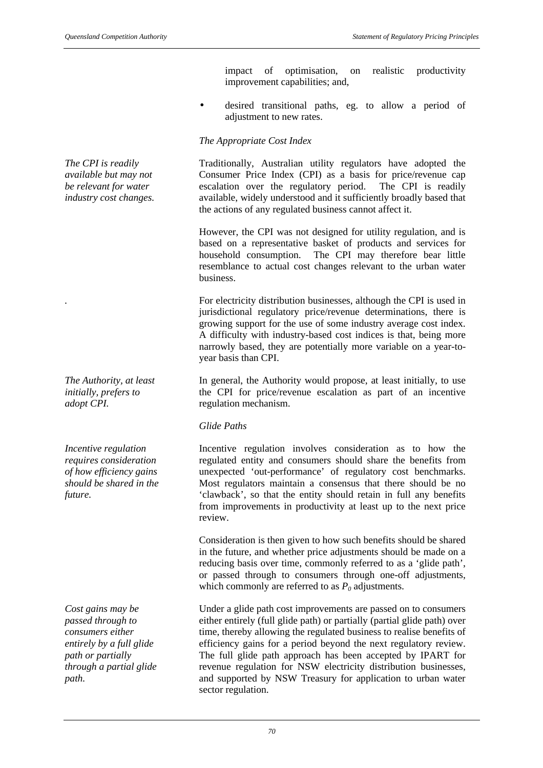impact of optimisation, on realistic productivity improvement capabilities; and,

• desired transitional paths, eg. to allow a period of adjustment to new rates.

# *The Appropriate Cost Index*

Traditionally, Australian utility regulators have adopted the Consumer Price Index (CPI) as a basis for price/revenue cap escalation over the regulatory period. The CPI is readily available, widely understood and it sufficiently broadly based that the actions of any regulated business cannot affect it.

However, the CPI was not designed for utility regulation, and is based on a representative basket of products and services for household consumption. The CPI may therefore bear little resemblance to actual cost changes relevant to the urban water business.

For electricity distribution businesses, although the CPI is used in jurisdictional regulatory price/revenue determinations, there is growing support for the use of some industry average cost index. A difficulty with industry-based cost indices is that, being more narrowly based, they are potentially more variable on a year-toyear basis than CPI.

In general, the Authority would propose, at least initially, to use the CPI for price/revenue escalation as part of an incentive regulation mechanism.

#### *Glide Paths*

Incentive regulation involves consideration as to how the regulated entity and consumers should share the benefits from unexpected 'out-performance' of regulatory cost benchmarks. Most regulators maintain a consensus that there should be no 'clawback', so that the entity should retain in full any benefits from improvements in productivity at least up to the next price review.

Consideration is then given to how such benefits should be shared in the future, and whether price adjustments should be made on a reducing basis over time, commonly referred to as a 'glide path', or passed through to consumers through one-off adjustments, which commonly are referred to as  $P_0$  adjustments.

Under a glide path cost improvements are passed on to consumers either entirely (full glide path) or partially (partial glide path) over time, thereby allowing the regulated business to realise benefits of efficiency gains for a period beyond the next regulatory review. The full glide path approach has been accepted by IPART for revenue regulation for NSW electricity distribution businesses, and supported by NSW Treasury for application to urban water sector regulation.

*The CPI is readily available but may not be relevant for water industry cost changes.*

*The Authority, at least initially, prefers to adopt CPI.*

*Incentive regulation requires consideration of how efficiency gains should be shared in the future.*

*Cost gains may be passed through to consumers either entirely by a full glide path or partially through a partial glide path.*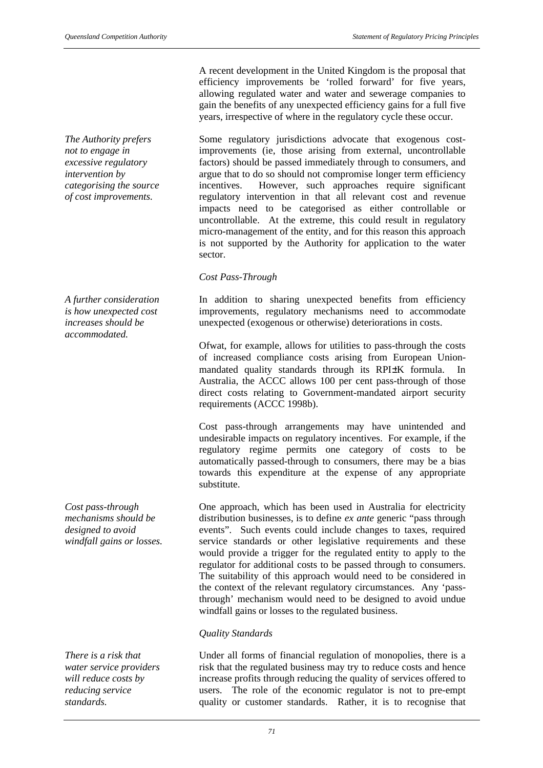*The Authority prefers not to engage in excessive regulatory intervention by categorising the source of cost improvements.*

*A further consideration is how unexpected cost increases should be accommodated.*

*Cost pass-through mechanisms should be designed to avoid windfall gains or losses.*

*There is a risk that water service providers will reduce costs by reducing service standards.*

A recent development in the United Kingdom is the proposal that efficiency improvements be 'rolled forward' for five years, allowing regulated water and water and sewerage companies to gain the benefits of any unexpected efficiency gains for a full five years, irrespective of where in the regulatory cycle these occur.

Some regulatory jurisdictions advocate that exogenous costimprovements (ie, those arising from external, uncontrollable factors) should be passed immediately through to consumers, and argue that to do so should not compromise longer term efficiency incentives. However, such approaches require significant regulatory intervention in that all relevant cost and revenue impacts need to be categorised as either controllable or uncontrollable. At the extreme, this could result in regulatory micro-management of the entity, and for this reason this approach is not supported by the Authority for application to the water sector.

#### *Cost Pass-Through*

In addition to sharing unexpected benefits from efficiency improvements, regulatory mechanisms need to accommodate unexpected (exogenous or otherwise) deteriorations in costs.

Ofwat, for example, allows for utilities to pass-through the costs of increased compliance costs arising from European Unionmandated quality standards through its RPI±K formula. In Australia, the ACCC allows 100 per cent pass-through of those direct costs relating to Government-mandated airport security requirements (ACCC 1998b).

Cost pass-through arrangements may have unintended and undesirable impacts on regulatory incentives. For example, if the regulatory regime permits one category of costs to be automatically passed-through to consumers, there may be a bias towards this expenditure at the expense of any appropriate substitute.

One approach, which has been used in Australia for electricity distribution businesses, is to define *ex ante* generic "pass through events". Such events could include changes to taxes, required service standards or other legislative requirements and these would provide a trigger for the regulated entity to apply to the regulator for additional costs to be passed through to consumers. The suitability of this approach would need to be considered in the context of the relevant regulatory circumstances. Any 'passthrough' mechanism would need to be designed to avoid undue windfall gains or losses to the regulated business.

# *Quality Standards*

Under all forms of financial regulation of monopolies, there is a risk that the regulated business may try to reduce costs and hence increase profits through reducing the quality of services offered to users. The role of the economic regulator is not to pre-empt quality or customer standards. Rather, it is to recognise that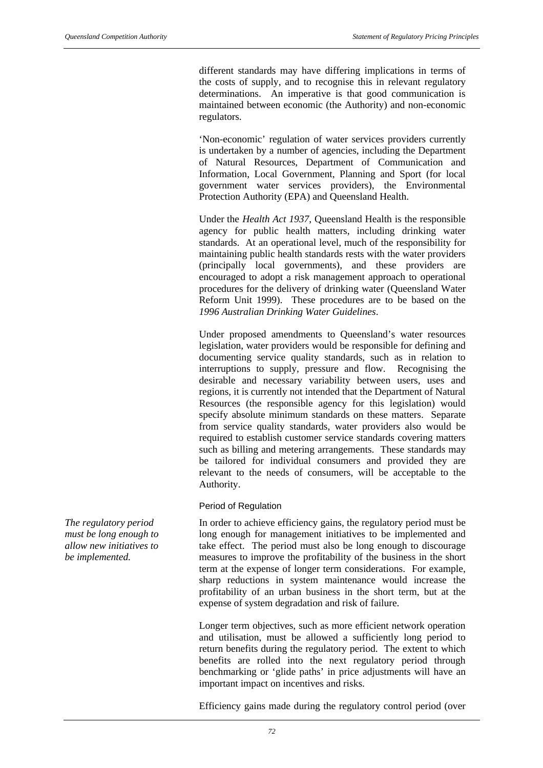different standards may have differing implications in terms of the costs of supply, and to recognise this in relevant regulatory determinations. An imperative is that good communication is maintained between economic (the Authority) and non-economic regulators.

'Non-economic' regulation of water services providers currently is undertaken by a number of agencies, including the Department of Natural Resources, Department of Communication and Information, Local Government, Planning and Sport (for local government water services providers), the Environmental Protection Authority (EPA) and Queensland Health.

Under the *Health Act 1937*, Queensland Health is the responsible agency for public health matters, including drinking water standards. At an operational level, much of the responsibility for maintaining public health standards rests with the water providers (principally local governments), and these providers are encouraged to adopt a risk management approach to operational procedures for the delivery of drinking water (Queensland Water Reform Unit 1999). These procedures are to be based on the *1996 Australian Drinking Water Guidelines*.

Under proposed amendments to Queensland's water resources legislation, water providers would be responsible for defining and documenting service quality standards, such as in relation to interruptions to supply, pressure and flow. Recognising the desirable and necessary variability between users, uses and regions, it is currently not intended that the Department of Natural Resources (the responsible agency for this legislation) would specify absolute minimum standards on these matters. Separate from service quality standards, water providers also would be required to establish customer service standards covering matters such as billing and metering arrangements. These standards may be tailored for individual consumers and provided they are relevant to the needs of consumers, will be acceptable to the Authority.

#### Period of Regulation

In order to achieve efficiency gains, the regulatory period must be long enough for management initiatives to be implemented and take effect. The period must also be long enough to discourage measures to improve the profitability of the business in the short term at the expense of longer term considerations. For example, sharp reductions in system maintenance would increase the profitability of an urban business in the short term, but at the expense of system degradation and risk of failure.

Longer term objectives, such as more efficient network operation and utilisation, must be allowed a sufficiently long period to return benefits during the regulatory period. The extent to which benefits are rolled into the next regulatory period through benchmarking or 'glide paths' in price adjustments will have an important impact on incentives and risks.

Efficiency gains made during the regulatory control period (over

*The regulatory period must be long enough to allow new initiatives to be implemented.*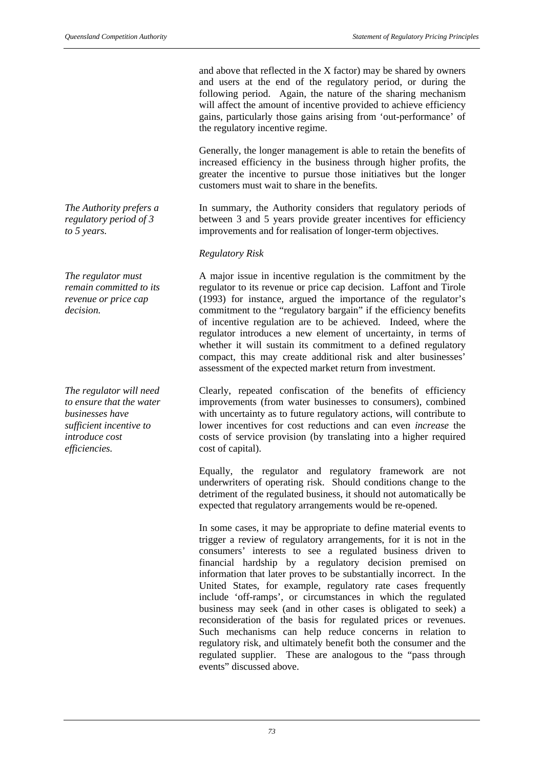and above that reflected in the X factor) may be shared by owners and users at the end of the regulatory period, or during the following period. Again, the nature of the sharing mechanism will affect the amount of incentive provided to achieve efficiency gains, particularly those gains arising from 'out-performance' of the regulatory incentive regime.

Generally, the longer management is able to retain the benefits of increased efficiency in the business through higher profits, the greater the incentive to pursue those initiatives but the longer customers must wait to share in the benefits.

In summary, the Authority considers that regulatory periods of between 3 and 5 years provide greater incentives for efficiency improvements and for realisation of longer-term objectives.

#### *Regulatory Risk*

A major issue in incentive regulation is the commitment by the regulator to its revenue or price cap decision. Laffont and Tirole (1993) for instance, argued the importance of the regulator's commitment to the "regulatory bargain" if the efficiency benefits of incentive regulation are to be achieved. Indeed, where the regulator introduces a new element of uncertainty, in terms of whether it will sustain its commitment to a defined regulatory compact, this may create additional risk and alter businesses' assessment of the expected market return from investment.

Clearly, repeated confiscation of the benefits of efficiency improvements (from water businesses to consumers), combined with uncertainty as to future regulatory actions, will contribute to lower incentives for cost reductions and can even *increase* the costs of service provision (by translating into a higher required cost of capital).

Equally, the regulator and regulatory framework are not underwriters of operating risk. Should conditions change to the detriment of the regulated business, it should not automatically be expected that regulatory arrangements would be re-opened.

In some cases, it may be appropriate to define material events to trigger a review of regulatory arrangements, for it is not in the consumers' interests to see a regulated business driven to financial hardship by a regulatory decision premised on information that later proves to be substantially incorrect. In the United States, for example, regulatory rate cases frequently include 'off-ramps', or circumstances in which the regulated business may seek (and in other cases is obligated to seek) a reconsideration of the basis for regulated prices or revenues. Such mechanisms can help reduce concerns in relation to regulatory risk, and ultimately benefit both the consumer and the regulated supplier. These are analogous to the "pass through events" discussed above.

*The Authority prefers a regulatory period of 3 to 5 years.*

*The regulator must remain committed to its revenue or price cap decision.*

*The regulator will need to ensure that the water businesses have sufficient incentive to introduce cost efficiencies.*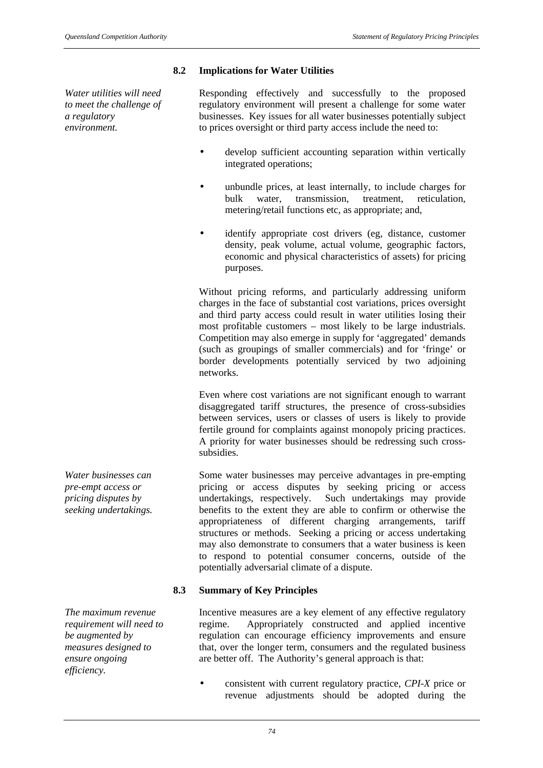# **8.2 Implications for Water Utilities**

*Water utilities will need to meet the challenge of a regulatory environment.*

Responding effectively and successfully to the proposed regulatory environment will present a challenge for some water businesses. Key issues for all water businesses potentially subject to prices oversight or third party access include the need to:

- develop sufficient accounting separation within vertically integrated operations;
- unbundle prices, at least internally, to include charges for bulk water, transmission, treatment, reticulation, metering/retail functions etc, as appropriate; and,
- identify appropriate cost drivers (eg, distance, customer density, peak volume, actual volume, geographic factors, economic and physical characteristics of assets) for pricing purposes.

Without pricing reforms, and particularly addressing uniform charges in the face of substantial cost variations, prices oversight and third party access could result in water utilities losing their most profitable customers – most likely to be large industrials. Competition may also emerge in supply for 'aggregated' demands (such as groupings of smaller commercials) and for 'fringe' or border developments potentially serviced by two adjoining networks.

Even where cost variations are not significant enough to warrant disaggregated tariff structures, the presence of cross-subsidies between services, users or classes of users is likely to provide fertile ground for complaints against monopoly pricing practices. A priority for water businesses should be redressing such crosssubsidies.

Some water businesses may perceive advantages in pre-empting pricing or access disputes by seeking pricing or access undertakings, respectively. Such undertakings may provide benefits to the extent they are able to confirm or otherwise the appropriateness of different charging arrangements, tariff structures or methods. Seeking a pricing or access undertaking may also demonstrate to consumers that a water business is keen to respond to potential consumer concerns, outside of the potentially adversarial climate of a dispute.

# **8.3 Summary of Key Principles**

Incentive measures are a key element of any effective regulatory regime. Appropriately constructed and applied incentive regulation can encourage efficiency improvements and ensure that, over the longer term, consumers and the regulated business are better off. The Authority's general approach is that:

• consistent with current regulatory practice, *CPI-X* price or revenue adjustments should be adopted during the

*Water businesses can pre-empt access or pricing disputes by seeking undertakings.*

*The maximum revenue requirement will need to be augmented by measures designed to ensure ongoing efficiency.*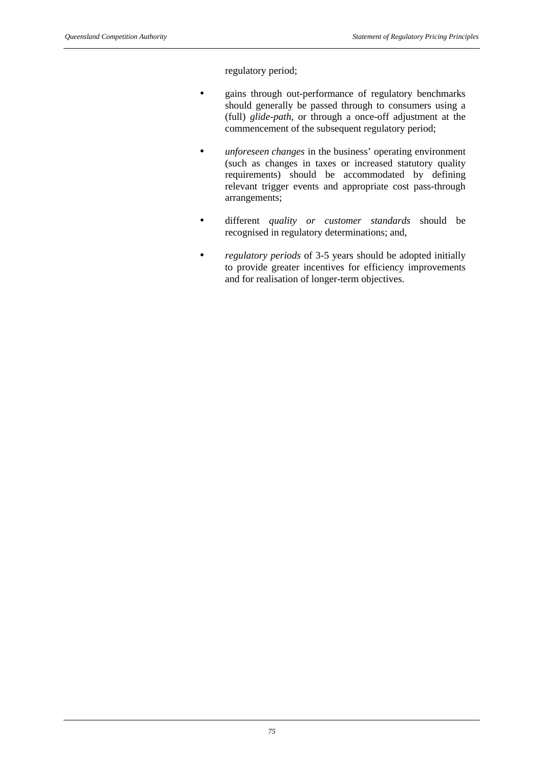regulatory period;

- gains through out-performance of regulatory benchmarks should generally be passed through to consumers using a (full) *glide-path*, or through a once-off adjustment at the commencement of the subsequent regulatory period;
- *unforeseen changes* in the business' operating environment (such as changes in taxes or increased statutory quality requirements) should be accommodated by defining relevant trigger events and appropriate cost pass-through arrangements;
- different *quality or customer standards* should be recognised in regulatory determinations; and,
- *regulatory periods* of 3-5 years should be adopted initially to provide greater incentives for efficiency improvements and for realisation of longer-term objectives.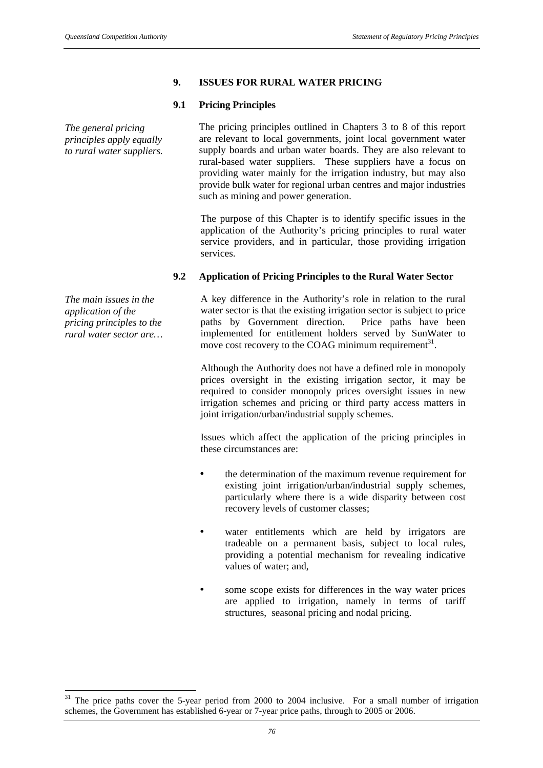# **9. ISSUES FOR RURAL WATER PRICING**

#### **9.1 Pricing Principles**

*The general pricing principles apply equally to rural water suppliers.* The pricing principles outlined in Chapters 3 to 8 of this report are relevant to local governments, joint local government water supply boards and urban water boards. They are also relevant to rural-based water suppliers. These suppliers have a focus on providing water mainly for the irrigation industry, but may also provide bulk water for regional urban centres and major industries such as mining and power generation.

The purpose of this Chapter is to identify specific issues in the application of the Authority's pricing principles to rural water service providers, and in particular, those providing irrigation services.

#### **9.2 Application of Pricing Principles to the Rural Water Sector**

A key difference in the Authority's role in relation to the rural water sector is that the existing irrigation sector is subject to price paths by Government direction. Price paths have been implemented for entitlement holders served by SunWater to move cost recovery to the COAG minimum requirement $^{31}$ .

Although the Authority does not have a defined role in monopoly prices oversight in the existing irrigation sector, it may be required to consider monopoly prices oversight issues in new irrigation schemes and pricing or third party access matters in joint irrigation/urban/industrial supply schemes.

Issues which affect the application of the pricing principles in these circumstances are:

- the determination of the maximum revenue requirement for existing joint irrigation/urban/industrial supply schemes, particularly where there is a wide disparity between cost recovery levels of customer classes;
- water entitlements which are held by irrigators are tradeable on a permanent basis, subject to local rules, providing a potential mechanism for revealing indicative values of water; and
- some scope exists for differences in the way water prices are applied to irrigation, namely in terms of tariff structures, seasonal pricing and nodal pricing.

*The main issues in the application of the pricing principles to the rural water sector are…*

l

<sup>&</sup>lt;sup>31</sup> The price paths cover the 5-year period from 2000 to 2004 inclusive. For a small number of irrigation schemes, the Government has established 6-year or 7-year price paths, through to 2005 or 2006.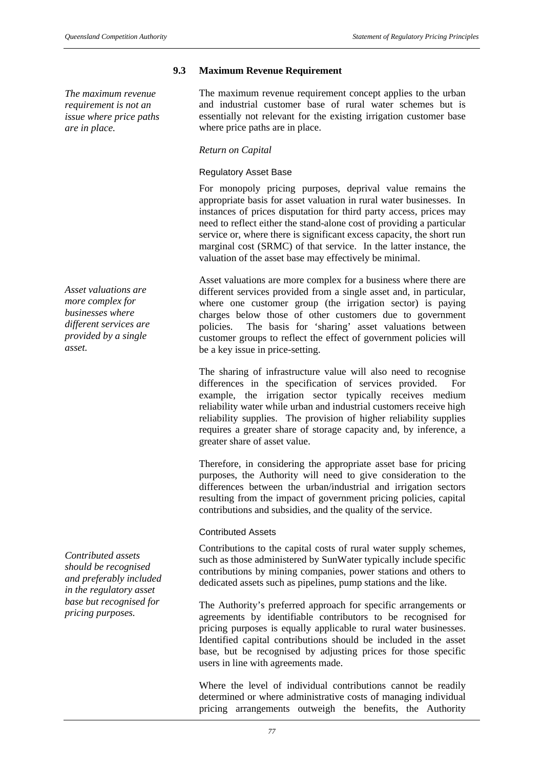*The maximum revenue requirement is not an issue where price paths are in place.*

*Asset valuations are more complex for businesses where different services are provided by a single asset.*

*Contributed assets should be recognised and preferably included in the regulatory asset base but recognised for pricing purposes.*

# **9.3 Maximum Revenue Requirement**

The maximum revenue requirement concept applies to the urban and industrial customer base of rural water schemes but is essentially not relevant for the existing irrigation customer base where price paths are in place.

#### *Return on Capital*

#### Regulatory Asset Base

For monopoly pricing purposes, deprival value remains the appropriate basis for asset valuation in rural water businesses. In instances of prices disputation for third party access, prices may need to reflect either the stand-alone cost of providing a particular service or, where there is significant excess capacity, the short run marginal cost (SRMC) of that service. In the latter instance, the valuation of the asset base may effectively be minimal.

Asset valuations are more complex for a business where there are different services provided from a single asset and, in particular, where one customer group (the irrigation sector) is paying charges below those of other customers due to government policies. The basis for 'sharing' asset valuations between customer groups to reflect the effect of government policies will be a key issue in price-setting.

The sharing of infrastructure value will also need to recognise differences in the specification of services provided. For example, the irrigation sector typically receives medium reliability water while urban and industrial customers receive high reliability supplies. The provision of higher reliability supplies requires a greater share of storage capacity and, by inference, a greater share of asset value.

Therefore, in considering the appropriate asset base for pricing purposes, the Authority will need to give consideration to the differences between the urban/industrial and irrigation sectors resulting from the impact of government pricing policies, capital contributions and subsidies, and the quality of the service.

#### Contributed Assets

Contributions to the capital costs of rural water supply schemes, such as those administered by SunWater typically include specific contributions by mining companies, power stations and others to dedicated assets such as pipelines, pump stations and the like.

The Authority's preferred approach for specific arrangements or agreements by identifiable contributors to be recognised for pricing purposes is equally applicable to rural water businesses. Identified capital contributions should be included in the asset base, but be recognised by adjusting prices for those specific users in line with agreements made.

Where the level of individual contributions cannot be readily determined or where administrative costs of managing individual pricing arrangements outweigh the benefits, the Authority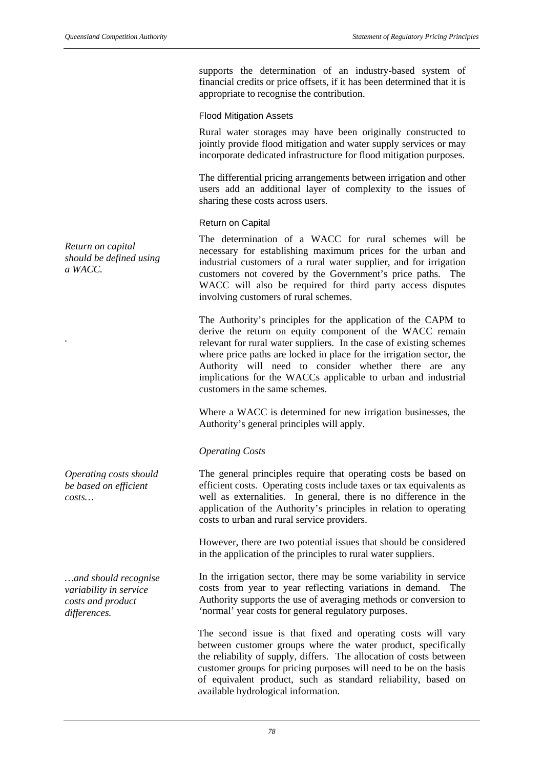supports the determination of an industry-based system of financial credits or price offsets, if it has been determined that it is appropriate to recognise the contribution.

#### Flood Mitigation Assets

Rural water storages may have been originally constructed to jointly provide flood mitigation and water supply services or may incorporate dedicated infrastructure for flood mitigation purposes.

The differential pricing arrangements between irrigation and other users add an additional layer of complexity to the issues of sharing these costs across users.

#### Return on Capital

The determination of a WACC for rural schemes will be necessary for establishing maximum prices for the urban and industrial customers of a rural water supplier, and for irrigation customers not covered by the Government's price paths. The WACC will also be required for third party access disputes involving customers of rural schemes.

The Authority's principles for the application of the CAPM to derive the return on equity component of the WACC remain relevant for rural water suppliers. In the case of existing schemes where price paths are locked in place for the irrigation sector, the Authority will need to consider whether there are any implications for the WACCs applicable to urban and industrial customers in the same schemes.

Where a WACC is determined for new irrigation businesses, the Authority's general principles will apply.

#### *Operating Costs*

The general principles require that operating costs be based on efficient costs. Operating costs include taxes or tax equivalents as well as externalities. In general, there is no difference in the application of the Authority's principles in relation to operating costs to urban and rural service providers.

However, there are two potential issues that should be considered in the application of the principles to rural water suppliers.

In the irrigation sector, there may be some variability in service costs from year to year reflecting variations in demand. The Authority supports the use of averaging methods or conversion to 'normal' year costs for general regulatory purposes.

The second issue is that fixed and operating costs will vary between customer groups where the water product, specifically the reliability of supply, differs. The allocation of costs between customer groups for pricing purposes will need to be on the basis of equivalent product, such as standard reliability, based on available hydrological information.

*Return on capital should be defined using a WACC.*

*.*

*Operating costs should be based on efficient costs…*

*…and should recognise variability in service costs and product differences.*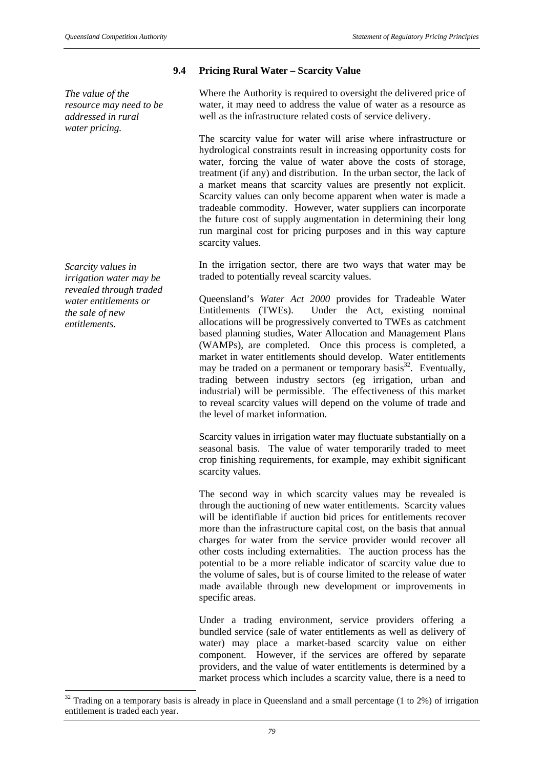*The value of the resource may need to be addressed in rural water pricing.*

*Scarcity values in irrigation water may be revealed through traded water entitlements or the sale of new entitlements.*

l

# **9.4 Pricing Rural Water – Scarcity Value**

Where the Authority is required to oversight the delivered price of water, it may need to address the value of water as a resource as well as the infrastructure related costs of service delivery.

The scarcity value for water will arise where infrastructure or hydrological constraints result in increasing opportunity costs for water, forcing the value of water above the costs of storage, treatment (if any) and distribution. In the urban sector, the lack of a market means that scarcity values are presently not explicit. Scarcity values can only become apparent when water is made a tradeable commodity. However, water suppliers can incorporate the future cost of supply augmentation in determining their long run marginal cost for pricing purposes and in this way capture scarcity values.

In the irrigation sector, there are two ways that water may be traded to potentially reveal scarcity values.

Queensland's *Water Act 2000* provides for Tradeable Water Entitlements (TWEs). Under the Act, existing nominal allocations will be progressively converted to TWEs as catchment based planning studies, Water Allocation and Management Plans (WAMPs), are completed. Once this process is completed, a market in water entitlements should develop. Water entitlements may be traded on a permanent or temporary basis<sup>32</sup>. Eventually, trading between industry sectors (eg irrigation, urban and industrial) will be permissible. The effectiveness of this market to reveal scarcity values will depend on the volume of trade and the level of market information.

Scarcity values in irrigation water may fluctuate substantially on a seasonal basis. The value of water temporarily traded to meet crop finishing requirements, for example, may exhibit significant scarcity values.

The second way in which scarcity values may be revealed is through the auctioning of new water entitlements. Scarcity values will be identifiable if auction bid prices for entitlements recover more than the infrastructure capital cost, on the basis that annual charges for water from the service provider would recover all other costs including externalities. The auction process has the potential to be a more reliable indicator of scarcity value due to the volume of sales, but is of course limited to the release of water made available through new development or improvements in specific areas.

Under a trading environment, service providers offering a bundled service (sale of water entitlements as well as delivery of water) may place a market-based scarcity value on either component. However, if the services are offered by separate providers, and the value of water entitlements is determined by a market process which includes a scarcity value, there is a need to

 $32$  Trading on a temporary basis is already in place in Queensland and a small percentage (1 to 2%) of irrigation entitlement is traded each year.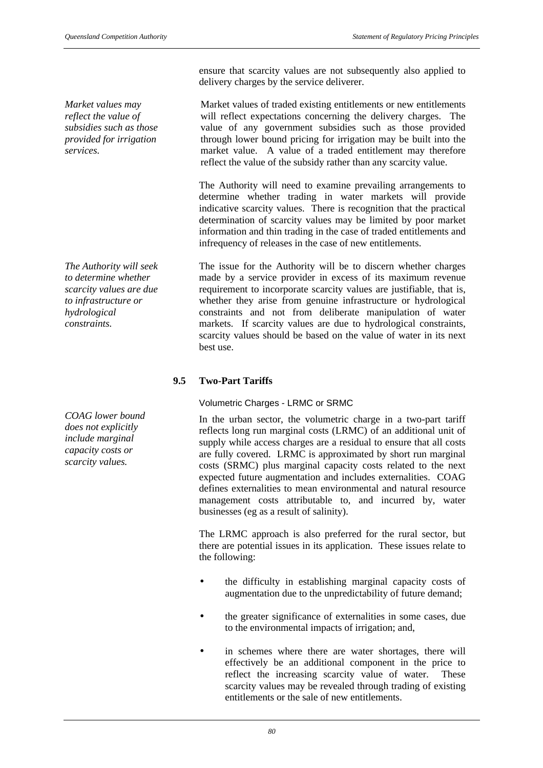*Market values may reflect the value of subsidies such as those provided for irrigation services.*

*The Authority will seek to determine whether scarcity values are due to infrastructure or hydrological constraints.*

*COAG lower bound does not explicitly include marginal capacity costs or scarcity values.*

ensure that scarcity values are not subsequently also applied to delivery charges by the service deliverer.

Market values of traded existing entitlements or new entitlements will reflect expectations concerning the delivery charges. The value of any government subsidies such as those provided through lower bound pricing for irrigation may be built into the market value. A value of a traded entitlement may therefore reflect the value of the subsidy rather than any scarcity value.

The Authority will need to examine prevailing arrangements to determine whether trading in water markets will provide indicative scarcity values. There is recognition that the practical determination of scarcity values may be limited by poor market information and thin trading in the case of traded entitlements and infrequency of releases in the case of new entitlements.

The issue for the Authority will be to discern whether charges made by a service provider in excess of its maximum revenue requirement to incorporate scarcity values are justifiable, that is, whether they arise from genuine infrastructure or hydrological constraints and not from deliberate manipulation of water markets. If scarcity values are due to hydrological constraints, scarcity values should be based on the value of water in its next best use.

# **9.5 Two-Part Tariffs**

# Volumetric Charges - LRMC or SRMC

In the urban sector, the volumetric charge in a two-part tariff reflects long run marginal costs (LRMC) of an additional unit of supply while access charges are a residual to ensure that all costs are fully covered. LRMC is approximated by short run marginal costs (SRMC) plus marginal capacity costs related to the next expected future augmentation and includes externalities. COAG defines externalities to mean environmental and natural resource management costs attributable to, and incurred by, water businesses (eg as a result of salinity).

The LRMC approach is also preferred for the rural sector, but there are potential issues in its application. These issues relate to the following:

- the difficulty in establishing marginal capacity costs of augmentation due to the unpredictability of future demand;
- the greater significance of externalities in some cases, due to the environmental impacts of irrigation; and,
- in schemes where there are water shortages, there will effectively be an additional component in the price to reflect the increasing scarcity value of water. These scarcity values may be revealed through trading of existing entitlements or the sale of new entitlements.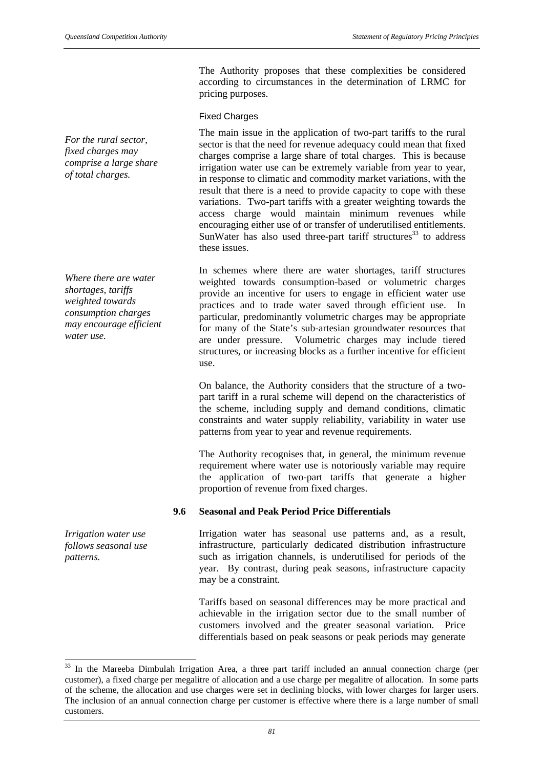*For the rural sector, fixed charges may comprise a large share of total charges.*

*Where there are water shortages, tariffs weighted towards consumption charges may encourage efficient water use.*

*Irrigation water use follows seasonal use patterns.*

The Authority proposes that these complexities be considered according to circumstances in the determination of LRMC for pricing purposes.

# Fixed Charges

The main issue in the application of two-part tariffs to the rural sector is that the need for revenue adequacy could mean that fixed charges comprise a large share of total charges. This is because irrigation water use can be extremely variable from year to year, in response to climatic and commodity market variations, with the result that there is a need to provide capacity to cope with these variations. Two-part tariffs with a greater weighting towards the access charge would maintain minimum revenues while encouraging either use of or transfer of underutilised entitlements. SunWater has also used three-part tariff structures<sup>33</sup> to address these issues.

In schemes where there are water shortages, tariff structures weighted towards consumption-based or volumetric charges provide an incentive for users to engage in efficient water use practices and to trade water saved through efficient use. In particular, predominantly volumetric charges may be appropriate for many of the State's sub-artesian groundwater resources that are under pressure. Volumetric charges may include tiered structures, or increasing blocks as a further incentive for efficient use.

On balance, the Authority considers that the structure of a twopart tariff in a rural scheme will depend on the characteristics of the scheme, including supply and demand conditions, climatic constraints and water supply reliability, variability in water use patterns from year to year and revenue requirements.

The Authority recognises that, in general, the minimum revenue requirement where water use is notoriously variable may require the application of two-part tariffs that generate a higher proportion of revenue from fixed charges.

# **9.6 Seasonal and Peak Period Price Differentials**

Irrigation water has seasonal use patterns and, as a result, infrastructure, particularly dedicated distribution infrastructure such as irrigation channels, is underutilised for periods of the year. By contrast, during peak seasons, infrastructure capacity may be a constraint.

Tariffs based on seasonal differences may be more practical and achievable in the irrigation sector due to the small number of customers involved and the greater seasonal variation. Price differentials based on peak seasons or peak periods may generate

l <sup>33</sup> In the Mareeba Dimbulah Irrigation Area, a three part tariff included an annual connection charge (per customer), a fixed charge per megalitre of allocation and a use charge per megalitre of allocation. In some parts of the scheme, the allocation and use charges were set in declining blocks, with lower charges for larger users. The inclusion of an annual connection charge per customer is effective where there is a large number of small customers.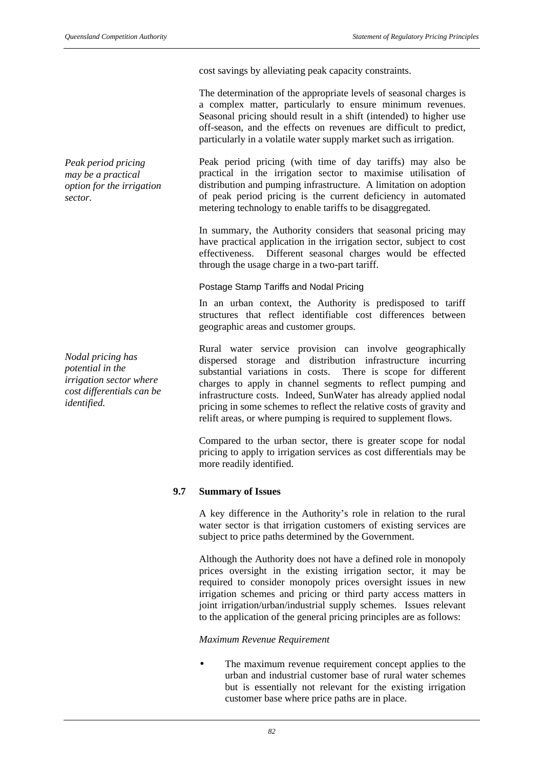*Peak period pricing may be a practical option for the irrigation sector.*

*Nodal pricing has potential in the irrigation sector where cost differentials can be identified.*

cost savings by alleviating peak capacity constraints.

The determination of the appropriate levels of seasonal charges is a complex matter, particularly to ensure minimum revenues. Seasonal pricing should result in a shift (intended) to higher use off-season, and the effects on revenues are difficult to predict, particularly in a volatile water supply market such as irrigation.

Peak period pricing (with time of day tariffs) may also be practical in the irrigation sector to maximise utilisation of distribution and pumping infrastructure. A limitation on adoption of peak period pricing is the current deficiency in automated metering technology to enable tariffs to be disaggregated.

In summary, the Authority considers that seasonal pricing may have practical application in the irrigation sector, subject to cost effectiveness. Different seasonal charges would be effected through the usage charge in a two-part tariff.

#### Postage Stamp Tariffs and Nodal Pricing

In an urban context, the Authority is predisposed to tariff structures that reflect identifiable cost differences between geographic areas and customer groups.

Rural water service provision can involve geographically dispersed storage and distribution infrastructure incurring substantial variations in costs. There is scope for different charges to apply in channel segments to reflect pumping and infrastructure costs. Indeed, SunWater has already applied nodal pricing in some schemes to reflect the relative costs of gravity and relift areas, or where pumping is required to supplement flows.

Compared to the urban sector, there is greater scope for nodal pricing to apply to irrigation services as cost differentials may be more readily identified.

# **9.7 Summary of Issues**

A key difference in the Authority's role in relation to the rural water sector is that irrigation customers of existing services are subject to price paths determined by the Government.

Although the Authority does not have a defined role in monopoly prices oversight in the existing irrigation sector, it may be required to consider monopoly prices oversight issues in new irrigation schemes and pricing or third party access matters in joint irrigation/urban/industrial supply schemes. Issues relevant to the application of the general pricing principles are as follows:

# *Maximum Revenue Requirement*

The maximum revenue requirement concept applies to the urban and industrial customer base of rural water schemes but is essentially not relevant for the existing irrigation customer base where price paths are in place.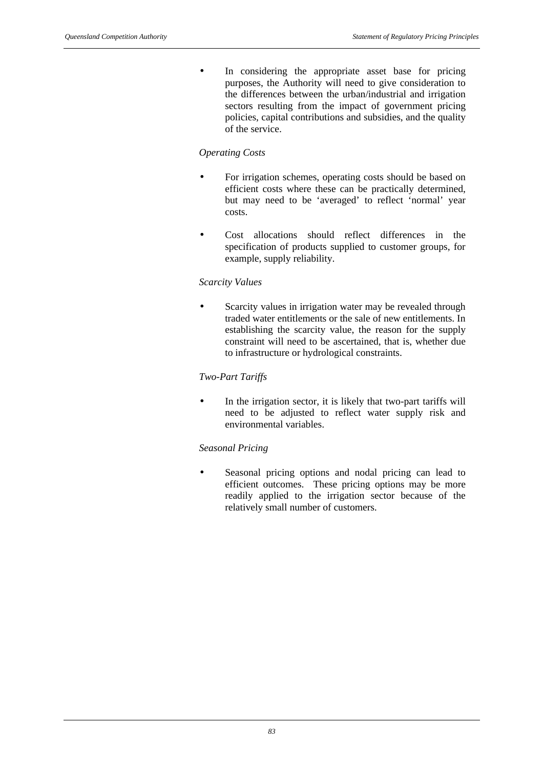• In considering the appropriate asset base for pricing purposes, the Authority will need to give consideration to the differences between the urban/industrial and irrigation sectors resulting from the impact of government pricing policies, capital contributions and subsidies, and the quality of the service.

#### *Operating Costs*

- For irrigation schemes, operating costs should be based on efficient costs where these can be practically determined, but may need to be 'averaged' to reflect 'normal' year costs.
- Cost allocations should reflect differences in the specification of products supplied to customer groups, for example, supply reliability.

#### *Scarcity Values*

Scarcity values in irrigation water may be revealed through traded water entitlements or the sale of new entitlements. In establishing the scarcity value, the reason for the supply constraint will need to be ascertained, that is, whether due to infrastructure or hydrological constraints.

# *Two-Part Tariffs*

In the irrigation sector, it is likely that two-part tariffs will need to be adjusted to reflect water supply risk and environmental variables.

#### *Seasonal Pricing*

Seasonal pricing options and nodal pricing can lead to efficient outcomes. These pricing options may be more readily applied to the irrigation sector because of the relatively small number of customers.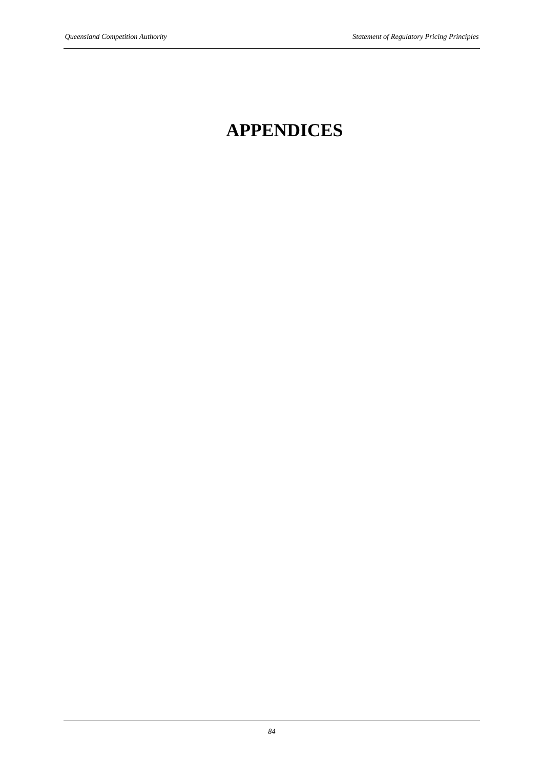# **APPENDICES**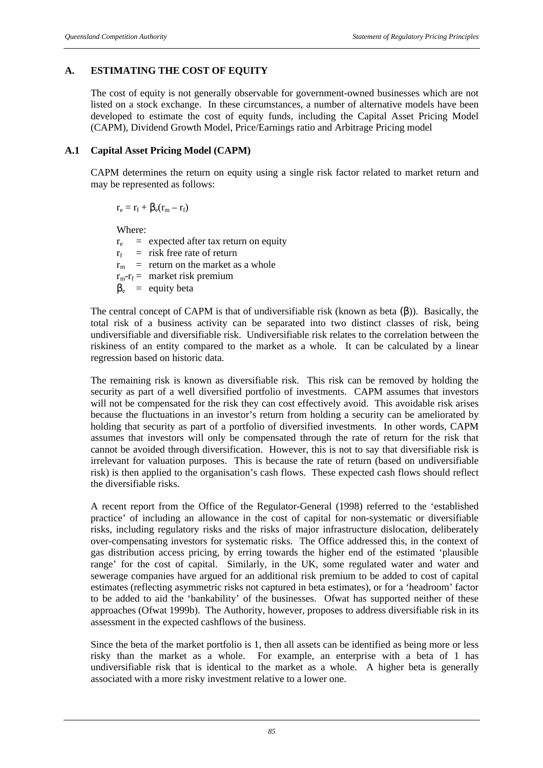# **A. ESTIMATING THE COST OF EQUITY**

The cost of equity is not generally observable for government-owned businesses which are not listed on a stock exchange. In these circumstances, a number of alternative models have been developed to estimate the cost of equity funds, including the Capital Asset Pricing Model (CAPM), Dividend Growth Model, Price/Earnings ratio and Arbitrage Pricing model

#### **A.1 Capital Asset Pricing Model (CAPM)**

CAPM determines the return on equity using a single risk factor related to market return and may be represented as follows:

 $r_e = r_f + \beta_e(r_m - r_f)$ 

Where:

 $r_e$  = expected after tax return on equity  $r_f$  = risk free rate of return  $r_m$  = return on the market as a whole  $r_m - r_f =$  market risk premium  $\beta_e$  = equity beta

The central concept of CAPM is that of undiversifiable risk (known as beta  $(\beta)$ ). Basically, the total risk of a business activity can be separated into two distinct classes of risk, being undiversifiable and diversifiable risk. Undiversifiable risk relates to the correlation between the riskiness of an entity compared to the market as a whole. It can be calculated by a linear regression based on historic data.

The remaining risk is known as diversifiable risk. This risk can be removed by holding the security as part of a well diversified portfolio of investments. CAPM assumes that investors will not be compensated for the risk they can cost effectively avoid. This avoidable risk arises because the fluctuations in an investor's return from holding a security can be ameliorated by holding that security as part of a portfolio of diversified investments. In other words, CAPM assumes that investors will only be compensated through the rate of return for the risk that cannot be avoided through diversification. However, this is not to say that diversifiable risk is irrelevant for valuation purposes. This is because the rate of return (based on undiversifiable risk) is then applied to the organisation's cash flows. These expected cash flows should reflect the diversifiable risks.

A recent report from the Office of the Regulator-General (1998) referred to the 'established practice' of including an allowance in the cost of capital for non-systematic or diversifiable risks, including regulatory risks and the risks of major infrastructure dislocation, deliberately over-compensating investors for systematic risks. The Office addressed this, in the context of gas distribution access pricing, by erring towards the higher end of the estimated 'plausible range' for the cost of capital. Similarly, in the UK, some regulated water and water and sewerage companies have argued for an additional risk premium to be added to cost of capital estimates (reflecting asymmetric risks not captured in beta estimates), or for a 'headroom' factor to be added to aid the 'bankability' of the businesses. Ofwat has supported neither of these approaches (Ofwat 1999b). The Authority, however, proposes to address diversifiable risk in its assessment in the expected cashflows of the business.

Since the beta of the market portfolio is 1, then all assets can be identified as being more or less risky than the market as a whole. For example, an enterprise with a beta of 1 has undiversifiable risk that is identical to the market as a whole. A higher beta is generally associated with a more risky investment relative to a lower one.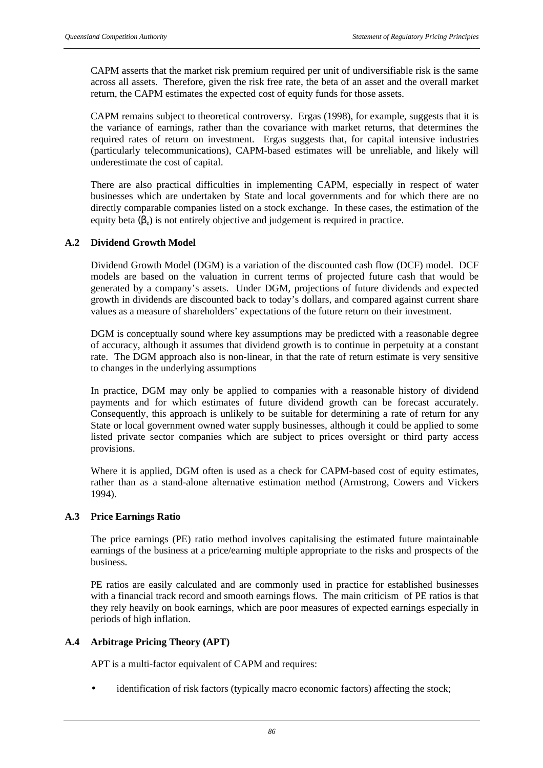CAPM asserts that the market risk premium required per unit of undiversifiable risk is the same across all assets. Therefore, given the risk free rate, the beta of an asset and the overall market return, the CAPM estimates the expected cost of equity funds for those assets.

CAPM remains subject to theoretical controversy. Ergas (1998), for example, suggests that it is the variance of earnings, rather than the covariance with market returns, that determines the required rates of return on investment. Ergas suggests that, for capital intensive industries (particularly telecommunications), CAPM-based estimates will be unreliable, and likely will underestimate the cost of capital.

There are also practical difficulties in implementing CAPM, especially in respect of water businesses which are undertaken by State and local governments and for which there are no directly comparable companies listed on a stock exchange. In these cases, the estimation of the equity beta  $(\beta_e)$  is not entirely objective and judgement is required in practice.

# **A.2 Dividend Growth Model**

Dividend Growth Model (DGM) is a variation of the discounted cash flow (DCF) model. DCF models are based on the valuation in current terms of projected future cash that would be generated by a company's assets. Under DGM, projections of future dividends and expected growth in dividends are discounted back to today's dollars, and compared against current share values as a measure of shareholders' expectations of the future return on their investment.

DGM is conceptually sound where key assumptions may be predicted with a reasonable degree of accuracy, although it assumes that dividend growth is to continue in perpetuity at a constant rate. The DGM approach also is non-linear, in that the rate of return estimate is very sensitive to changes in the underlying assumptions

In practice, DGM may only be applied to companies with a reasonable history of dividend payments and for which estimates of future dividend growth can be forecast accurately. Consequently, this approach is unlikely to be suitable for determining a rate of return for any State or local government owned water supply businesses, although it could be applied to some listed private sector companies which are subject to prices oversight or third party access provisions.

Where it is applied, DGM often is used as a check for CAPM-based cost of equity estimates, rather than as a stand-alone alternative estimation method (Armstrong, Cowers and Vickers 1994).

#### **A.3 Price Earnings Ratio**

The price earnings (PE) ratio method involves capitalising the estimated future maintainable earnings of the business at a price/earning multiple appropriate to the risks and prospects of the business.

PE ratios are easily calculated and are commonly used in practice for established businesses with a financial track record and smooth earnings flows. The main criticism of PE ratios is that they rely heavily on book earnings, which are poor measures of expected earnings especially in periods of high inflation.

#### **A.4 Arbitrage Pricing Theory (APT)**

APT is a multi-factor equivalent of CAPM and requires:

identification of risk factors (typically macro economic factors) affecting the stock;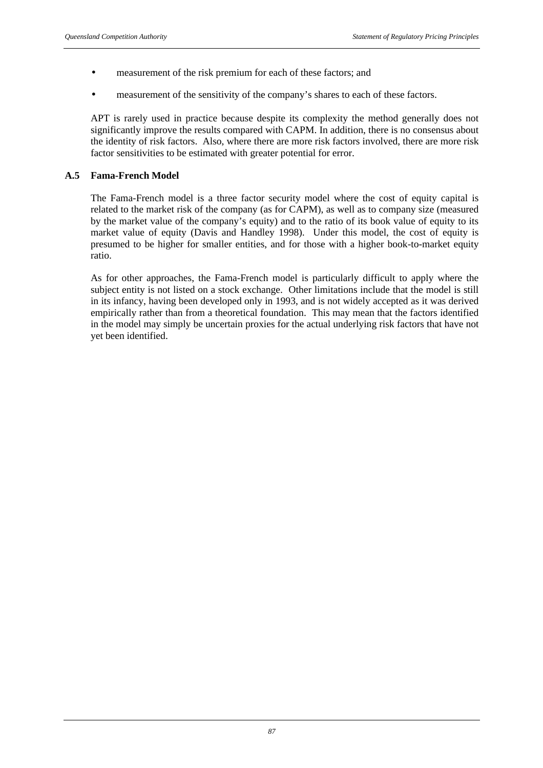- measurement of the risk premium for each of these factors; and
- measurement of the sensitivity of the company's shares to each of these factors.

APT is rarely used in practice because despite its complexity the method generally does not significantly improve the results compared with CAPM. In addition, there is no consensus about the identity of risk factors. Also, where there are more risk factors involved, there are more risk factor sensitivities to be estimated with greater potential for error.

# **A.5 Fama-French Model**

The Fama-French model is a three factor security model where the cost of equity capital is related to the market risk of the company (as for CAPM), as well as to company size (measured by the market value of the company's equity) and to the ratio of its book value of equity to its market value of equity (Davis and Handley 1998). Under this model, the cost of equity is presumed to be higher for smaller entities, and for those with a higher book-to-market equity ratio.

As for other approaches, the Fama-French model is particularly difficult to apply where the subject entity is not listed on a stock exchange. Other limitations include that the model is still in its infancy, having been developed only in 1993, and is not widely accepted as it was derived empirically rather than from a theoretical foundation. This may mean that the factors identified in the model may simply be uncertain proxies for the actual underlying risk factors that have not yet been identified.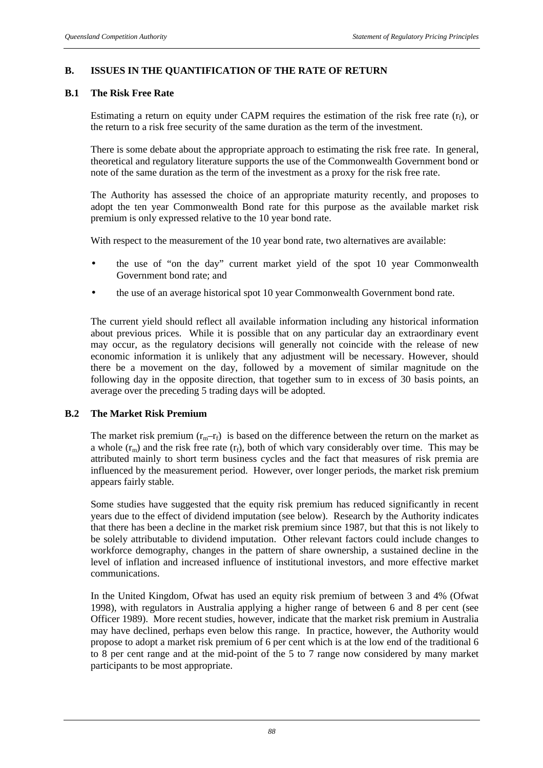# **B. ISSUES IN THE QUANTIFICATION OF THE RATE OF RETURN**

# **B.1 The Risk Free Rate**

Estimating a return on equity under CAPM requires the estimation of the risk free rate  $(r_f)$ , or the return to a risk free security of the same duration as the term of the investment.

There is some debate about the appropriate approach to estimating the risk free rate. In general, theoretical and regulatory literature supports the use of the Commonwealth Government bond or note of the same duration as the term of the investment as a proxy for the risk free rate.

The Authority has assessed the choice of an appropriate maturity recently, and proposes to adopt the ten year Commonwealth Bond rate for this purpose as the available market risk premium is only expressed relative to the 10 year bond rate.

With respect to the measurement of the 10 year bond rate, two alternatives are available:

- the use of "on the day" current market yield of the spot 10 year Commonwealth Government bond rate; and
- the use of an average historical spot 10 year Commonwealth Government bond rate.

The current yield should reflect all available information including any historical information about previous prices. While it is possible that on any particular day an extraordinary event may occur, as the regulatory decisions will generally not coincide with the release of new economic information it is unlikely that any adjustment will be necessary. However, should there be a movement on the day, followed by a movement of similar magnitude on the following day in the opposite direction, that together sum to in excess of 30 basis points, an average over the preceding 5 trading days will be adopted.

#### **B.2 The Market Risk Premium**

The market risk premium  $(r_m-r_f)$  is based on the difference between the return on the market as a whole  $(r_m)$  and the risk free rate  $(r_f)$ , both of which vary considerably over time. This may be attributed mainly to short term business cycles and the fact that measures of risk premia are influenced by the measurement period. However, over longer periods, the market risk premium appears fairly stable.

Some studies have suggested that the equity risk premium has reduced significantly in recent years due to the effect of dividend imputation (see below). Research by the Authority indicates that there has been a decline in the market risk premium since 1987, but that this is not likely to be solely attributable to dividend imputation. Other relevant factors could include changes to workforce demography, changes in the pattern of share ownership, a sustained decline in the level of inflation and increased influence of institutional investors, and more effective market communications.

In the United Kingdom, Ofwat has used an equity risk premium of between 3 and 4% (Ofwat 1998), with regulators in Australia applying a higher range of between 6 and 8 per cent (see Officer 1989). More recent studies, however, indicate that the market risk premium in Australia may have declined, perhaps even below this range. In practice, however, the Authority would propose to adopt a market risk premium of 6 per cent which is at the low end of the traditional 6 to 8 per cent range and at the mid-point of the 5 to 7 range now considered by many market participants to be most appropriate.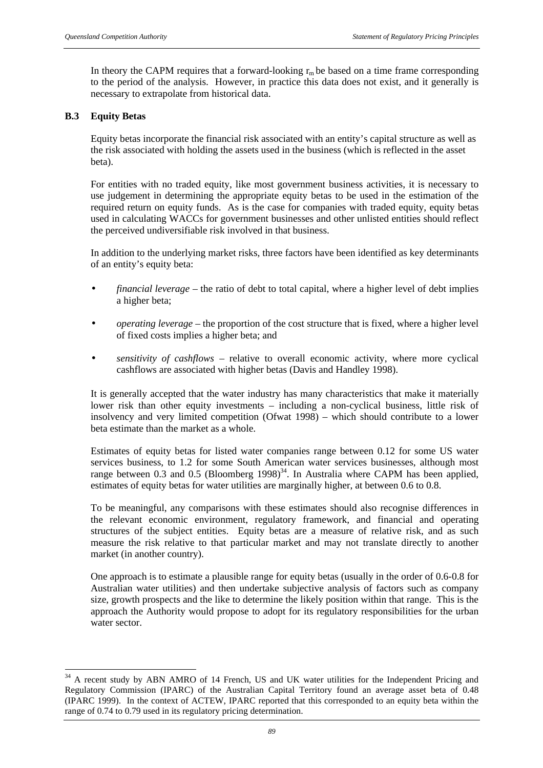In theory the CAPM requires that a forward-looking  $r_m$  be based on a time frame corresponding to the period of the analysis. However, in practice this data does not exist, and it generally is necessary to extrapolate from historical data.

# **B.3 Equity Betas**

l

Equity betas incorporate the financial risk associated with an entity's capital structure as well as the risk associated with holding the assets used in the business (which is reflected in the asset beta).

For entities with no traded equity, like most government business activities, it is necessary to use judgement in determining the appropriate equity betas to be used in the estimation of the required return on equity funds. As is the case for companies with traded equity, equity betas used in calculating WACCs for government businesses and other unlisted entities should reflect the perceived undiversifiable risk involved in that business.

In addition to the underlying market risks, three factors have been identified as key determinants of an entity's equity beta:

- *financial leverage* the ratio of debt to total capital, where a higher level of debt implies a higher beta;
- *operating leverage* the proportion of the cost structure that is fixed, where a higher level of fixed costs implies a higher beta; and
- *sensitivity of cashflows* relative to overall economic activity, where more cyclical cashflows are associated with higher betas (Davis and Handley 1998).

It is generally accepted that the water industry has many characteristics that make it materially lower risk than other equity investments – including a non-cyclical business, little risk of insolvency and very limited competition (Ofwat 1998) – which should contribute to a lower beta estimate than the market as a whole.

Estimates of equity betas for listed water companies range between 0.12 for some US water services business, to 1.2 for some South American water services businesses, although most range between  $0.3$  and  $0.5$  (Bloomberg 1998)<sup>34</sup>. In Australia where CAPM has been applied, estimates of equity betas for water utilities are marginally higher, at between 0.6 to 0.8.

To be meaningful, any comparisons with these estimates should also recognise differences in the relevant economic environment, regulatory framework, and financial and operating structures of the subject entities. Equity betas are a measure of relative risk, and as such measure the risk relative to that particular market and may not translate directly to another market (in another country).

One approach is to estimate a plausible range for equity betas (usually in the order of 0.6-0.8 for Australian water utilities) and then undertake subjective analysis of factors such as company size, growth prospects and the like to determine the likely position within that range. This is the approach the Authority would propose to adopt for its regulatory responsibilities for the urban water sector.

<sup>&</sup>lt;sup>34</sup> A recent study by ABN AMRO of 14 French, US and UK water utilities for the Independent Pricing and Regulatory Commission (IPARC) of the Australian Capital Territory found an average asset beta of 0.48 (IPARC 1999). In the context of ACTEW, IPARC reported that this corresponded to an equity beta within the range of 0.74 to 0.79 used in its regulatory pricing determination.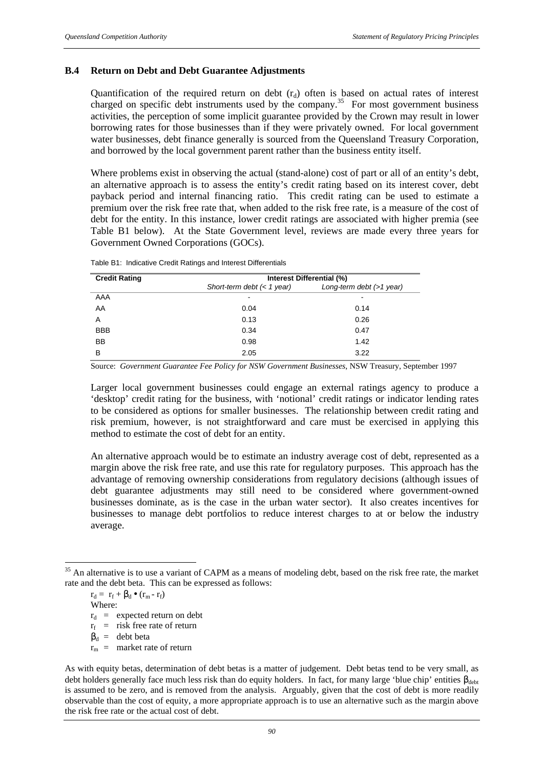#### **B.4 Return on Debt and Debt Guarantee Adjustments**

Quantification of the required return on debt  $(r_d)$  often is based on actual rates of interest charged on specific debt instruments used by the company.<sup>35</sup> For most government business activities, the perception of some implicit guarantee provided by the Crown may result in lower borrowing rates for those businesses than if they were privately owned. For local government water businesses, debt finance generally is sourced from the Queensland Treasury Corporation, and borrowed by the local government parent rather than the business entity itself.

Where problems exist in observing the actual (stand-alone) cost of part or all of an entity's debt, an alternative approach is to assess the entity's credit rating based on its interest cover, debt payback period and internal financing ratio. This credit rating can be used to estimate a premium over the risk free rate that, when added to the risk free rate, is a measure of the cost of debt for the entity. In this instance, lower credit ratings are associated with higher premia (see Table B1 below). At the State Government level, reviews are made every three years for Government Owned Corporations (GOCs).

| <b>Credit Rating</b> | Interest Differential (%)    |                             |  |  |  |  |
|----------------------|------------------------------|-----------------------------|--|--|--|--|
|                      | Short-term debt $(< 1$ year) | Long-term debt $($ >1 year) |  |  |  |  |
| AAA                  | $\overline{\phantom{a}}$     | -                           |  |  |  |  |
| AA                   | 0.04                         | 0.14                        |  |  |  |  |
| A                    | 0.13                         | 0.26                        |  |  |  |  |
| <b>BBB</b>           | 0.34                         | 0.47                        |  |  |  |  |
| BB                   | 0.98                         | 1.42                        |  |  |  |  |
| B                    | 2.05                         | 3.22                        |  |  |  |  |

Table B1: Indicative Credit Ratings and Interest Differentials

Source: *Government Guarantee Fee Policy for NSW Government Businesses*, NSW Treasury, September 1997

Larger local government businesses could engage an external ratings agency to produce a 'desktop' credit rating for the business, with 'notional' credit ratings or indicator lending rates to be considered as options for smaller businesses. The relationship between credit rating and risk premium, however, is not straightforward and care must be exercised in applying this method to estimate the cost of debt for an entity.

An alternative approach would be to estimate an industry average cost of debt, represented as a margin above the risk free rate, and use this rate for regulatory purposes. This approach has the advantage of removing ownership considerations from regulatory decisions (although issues of debt guarantee adjustments may still need to be considered where government-owned businesses dominate, as is the case in the urban water sector). It also creates incentives for businesses to manage debt portfolios to reduce interest charges to at or below the industry average.

$$
r_d = r_f + \beta_d \bullet (r_m - r_f)
$$
  
Where:

 $r_d$  = expected return on debt

 $r_f$  = risk free rate of return

 $\beta_d$  = debt beta

l

 $r_m$  = market rate of return

<sup>&</sup>lt;sup>35</sup> An alternative is to use a variant of CAPM as a means of modeling debt, based on the risk free rate, the market rate and the debt beta. This can be expressed as follows:

As with equity betas, determination of debt betas is a matter of judgement. Debt betas tend to be very small, as debt holders generally face much less risk than do equity holders. In fact, for many large 'blue chip' entities  $\beta_{\text{debt}}$ is assumed to be zero, and is removed from the analysis. Arguably, given that the cost of debt is more readily observable than the cost of equity, a more appropriate approach is to use an alternative such as the margin above the risk free rate or the actual cost of debt.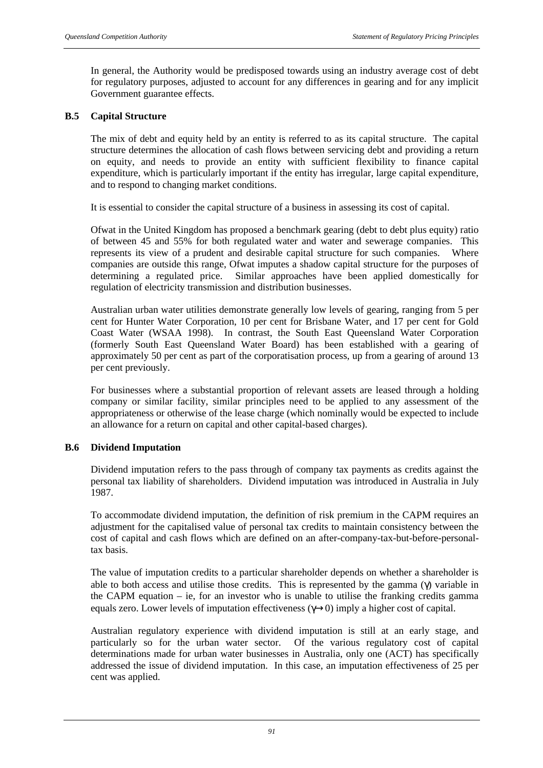In general, the Authority would be predisposed towards using an industry average cost of debt for regulatory purposes, adjusted to account for any differences in gearing and for any implicit Government guarantee effects.

#### **B.5 Capital Structure**

The mix of debt and equity held by an entity is referred to as its capital structure. The capital structure determines the allocation of cash flows between servicing debt and providing a return on equity, and needs to provide an entity with sufficient flexibility to finance capital expenditure, which is particularly important if the entity has irregular, large capital expenditure, and to respond to changing market conditions.

It is essential to consider the capital structure of a business in assessing its cost of capital.

Ofwat in the United Kingdom has proposed a benchmark gearing (debt to debt plus equity) ratio of between 45 and 55% for both regulated water and water and sewerage companies. This represents its view of a prudent and desirable capital structure for such companies. Where companies are outside this range, Ofwat imputes a shadow capital structure for the purposes of determining a regulated price. Similar approaches have been applied domestically for regulation of electricity transmission and distribution businesses.

Australian urban water utilities demonstrate generally low levels of gearing, ranging from 5 per cent for Hunter Water Corporation, 10 per cent for Brisbane Water, and 17 per cent for Gold Coast Water (WSAA 1998). In contrast, the South East Queensland Water Corporation (formerly South East Queensland Water Board) has been established with a gearing of approximately 50 per cent as part of the corporatisation process, up from a gearing of around 13 per cent previously.

For businesses where a substantial proportion of relevant assets are leased through a holding company or similar facility, similar principles need to be applied to any assessment of the appropriateness or otherwise of the lease charge (which nominally would be expected to include an allowance for a return on capital and other capital-based charges).

# **B.6 Dividend Imputation**

Dividend imputation refers to the pass through of company tax payments as credits against the personal tax liability of shareholders. Dividend imputation was introduced in Australia in July 1987.

To accommodate dividend imputation, the definition of risk premium in the CAPM requires an adjustment for the capitalised value of personal tax credits to maintain consistency between the cost of capital and cash flows which are defined on an after-company-tax-but-before-personaltax basis.

The value of imputation credits to a particular shareholder depends on whether a shareholder is able to both access and utilise those credits. This is represented by the gamma (γ) variable in the CAPM equation – ie, for an investor who is unable to utilise the franking credits gamma equals zero. Lower levels of imputation effectiveness (γ→0) imply a higher cost of capital.

Australian regulatory experience with dividend imputation is still at an early stage, and particularly so for the urban water sector. Of the various regulatory cost of capital determinations made for urban water businesses in Australia, only one (ACT) has specifically addressed the issue of dividend imputation. In this case, an imputation effectiveness of 25 per cent was applied.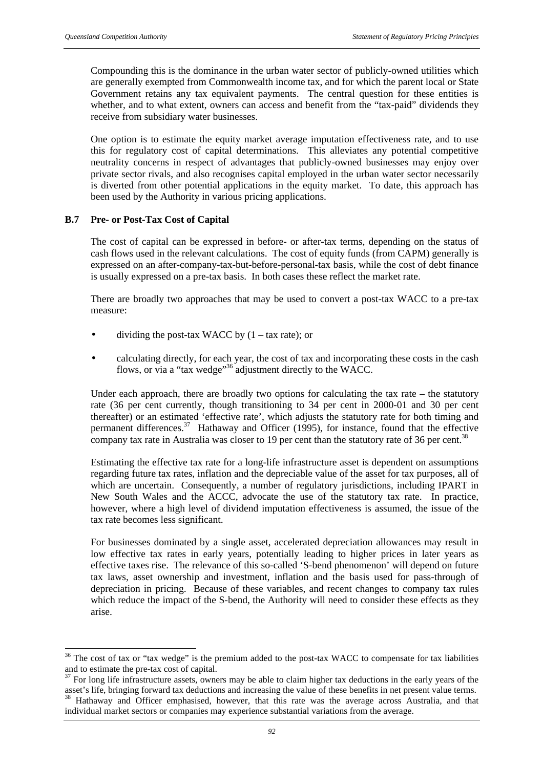Compounding this is the dominance in the urban water sector of publicly-owned utilities which are generally exempted from Commonwealth income tax, and for which the parent local or State Government retains any tax equivalent payments. The central question for these entities is whether, and to what extent, owners can access and benefit from the "tax-paid" dividends they receive from subsidiary water businesses.

One option is to estimate the equity market average imputation effectiveness rate, and to use this for regulatory cost of capital determinations. This alleviates any potential competitive neutrality concerns in respect of advantages that publicly-owned businesses may enjoy over private sector rivals, and also recognises capital employed in the urban water sector necessarily is diverted from other potential applications in the equity market. To date, this approach has been used by the Authority in various pricing applications.

#### **B.7 Pre- or Post-Tax Cost of Capital**

 $\overline{a}$ 

The cost of capital can be expressed in before- or after-tax terms, depending on the status of cash flows used in the relevant calculations. The cost of equity funds (from CAPM) generally is expressed on an after-company-tax-but-before-personal-tax basis, while the cost of debt finance is usually expressed on a pre-tax basis. In both cases these reflect the market rate.

There are broadly two approaches that may be used to convert a post-tax WACC to a pre-tax measure:

- dividing the post-tax WACC by  $(1 \text{tax rate})$ ; or
- calculating directly, for each year, the cost of tax and incorporating these costs in the cash flows, or via a "tax wedge"<sup>36</sup> adjustment directly to the WACC.

Under each approach, there are broadly two options for calculating the tax rate – the statutory rate (36 per cent currently, though transitioning to 34 per cent in 2000-01 and 30 per cent thereafter) or an estimated 'effective rate', which adjusts the statutory rate for both timing and permanent differences.<sup>37</sup> Hathaway and Officer (1995), for instance, found that the effective company tax rate in Australia was closer to 19 per cent than the statutory rate of 36 per cent.<sup>38</sup>

Estimating the effective tax rate for a long-life infrastructure asset is dependent on assumptions regarding future tax rates, inflation and the depreciable value of the asset for tax purposes, all of which are uncertain. Consequently, a number of regulatory jurisdictions, including IPART in New South Wales and the ACCC, advocate the use of the statutory tax rate. In practice, however, where a high level of dividend imputation effectiveness is assumed, the issue of the tax rate becomes less significant.

For businesses dominated by a single asset, accelerated depreciation allowances may result in low effective tax rates in early years, potentially leading to higher prices in later years as effective taxes rise. The relevance of this so-called 'S-bend phenomenon' will depend on future tax laws, asset ownership and investment, inflation and the basis used for pass-through of depreciation in pricing. Because of these variables, and recent changes to company tax rules which reduce the impact of the S-bend, the Authority will need to consider these effects as they arise.

 $36$  The cost of tax or "tax wedge" is the premium added to the post-tax WACC to compensate for tax liabilities and to estimate the pre-tax cost of capital.

<sup>&</sup>lt;sup>37</sup> For long life infrastructure assets, owners may be able to claim higher tax deductions in the early years of the asset's life, bringing forward tax deductions and increasing the value of these benefits in net present value terms. <sup>38</sup> Hathaway and Officer emphasised, however, that this rate was the average across Australia, and that individual market sectors or companies may experience substantial variations from the average.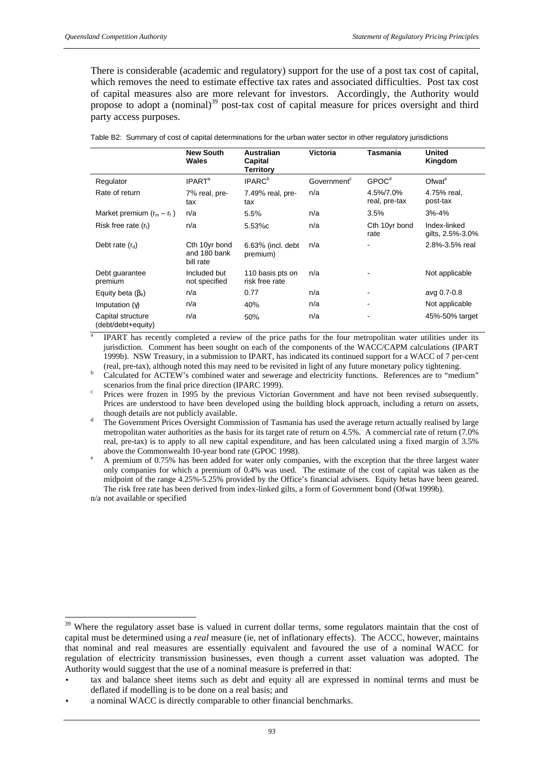There is considerable (academic and regulatory) support for the use of a post tax cost of capital, which removes the need to estimate effective tax rates and associated difficulties. Post tax cost of capital measures also are more relevant for investors. Accordingly, the Authority would propose to adopt a (nominal)<sup>39</sup> post-tax cost of capital measure for prices oversight and third party access purposes.

|                                         | <b>New South</b><br>Wales                  | <b>Australian</b><br>Capital<br><b>Territory</b> | <b>Victoria</b>         | Tasmania                   | United<br>Kingdom                |
|-----------------------------------------|--------------------------------------------|--------------------------------------------------|-------------------------|----------------------------|----------------------------------|
| Regulator                               | <b>IPART<sup>a</sup></b>                   | <b>IPARC</b> <sup>b</sup>                        | Government <sup>c</sup> | GPOC <sup>d</sup>          | Ofwat <sup>e</sup>               |
| Rate of return                          | 7% real, pre-<br>tax                       | $7.49%$ real, pre-<br>tax                        | n/a                     | 4.5%/7.0%<br>real, pre-tax | 4.75% real.<br>post-tax          |
| Market premium $(r_m - r_f)$            | n/a                                        | 5.5%                                             | n/a                     | 3.5%                       | $3% - 4%$                        |
| Risk free rate $(r_f)$                  | n/a                                        | $5.53\%c$                                        | n/a                     | Cth 10yr bond<br>rate      | Index-linked<br>gilts, 2.5%-3.0% |
| Debt rate $(r_d)$                       | Cth 10yr bond<br>and 180 bank<br>bill rate | 6.63% (incl. debt<br>premium)                    | n/a                     |                            | 2.8%-3.5% real                   |
| Debt guarantee<br>premium               | Included but<br>not specified              | 110 basis pts on<br>risk free rate               | n/a                     |                            | Not applicable                   |
| Equity beta $(\beta_e)$                 | n/a                                        | 0.77                                             | n/a                     |                            | avg 0.7-0.8                      |
| Imputation $(y)$                        | n/a                                        | 40%                                              | n/a                     |                            | Not applicable                   |
| Capital structure<br>(debt/debt+equity) | n/a                                        | 50%                                              | n/a                     |                            | 45%-50% target                   |

Table B2: Summary of cost of capital determinations for the urban water sector in other regulatory jurisdictions

a IPART has recently completed a review of the price paths for the four metropolitan water utilities under its jurisdiction. Comment has been sought on each of the components of the WACC/CAPM calculations (IPART 1999b). NSW Treasury, in a submission to IPART, has indicated its continued support for a WACC of 7 per-cent (real, pre-tax), although noted this may need to be revisited in light of any future monetary policy tightening.

<sup>b</sup> Calculated for ACTEW's combined water and sewerage and electricity functions. References are to "medium" scenarios from the final price direction (IPARC 1999).

c Prices were frozen in 1995 by the previous Victorian Government and have not been revised subsequently. Prices are understood to have been developed using the building block approach, including a return on assets, though details are not publicly available.

The Government Prices Oversight Commission of Tasmania has used the average return actually realised by large metropolitan water authorities as the basis for its target rate of return on 4.5%. A commercial rate of return (7.0% real, pre-tax) is to apply to all new capital expenditure, and has been calculated using a fixed margin of 3.5% above the Commonwealth 10-year bond rate (GPOC 1998).

<sup>e</sup> A premium of 0.75% has been added for water only companies, with the exception that the three largest water only companies for which a premium of 0.4% was used. The estimate of the cost of capital was taken as the midpoint of the range 4.25%-5.25% provided by the Office's financial advisers. Equity betas have been geared. The risk free rate has been derived from index-linked gilts, a form of Government bond (Ofwat 1999b).

n/a not available or specified

 $\overline{a}$ 

<sup>&</sup>lt;sup>39</sup> Where the regulatory asset base is valued in current dollar terms, some regulators maintain that the cost of capital must be determined using a *real* measure (ie, net of inflationary effects). The ACCC, however, maintains that nominal and real measures are essentially equivalent and favoured the use of a nominal WACC for regulation of electricity transmission businesses, even though a current asset valuation was adopted. The Authority would suggest that the use of a nominal measure is preferred in that:

<sup>•</sup> tax and balance sheet items such as debt and equity all are expressed in nominal terms and must be deflated if modelling is to be done on a real basis; and

a nominal WACC is directly comparable to other financial benchmarks.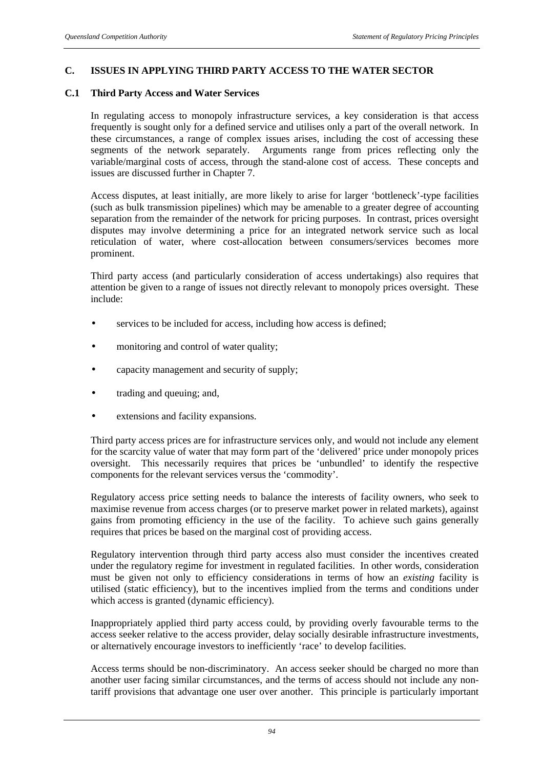#### **C. ISSUES IN APPLYING THIRD PARTY ACCESS TO THE WATER SECTOR**

#### **C.1 Third Party Access and Water Services**

In regulating access to monopoly infrastructure services, a key consideration is that access frequently is sought only for a defined service and utilises only a part of the overall network. In these circumstances, a range of complex issues arises, including the cost of accessing these segments of the network separately. Arguments range from prices reflecting only the variable/marginal costs of access, through the stand-alone cost of access. These concepts and issues are discussed further in Chapter 7.

Access disputes, at least initially, are more likely to arise for larger 'bottleneck'-type facilities (such as bulk transmission pipelines) which may be amenable to a greater degree of accounting separation from the remainder of the network for pricing purposes. In contrast, prices oversight disputes may involve determining a price for an integrated network service such as local reticulation of water, where cost-allocation between consumers/services becomes more prominent.

Third party access (and particularly consideration of access undertakings) also requires that attention be given to a range of issues not directly relevant to monopoly prices oversight. These include:

- services to be included for access, including how access is defined;
- monitoring and control of water quality;
- capacity management and security of supply;
- trading and queuing; and,
- extensions and facility expansions.

Third party access prices are for infrastructure services only, and would not include any element for the scarcity value of water that may form part of the 'delivered' price under monopoly prices oversight. This necessarily requires that prices be 'unbundled' to identify the respective components for the relevant services versus the 'commodity'.

Regulatory access price setting needs to balance the interests of facility owners, who seek to maximise revenue from access charges (or to preserve market power in related markets), against gains from promoting efficiency in the use of the facility. To achieve such gains generally requires that prices be based on the marginal cost of providing access.

Regulatory intervention through third party access also must consider the incentives created under the regulatory regime for investment in regulated facilities. In other words, consideration must be given not only to efficiency considerations in terms of how an *existing* facility is utilised (static efficiency), but to the incentives implied from the terms and conditions under which access is granted (dynamic efficiency).

Inappropriately applied third party access could, by providing overly favourable terms to the access seeker relative to the access provider, delay socially desirable infrastructure investments, or alternatively encourage investors to inefficiently 'race' to develop facilities.

Access terms should be non-discriminatory. An access seeker should be charged no more than another user facing similar circumstances, and the terms of access should not include any nontariff provisions that advantage one user over another. This principle is particularly important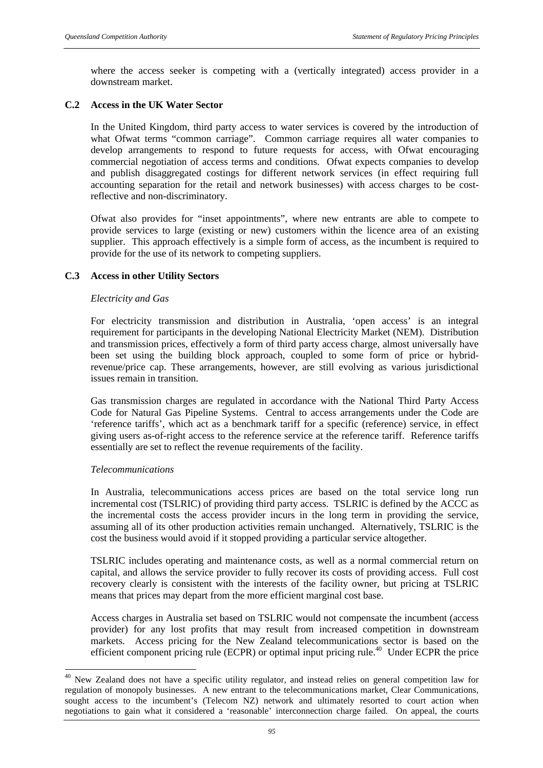where the access seeker is competing with a (vertically integrated) access provider in a downstream market.

#### **C.2 Access in the UK Water Sector**

In the United Kingdom, third party access to water services is covered by the introduction of what Ofwat terms "common carriage". Common carriage requires all water companies to develop arrangements to respond to future requests for access, with Ofwat encouraging commercial negotiation of access terms and conditions. Ofwat expects companies to develop and publish disaggregated costings for different network services (in effect requiring full accounting separation for the retail and network businesses) with access charges to be costreflective and non-discriminatory.

Ofwat also provides for "inset appointments", where new entrants are able to compete to provide services to large (existing or new) customers within the licence area of an existing supplier. This approach effectively is a simple form of access, as the incumbent is required to provide for the use of its network to competing suppliers.

#### **C.3 Access in other Utility Sectors**

#### *Electricity and Gas*

For electricity transmission and distribution in Australia, 'open access' is an integral requirement for participants in the developing National Electricity Market (NEM). Distribution and transmission prices, effectively a form of third party access charge, almost universally have been set using the building block approach, coupled to some form of price or hybridrevenue/price cap. These arrangements, however, are still evolving as various jurisdictional issues remain in transition.

Gas transmission charges are regulated in accordance with the National Third Party Access Code for Natural Gas Pipeline Systems. Central to access arrangements under the Code are 'reference tariffs', which act as a benchmark tariff for a specific (reference) service, in effect giving users as-of-right access to the reference service at the reference tariff. Reference tariffs essentially are set to reflect the revenue requirements of the facility.

#### *Telecommunications*

l

In Australia, telecommunications access prices are based on the total service long run incremental cost (TSLRIC) of providing third party access. TSLRIC is defined by the ACCC as the incremental costs the access provider incurs in the long term in providing the service, assuming all of its other production activities remain unchanged. Alternatively, TSLRIC is the cost the business would avoid if it stopped providing a particular service altogether.

TSLRIC includes operating and maintenance costs, as well as a normal commercial return on capital, and allows the service provider to fully recover its costs of providing access. Full cost recovery clearly is consistent with the interests of the facility owner, but pricing at TSLRIC means that prices may depart from the more efficient marginal cost base.

Access charges in Australia set based on TSLRIC would not compensate the incumbent (access provider) for any lost profits that may result from increased competition in downstream markets. Access pricing for the New Zealand telecommunications sector is based on the efficient component pricing rule (ECPR) or optimal input pricing rule.<sup>40</sup> Under ECPR the price

<sup>&</sup>lt;sup>40</sup> New Zealand does not have a specific utility regulator, and instead relies on general competition law for regulation of monopoly businesses. A new entrant to the telecommunications market, Clear Communications, sought access to the incumbent's (Telecom NZ) network and ultimately resorted to court action when negotiations to gain what it considered a 'reasonable' interconnection charge failed. On appeal, the courts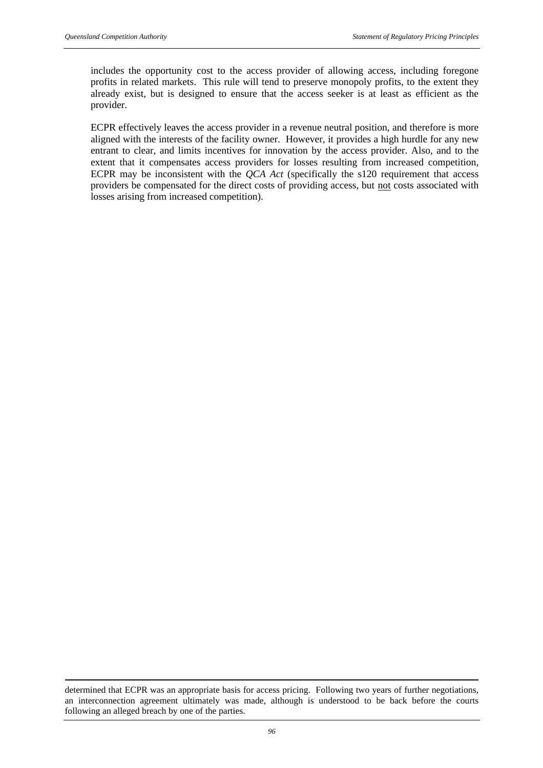$\overline{a}$ 

includes the opportunity cost to the access provider of allowing access, including foregone profits in related markets. This rule will tend to preserve monopoly profits, to the extent they already exist, but is designed to ensure that the access seeker is at least as efficient as the provider.

ECPR effectively leaves the access provider in a revenue neutral position, and therefore is more aligned with the interests of the facility owner. However, it provides a high hurdle for any new entrant to clear, and limits incentives for innovation by the access provider. Also, and to the extent that it compensates access providers for losses resulting from increased competition, ECPR may be inconsistent with the *QCA Act* (specifically the s120 requirement that access providers be compensated for the direct costs of providing access, but not costs associated with losses arising from increased competition).

determined that ECPR was an appropriate basis for access pricing. Following two years of further negotiations, an interconnection agreement ultimately was made, although is understood to be back before the courts following an alleged breach by one of the parties.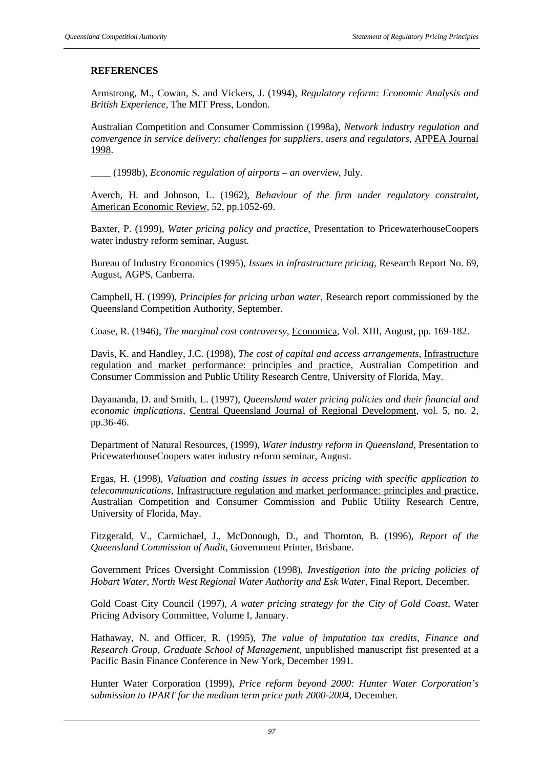## **REFERENCES**

Armstrong, M., Cowan, S. and Vickers, J. (1994), *Regulatory reform: Economic Analysis and British Experience*, The MIT Press, London.

Australian Competition and Consumer Commission (1998a), *Network industry regulation and convergence in service delivery: challenges for suppliers, users and regulators*, APPEA Journal 1998.

\_\_\_\_ (1998b), *Economic regulation of airports – an overview*, July.

Averch, H. and Johnson, L. (1962), *Behaviour of the firm under regulatory constraint*, American Economic Review, 52, pp.1052-69.

Baxter, P. (1999), *Water pricing policy and practice*, Presentation to PricewaterhouseCoopers water industry reform seminar, August.

Bureau of Industry Economics (1995), *Issues in infrastructure pricing*, Research Report No. 69, August, AGPS, Canberra.

Campbell, H. (1999), *Principles for pricing urban water*, Research report commissioned by the Queensland Competition Authority, September.

Coase, R. (1946), *The marginal cost controversy*, Economica, Vol. XIII, August, pp. 169-182.

Davis, K. and Handley, J.C. (1998), *The cost of capital and access arrangements*, Infrastructure regulation and market performance: principles and practice, Australian Competition and Consumer Commission and Public Utility Research Centre, University of Florida, May.

Dayananda, D. and Smith, L. (1997), *Queensland water pricing policies and their financial and economic implications*, Central Queensland Journal of Regional Development, vol. 5, no. 2, pp.36-46.

Department of Natural Resources, (1999), *Water industry reform in Queensland*, Presentation to PricewaterhouseCoopers water industry reform seminar, August.

Ergas, H. (1998), *Valuation and costing issues in access pricing with specific application to telecommunications*, Infrastructure regulation and market performance: principles and practice, Australian Competition and Consumer Commission and Public Utility Research Centre, University of Florida, May.

Fitzgerald, V., Carmichael, J., McDonough, D., and Thornton, B. (1996), *Report of the Queensland Commission of Audit*, Government Printer, Brisbane.

Government Prices Oversight Commission (1998), *Investigation into the pricing policies of Hobart Water, North West Regional Water Authority and Esk Water*, Final Report, December.

Gold Coast City Council (1997), *A water pricing strategy for the City of Gold Coast*, Water Pricing Advisory Committee, Volume I, January.

Hathaway, N. and Officer, R. (1995), *The value of imputation tax credits, Finance and Research Group, Graduate School of Management*, unpublished manuscript fist presented at a Pacific Basin Finance Conference in New York, December 1991.

Hunter Water Corporation (1999), *Price reform beyond 2000: Hunter Water Corporation's submission to IPART for the medium term price path 2000-2004*, December.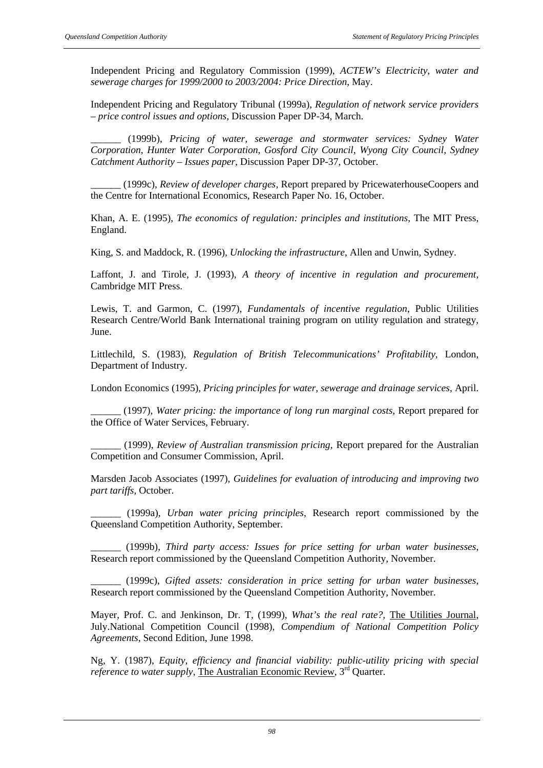Independent Pricing and Regulatory Commission (1999), *ACTEW's Electricity, water and sewerage charges for 1999/2000 to 2003/2004: Price Direction*, May.

Independent Pricing and Regulatory Tribunal (1999a), *Regulation of network service providers – price control issues and options*, Discussion Paper DP-34, March.

\_\_\_\_\_\_ (1999b), *Pricing of water, sewerage and stormwater services: Sydney Water Corporation, Hunter Water Corporation, Gosford City Council, Wyong City Council, Sydney Catchment Authority – Issues paper*, Discussion Paper DP-37, October.

\_\_\_\_\_\_ (1999c), *Review of developer charges*, Report prepared by PricewaterhouseCoopers and the Centre for International Economics, Research Paper No. 16, October.

Khan, A. E. (1995), *The economics of regulation: principles and institutions*, The MIT Press, England.

King, S. and Maddock, R. (1996), *Unlocking the infrastructure*, Allen and Unwin, Sydney.

Laffont, J. and Tirole, J. (1993), *A theory of incentive in regulation and procurement*, Cambridge MIT Press.

Lewis, T. and Garmon, C. (1997), *Fundamentals of incentive regulation*, Public Utilities Research Centre/World Bank International training program on utility regulation and strategy, June.

Littlechild, S. (1983), *Regulation of British Telecommunications' Profitability*, London, Department of Industry.

London Economics (1995), *Pricing principles for water, sewerage and drainage services*, April.

\_\_\_\_\_\_ (1997), *Water pricing: the importance of long run marginal costs*, Report prepared for the Office of Water Services, February.

\_\_\_\_\_\_ (1999), *Review of Australian transmission pricing*, Report prepared for the Australian Competition and Consumer Commission, April.

Marsden Jacob Associates (1997), *Guidelines for evaluation of introducing and improving two part tariffs*, October.

\_\_\_\_\_\_ (1999a), *Urban water pricing principles*, Research report commissioned by the Queensland Competition Authority, September.

\_\_\_\_\_\_ (1999b), *Third party access: Issues for price setting for urban water businesses*, Research report commissioned by the Queensland Competition Authority, November.

\_\_\_\_\_\_ (1999c), *Gifted assets: consideration in price setting for urban water businesses*, Research report commissioned by the Queensland Competition Authority, November.

Mayer, Prof. C. and Jenkinson, Dr. T, (1999), *What's the real rate?*, The Utilities Journal, July.National Competition Council (1998), *Compendium of National Competition Policy Agreements*, Second Edition, June 1998.

Ng, Y. (1987), *Equity, efficiency and financial viability: public-utility pricing with special reference to water supply*, The Australian Economic Review, 3<sup>rd</sup> Quarter.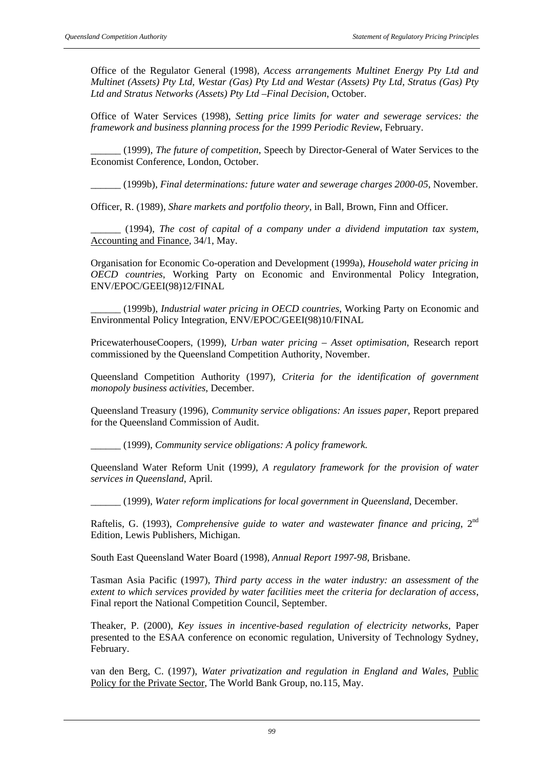Office of the Regulator General (1998), *Access arrangements Multinet Energy Pty Ltd and Multinet (Assets) Pty Ltd, Westar (Gas) Pty Ltd and Westar (Assets) Pty Ltd, Stratus (Gas) Pty Ltd and Stratus Networks (Assets) Pty Ltd –Final Decision*, October.

Office of Water Services (1998), *Setting price limits for water and sewerage services: the framework and business planning process for the 1999 Periodic Review*, February.

\_\_\_\_\_\_ (1999), *The future of competition*, Speech by Director-General of Water Services to the Economist Conference, London, October.

\_\_\_\_\_\_ (1999b), *Final determinations: future water and sewerage charges 2000-05*, November.

Officer, R. (1989), *Share markets and portfolio theory*, in Ball, Brown, Finn and Officer.

\_\_\_\_\_\_ (1994), *The cost of capital of a company under a dividend imputation tax system*, Accounting and Finance, 34/1, May.

Organisation for Economic Co-operation and Development (1999a), *Household water pricing in OECD countries*, Working Party on Economic and Environmental Policy Integration, ENV/EPOC/GEEI(98)12/FINAL

\_\_\_\_\_\_ (1999b), *Industrial water pricing in OECD countries*, Working Party on Economic and Environmental Policy Integration, ENV/EPOC/GEEI(98)10/FINAL

PricewaterhouseCoopers, (1999), *Urban water pricing – Asset optimisation*, Research report commissioned by the Queensland Competition Authority, November.

Queensland Competition Authority (1997), *Criteria for the identification of government monopoly business activities*, December.

Queensland Treasury (1996), *Community service obligations: An issues paper*, Report prepared for the Queensland Commission of Audit.

\_\_\_\_\_\_ (1999), *Community service obligations: A policy framework.*

Queensland Water Reform Unit (1999*), A regulatory framework for the provision of water services in Queensland*, April.

\_\_\_\_\_\_ (1999), *Water reform implications for local government in Queensland*, December.

Raftelis, G. (1993), *Comprehensive guide to water and wastewater finance and pricing*, 2<sup>nd</sup> Edition, Lewis Publishers, Michigan.

South East Queensland Water Board (1998), *Annual Report 1997-98*, Brisbane.

Tasman Asia Pacific (1997), *Third party access in the water industry: an assessment of the extent to which services provided by water facilities meet the criteria for declaration of access*, Final report the National Competition Council, September.

Theaker, P. (2000), *Key issues in incentive-based regulation of electricity networks*, Paper presented to the ESAA conference on economic regulation, University of Technology Sydney, February.

van den Berg, C. (1997), *Water privatization and regulation in England and Wales*, Public Policy for the Private Sector, The World Bank Group, no.115, May.